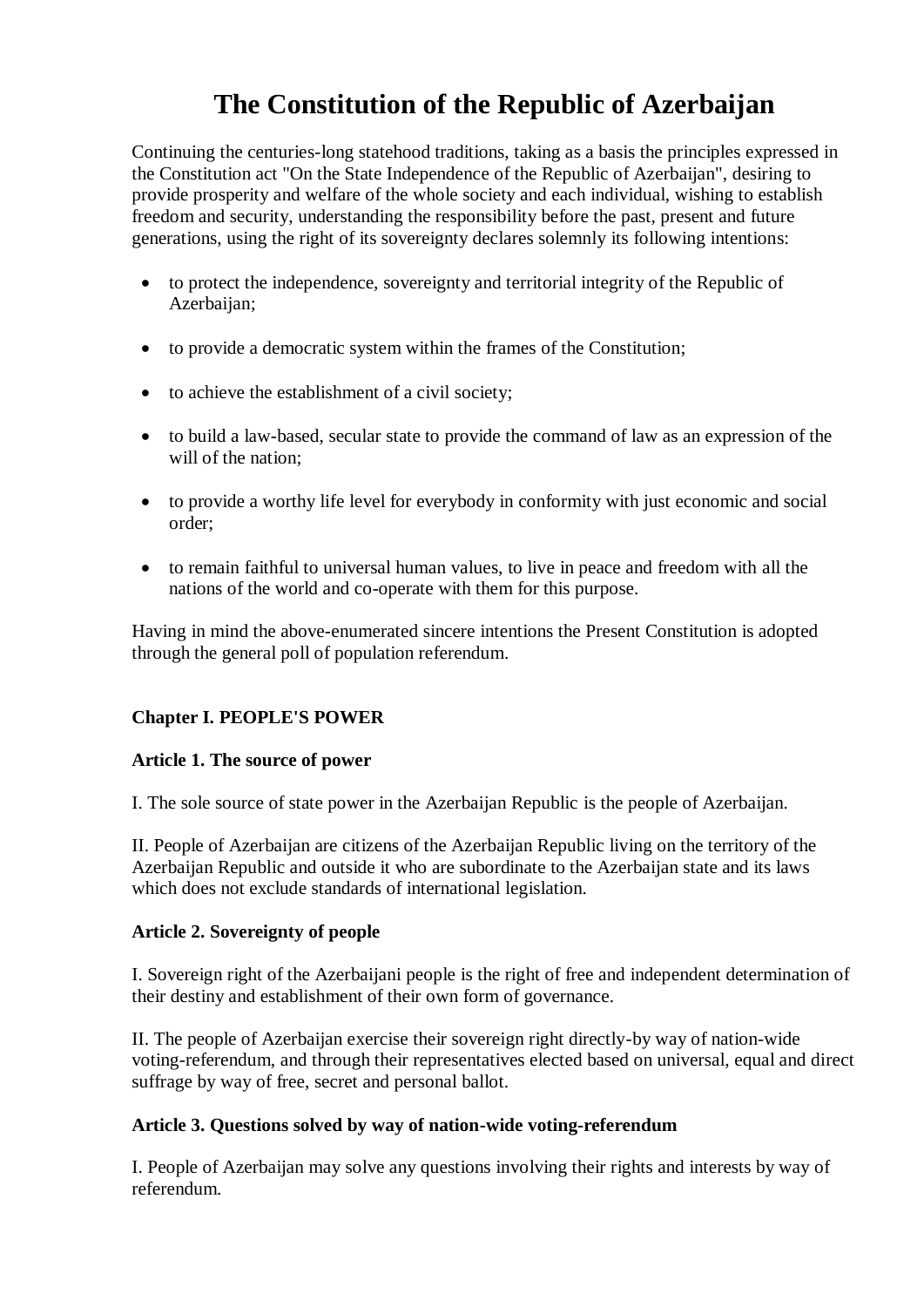# **The Constitution of the Republic of Azerbaijan**

Continuing the centuries-long statehood traditions, taking as a basis the principles expressed in the Constitution act "On the State Independence of the Republic of Azerbaijan", desiring to provide prosperity and welfare of the whole society and each individual, wishing to establish freedom and security, understanding the responsibility before the past, present and future generations, using the right of its sovereignty declares solemnly its following intentions:

- to protect the independence, sovereignty and territorial integrity of the Republic of Azerbaijan;
- to provide a democratic system within the frames of the Constitution;
- to achieve the establishment of a civil society:
- to build a law-based, secular state to provide the command of law as an expression of the will of the nation;
- to provide a worthy life level for everybody in conformity with just economic and social order;
- to remain faithful to universal human values, to live in peace and freedom with all the nations of the world and co-operate with them for this purpose.

Having in mind the above-enumerated sincere intentions the Present Constitution is adopted through the general poll of population referendum.

## **Chapter I. PEOPLE'S POWER**

#### **Article 1. The source of power**

I. The sole source of state power in the Azerbaijan Republic is the people of Azerbaijan.

II. People of Azerbaijan are citizens of the Azerbaijan Republic living on the territory of the Azerbaijan Republic and outside it who are subordinate to the Azerbaijan state and its laws which does not exclude standards of international legislation.

#### **Article 2. Sovereignty of people**

I. Sovereign right of the Azerbaijani people is the right of free and independent determination of their destiny and establishment of their own form of governance.

II. The people of Azerbaijan exercise their sovereign right directly-by way of nation-wide voting-referendum, and through their representatives elected based on universal, equal and direct suffrage by way of free, secret and personal ballot.

## **Article 3. Questions solved by way of nation-wide voting-referendum**

I. People of Azerbaijan may solve any questions involving their rights and interests by way of referendum.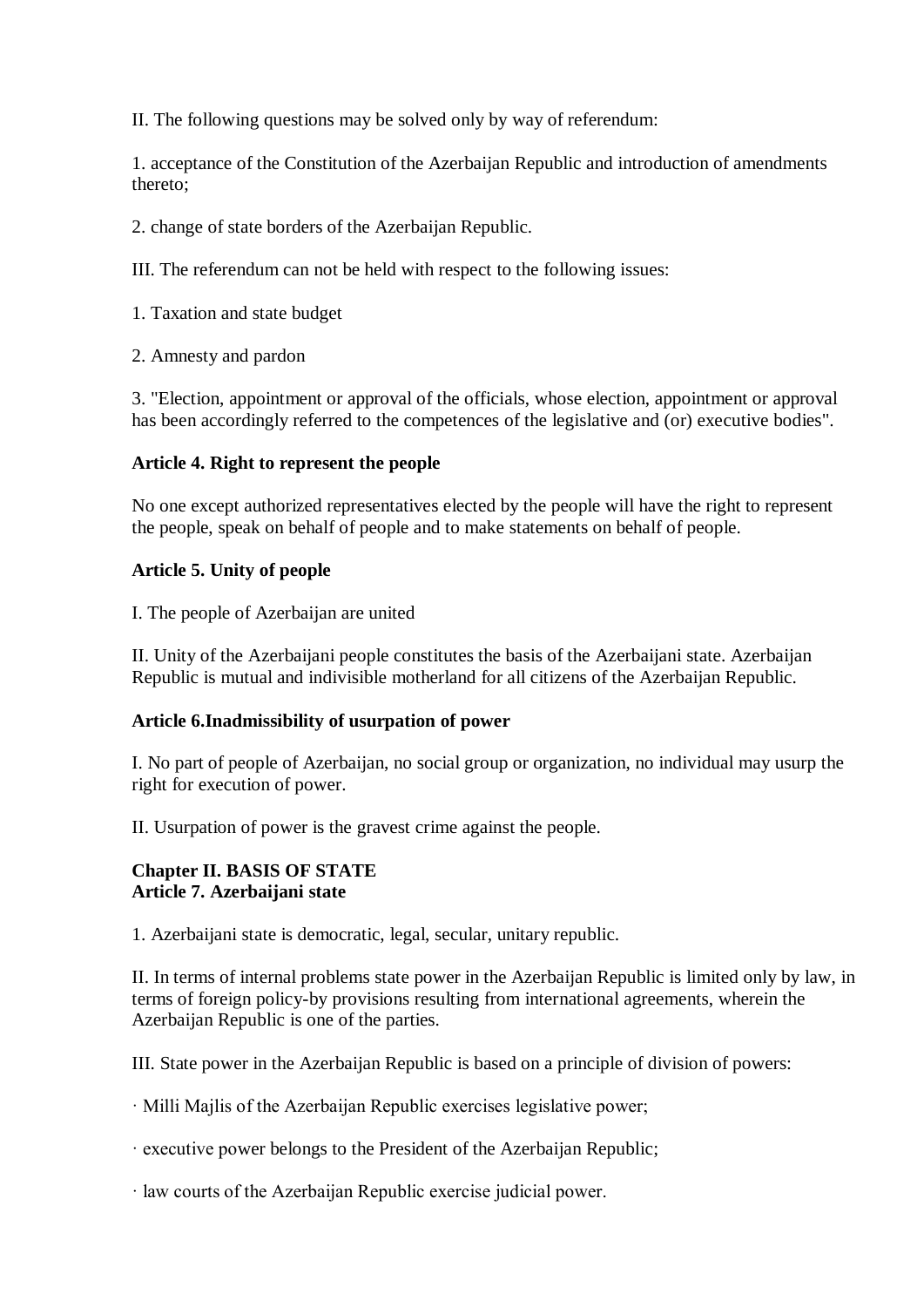II. The following questions may be solved only by way of referendum:

1. acceptance of the Constitution of the Azerbaijan Republic and introduction of amendments thereto;

2. change of state borders of the Azerbaijan Republic.

III. The referendum can not be held with respect to the following issues:

1. Taxation and state budget

2. Amnesty and pardon

3. "Election, appointment or approval of the officials, whose election, appointment or approval has been accordingly referred to the competences of the legislative and (or) executive bodies".

#### **Article 4. Right to represent the people**

No one except authorized representatives elected by the people will have the right to represent the people, speak on behalf of people and to make statements on behalf of people.

#### **Article 5. Unity of people**

I. The people of Azerbaijan are united

II. Unity of the Azerbaijani people constitutes the basis of the Azerbaijani state. Azerbaijan Republic is mutual and indivisible motherland for all citizens of the Azerbaijan Republic.

## **Article 6.Inadmissibility of usurpation of power**

I. No part of people of Azerbaijan, no social group or organization, no individual may usurp the right for execution of power.

II. Usurpation of power is the gravest crime against the people.

#### **Chapter II. BASIS OF STATE Article 7. Azerbaijani state**

1. Azerbaijani state is democratic, legal, secular, unitary republic.

II. In terms of internal problems state power in the Azerbaijan Republic is limited only by law, in terms of foreign policy-by provisions resulting from international agreements, wherein the Azerbaijan Republic is one of the parties.

III. State power in the Azerbaijan Republic is based on a principle of division of powers:

· Milli Majlis of the Azerbaijan Republic exercises legislative power;

· executive power belongs to the President of the Azerbaijan Republic;

· law courts of the Azerbaijan Republic exercise judicial power.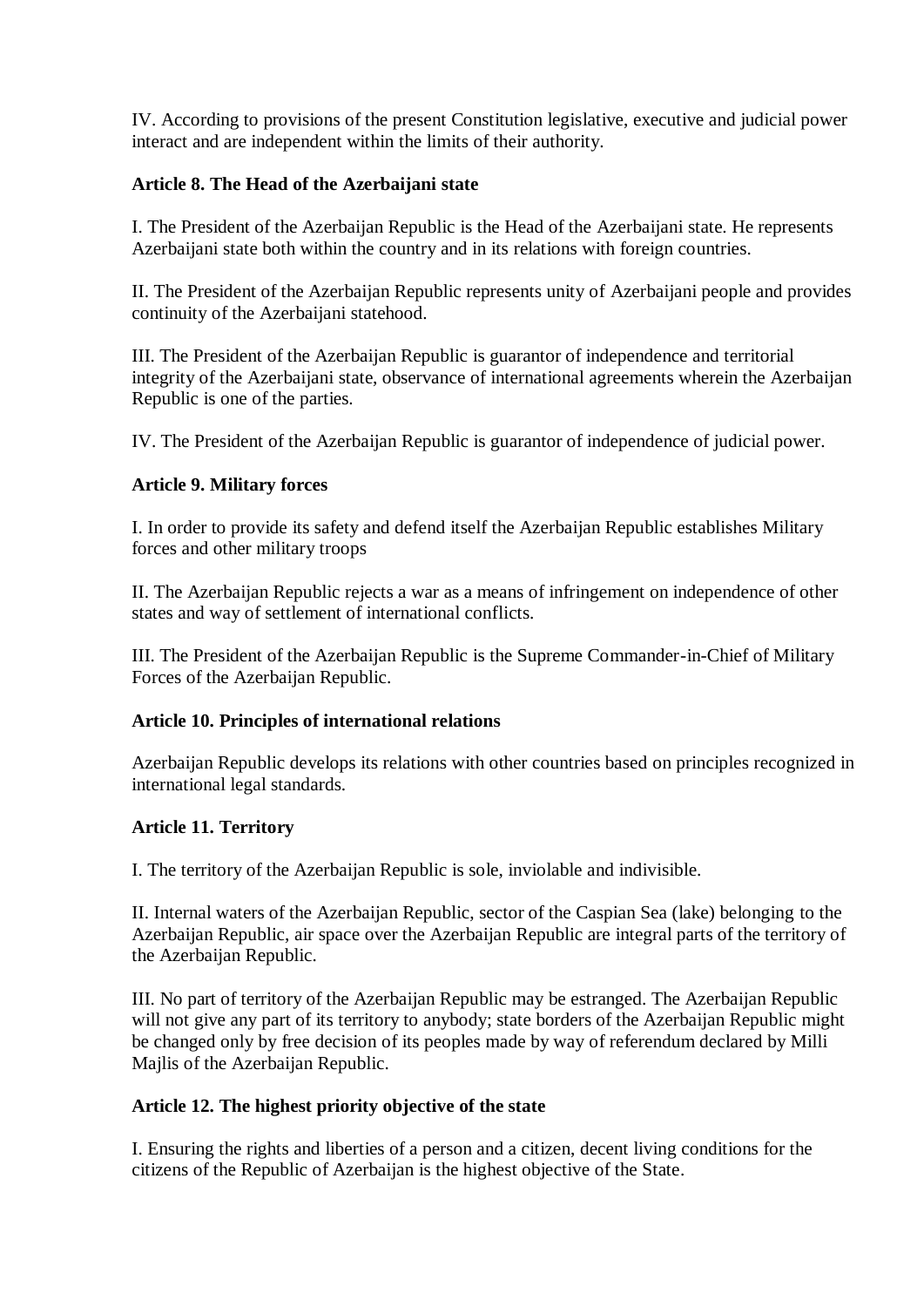IV. According to provisions of the present Constitution legislative, executive and judicial power interact and are independent within the limits of their authority.

#### **Article 8. The Head of the Azerbaijani state**

I. The President of the Azerbaijan Republic is the Head of the Azerbaijani state. He represents Azerbaijani state both within the country and in its relations with foreign countries.

II. The President of the Azerbaijan Republic represents unity of Azerbaijani people and provides continuity of the Azerbaijani statehood.

III. The President of the Azerbaijan Republic is guarantor of independence and territorial integrity of the Azerbaijani state, observance of international agreements wherein the Azerbaijan Republic is one of the parties.

IV. The President of the Azerbaijan Republic is guarantor of independence of judicial power.

#### **Article 9. Military forces**

I. In order to provide its safety and defend itself the Azerbaijan Republic establishes Military forces and other military troops

II. The Azerbaijan Republic rejects a war as a means of infringement on independence of other states and way of settlement of international conflicts.

III. The President of the Azerbaijan Republic is the Supreme Commander-in-Chief of Military Forces of the Azerbaijan Republic.

#### **Article 10. Principles of international relations**

Azerbaijan Republic develops its relations with other countries based on principles recognized in international legal standards.

## **Article 11. Territory**

I. The territory of the Azerbaijan Republic is sole, inviolable and indivisible.

II. Internal waters of the Azerbaijan Republic, sector of the Caspian Sea (lake) belonging to the Azerbaijan Republic, air space over the Azerbaijan Republic are integral parts of the territory of the Azerbaijan Republic.

III. No part of territory of the Azerbaijan Republic may be estranged. The Azerbaijan Republic will not give any part of its territory to anybody; state borders of the Azerbaijan Republic might be changed only by free decision of its peoples made by way of referendum declared by Milli Majlis of the Azerbaijan Republic.

## **Article 12. The highest priority objective of the state**

I. Ensuring the rights and liberties of a person and a citizen, decent living conditions for the citizens of the Republic of Azerbaijan is the highest objective of the State.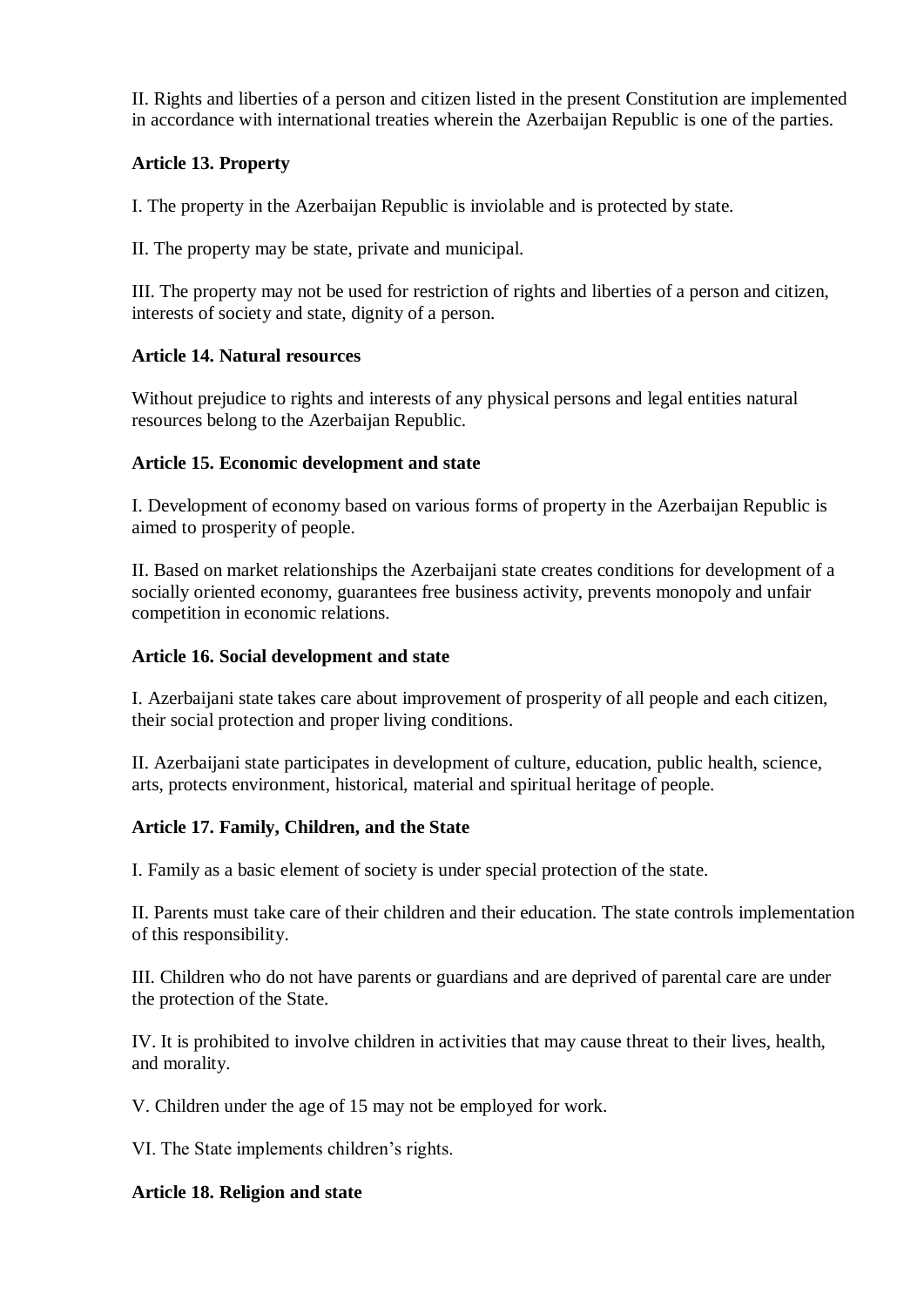II. Rights and liberties of a person and citizen listed in the present Constitution are implemented in accordance with international treaties wherein the Azerbaijan Republic is one of the parties.

# **Article 13. Property**

I. The property in the Azerbaijan Republic is inviolable and is protected by state.

II. The property may be state, private and municipal.

III. The property may not be used for restriction of rights and liberties of a person and citizen, interests of society and state, dignity of a person.

# **Article 14. Natural resources**

Without prejudice to rights and interests of any physical persons and legal entities natural resources belong to the Azerbaijan Republic.

# **Article 15. Economic development and state**

I. Development of economy based on various forms of property in the Azerbaijan Republic is aimed to prosperity of people.

II. Based on market relationships the Azerbaijani state creates conditions for development of a socially oriented economy, guarantees free business activity, prevents monopoly and unfair competition in economic relations.

## **Article 16. Social development and state**

I. Azerbaijani state takes care about improvement of prosperity of all people and each citizen, their social protection and proper living conditions.

II. Azerbaijani state participates in development of culture, education, public health, science, arts, protects environment, historical, material and spiritual heritage of people.

# **Article 17. Family, Children, and the State**

I. Family as a basic element of society is under special protection of the state.

II. Parents must take care of their children and their education. The state controls implementation of this responsibility.

III. Children who do not have parents or guardians and are deprived of parental care are under the protection of the State.

IV. It is prohibited to involve children in activities that may cause threat to their lives, health, and morality.

V. Children under the age of 15 may not be employed for work.

VI. The State implements children's rights.

## **Article 18. Religion and state**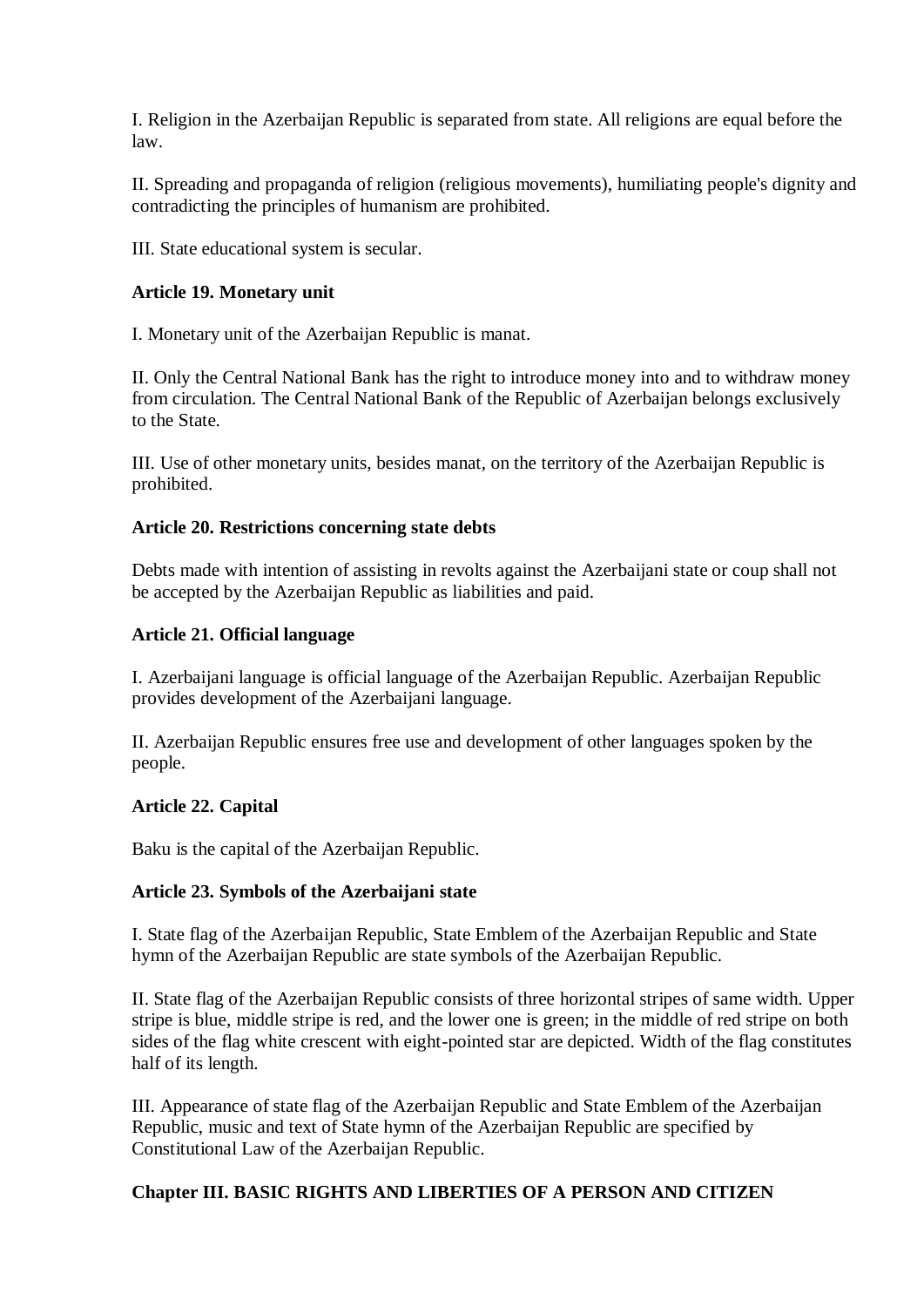I. Religion in the Azerbaijan Republic is separated from state. All religions are equal before the law.

II. Spreading and propaganda of religion (religious movements), humiliating people's dignity and contradicting the principles of humanism are prohibited.

III. State educational system is secular.

#### **Article 19. Monetary unit**

I. Monetary unit of the Azerbaijan Republic is manat.

II. Only the Central National Bank has the right to introduce money into and to withdraw money from circulation. The Central National Bank of the Republic of Azerbaijan belongs exclusively to the State.

III. Use of other monetary units, besides manat, on the territory of the Azerbaijan Republic is prohibited.

#### **Article 20. Restrictions concerning state debts**

Debts made with intention of assisting in revolts against the Azerbaijani state or coup shall not be accepted by the Azerbaijan Republic as liabilities and paid.

#### **Article 21. Official language**

I. Azerbaijani language is official language of the Azerbaijan Republic. Azerbaijan Republic provides development of the Azerbaijani language.

II. Azerbaijan Republic ensures free use and development of other languages spoken by the people.

#### **Article 22. Capital**

Baku is the capital of the Azerbaijan Republic.

#### **Article 23. Symbols of the Azerbaijani state**

I. State flag of the Azerbaijan Republic, State Emblem of the Azerbaijan Republic and State hymn of the Azerbaijan Republic are state symbols of the Azerbaijan Republic.

II. State flag of the Azerbaijan Republic consists of three horizontal stripes of same width. Upper stripe is blue, middle stripe is red, and the lower one is green; in the middle of red stripe on both sides of the flag white crescent with eight-pointed star are depicted. Width of the flag constitutes half of its length.

III. Appearance of state flag of the Azerbaijan Republic and State Emblem of the Azerbaijan Republic, music and text of State hymn of the Azerbaijan Republic are specified by Constitutional Law of the Azerbaijan Republic.

## **Chapter III. BASIC RIGHTS AND LIBERTIES OF A PERSON AND CITIZEN**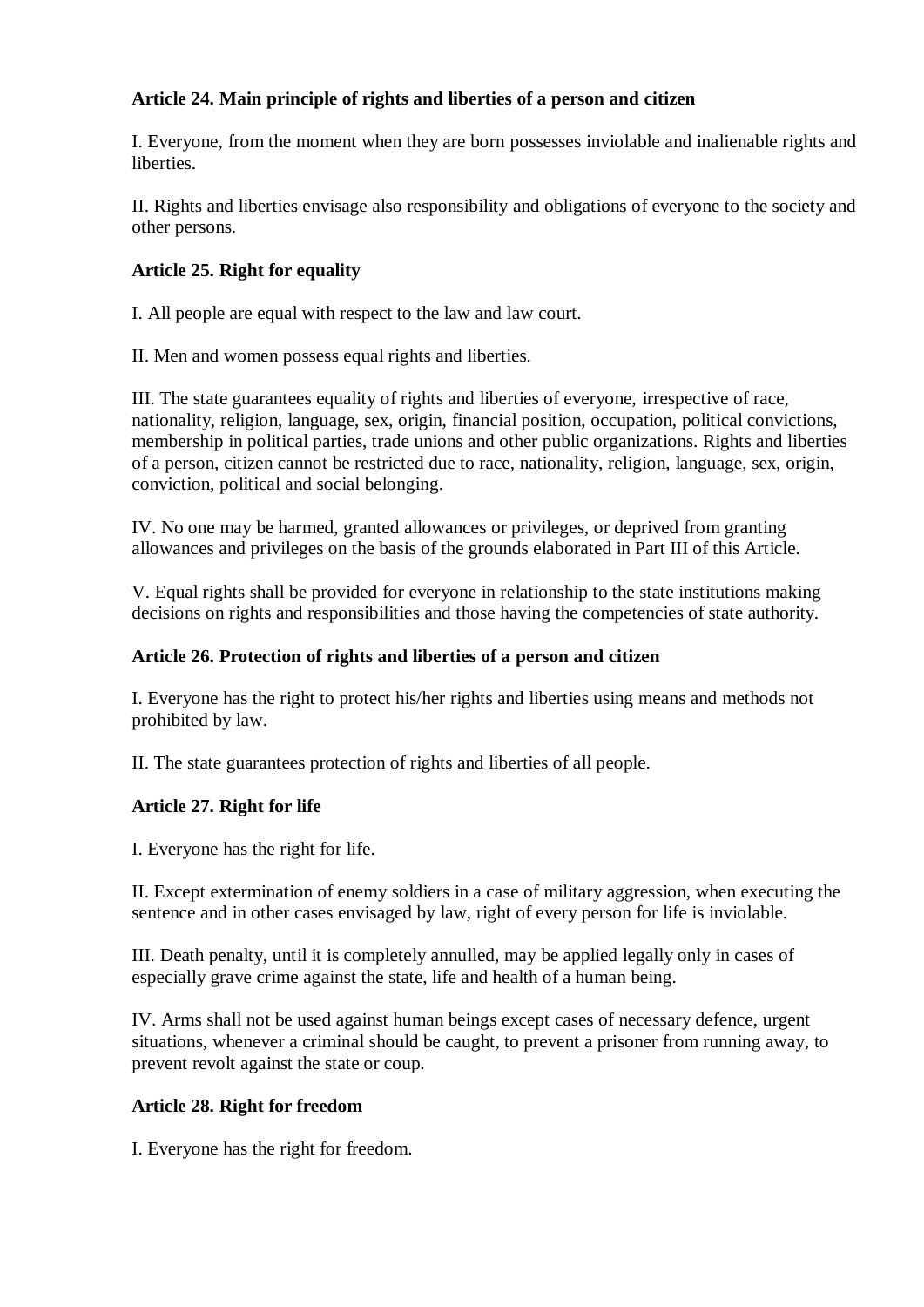# **Article 24. Main principle of rights and liberties of a person and citizen**

I. Everyone, from the moment when they are born possesses inviolable and inalienable rights and liberties.

II. Rights and liberties envisage also responsibility and obligations of everyone to the society and other persons.

## **Article 25. Right for equality**

I. All people are equal with respect to the law and law court.

II. Men and women possess equal rights and liberties.

III. The state guarantees equality of rights and liberties of everyone, irrespective of race, nationality, religion, language, sex, origin, financial position, occupation, political convictions, membership in political parties, trade unions and other public organizations. Rights and liberties of a person, citizen cannot be restricted due to race, nationality, religion, language, sex, origin, conviction, political and social belonging.

IV. No one may be harmed, granted allowances or privileges, or deprived from granting allowances and privileges on the basis of the grounds elaborated in Part III of this Article.

V. Equal rights shall be provided for everyone in relationship to the state institutions making decisions on rights and responsibilities and those having the competencies of state authority.

#### **Article 26. Protection of rights and liberties of a person and citizen**

I. Everyone has the right to protect his/her rights and liberties using means and methods not prohibited by law.

II. The state guarantees protection of rights and liberties of all people.

## **Article 27. Right for life**

I. Everyone has the right for life.

II. Except extermination of enemy soldiers in a case of military aggression, when executing the sentence and in other cases envisaged by law, right of every person for life is inviolable.

III. Death penalty, until it is completely annulled, may be applied legally only in cases of especially grave crime against the state, life and health of a human being.

IV. Arms shall not be used against human beings except cases of necessary defence, urgent situations, whenever a criminal should be caught, to prevent a prisoner from running away, to prevent revolt against the state or coup.

## **Article 28. Right for freedom**

I. Everyone has the right for freedom.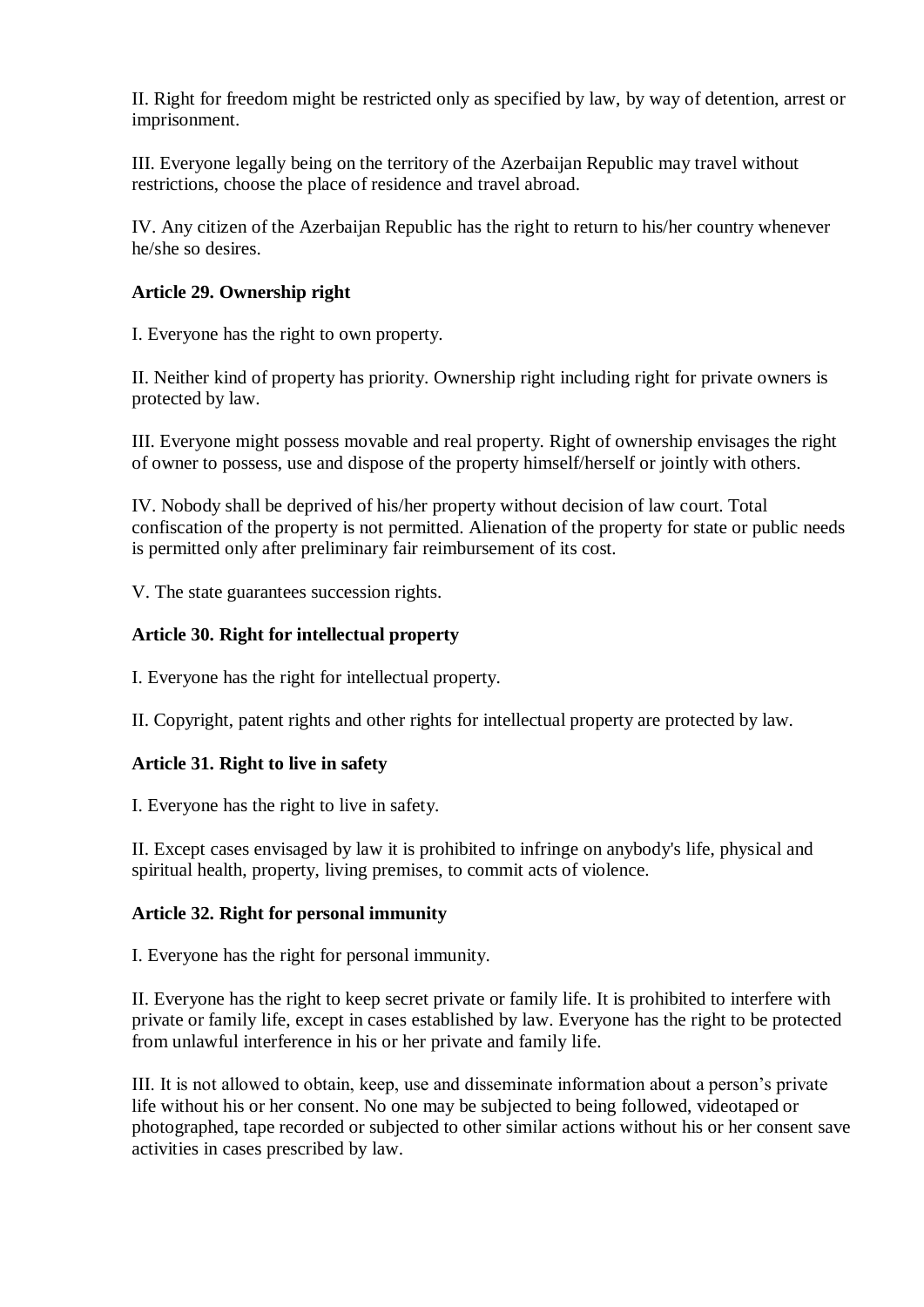II. Right for freedom might be restricted only as specified by law, by way of detention, arrest or imprisonment.

III. Everyone legally being on the territory of the Azerbaijan Republic may travel without restrictions, choose the place of residence and travel abroad.

IV. Any citizen of the Azerbaijan Republic has the right to return to his/her country whenever he/she so desires.

# **Article 29. Ownership right**

I. Everyone has the right to own property.

II. Neither kind of property has priority. Ownership right including right for private owners is protected by law.

III. Everyone might possess movable and real property. Right of ownership envisages the right of owner to possess, use and dispose of the property himself/herself or jointly with others.

IV. Nobody shall be deprived of his/her property without decision of law court. Total confiscation of the property is not permitted. Alienation of the property for state or public needs is permitted only after preliminary fair reimbursement of its cost.

V. The state guarantees succession rights.

## **Article 30. Right for intellectual property**

I. Everyone has the right for intellectual property.

II. Copyright, patent rights and other rights for intellectual property are protected by law.

#### **Article 31. Right to live in safety**

I. Everyone has the right to live in safety.

II. Except cases envisaged by law it is prohibited to infringe on anybody's life, physical and spiritual health, property, living premises, to commit acts of violence.

#### **Article 32. Right for personal immunity**

I. Everyone has the right for personal immunity.

II. Everyone has the right to keep secret private or family life. It is prohibited to interfere with private or family life, except in cases established by law. Everyone has the right to be protected from unlawful interference in his or her private and family life.

III. It is not allowed to obtain, keep, use and disseminate information about a person's private life without his or her consent. No one may be subjected to being followed, videotaped or photographed, tape recorded or subjected to other similar actions without his or her consent save activities in cases prescribed by law.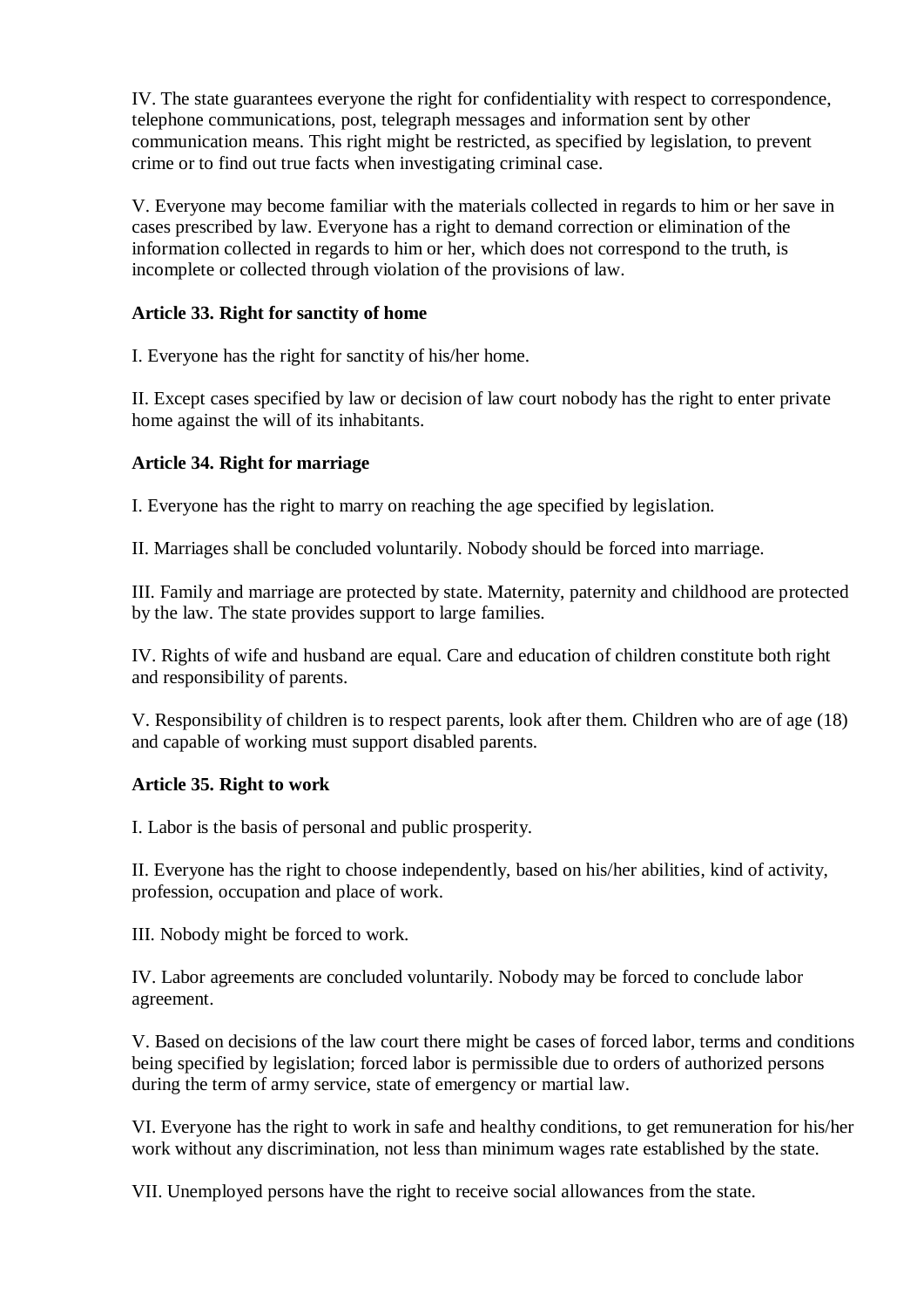IV. The state guarantees everyone the right for confidentiality with respect to correspondence, telephone communications, post, telegraph messages and information sent by other communication means. This right might be restricted, as specified by legislation, to prevent crime or to find out true facts when investigating criminal case.

V. Everyone may become familiar with the materials collected in regards to him or her save in cases prescribed by law. Everyone has a right to demand correction or elimination of the information collected in regards to him or her, which does not correspond to the truth, is incomplete or collected through violation of the provisions of law.

## **Article 33. Right for sanctity of home**

I. Everyone has the right for sanctity of his/her home.

II. Except cases specified by law or decision of law court nobody has the right to enter private home against the will of its inhabitants.

# **Article 34. Right for marriage**

I. Everyone has the right to marry on reaching the age specified by legislation.

II. Marriages shall be concluded voluntarily. Nobody should be forced into marriage.

III. Family and marriage are protected by state. Maternity, paternity and childhood are protected by the law. The state provides support to large families.

IV. Rights of wife and husband are equal. Care and education of children constitute both right and responsibility of parents.

V. Responsibility of children is to respect parents, look after them. Children who are of age (18) and capable of working must support disabled parents.

## **Article 35. Right to work**

I. Labor is the basis of personal and public prosperity.

II. Everyone has the right to choose independently, based on his/her abilities, kind of activity, profession, occupation and place of work.

III. Nobody might be forced to work.

IV. Labor agreements are concluded voluntarily. Nobody may be forced to conclude labor agreement.

V. Based on decisions of the law court there might be cases of forced labor, terms and conditions being specified by legislation; forced labor is permissible due to orders of authorized persons during the term of army service, state of emergency or martial law.

VI. Everyone has the right to work in safe and healthy conditions, to get remuneration for his/her work without any discrimination, not less than minimum wages rate established by the state.

VII. Unemployed persons have the right to receive social allowances from the state.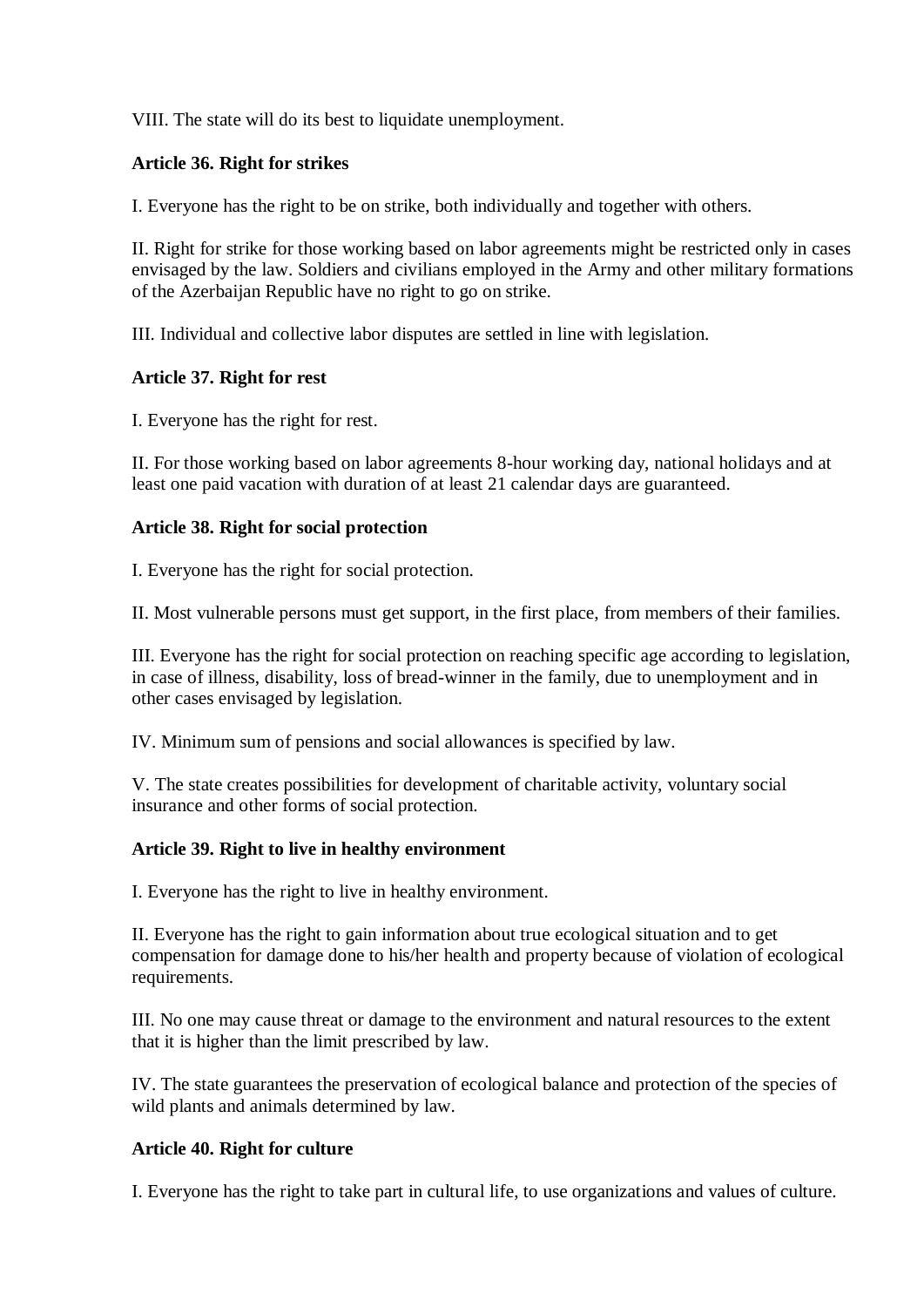VIII. The state will do its best to liquidate unemployment.

# **Article 36. Right for strikes**

I. Everyone has the right to be on strike, both individually and together with others.

II. Right for strike for those working based on labor agreements might be restricted only in cases envisaged by the law. Soldiers and civilians employed in the Army and other military formations of the Azerbaijan Republic have no right to go on strike.

III. Individual and collective labor disputes are settled in line with legislation.

# **Article 37. Right for rest**

I. Everyone has the right for rest.

II. For those working based on labor agreements 8-hour working day, national holidays and at least one paid vacation with duration of at least 21 calendar days are guaranteed.

# **Article 38. Right for social protection**

I. Everyone has the right for social protection.

II. Most vulnerable persons must get support, in the first place, from members of their families.

III. Everyone has the right for social protection on reaching specific age according to legislation, in case of illness, disability, loss of bread-winner in the family, due to unemployment and in other cases envisaged by legislation.

IV. Minimum sum of pensions and social allowances is specified by law.

V. The state creates possibilities for development of charitable activity, voluntary social insurance and other forms of social protection.

## **Article 39. Right to live in healthy environment**

I. Everyone has the right to live in healthy environment.

II. Everyone has the right to gain information about true ecological situation and to get compensation for damage done to his/her health and property because of violation of ecological requirements.

III. No one may cause threat or damage to the environment and natural resources to the extent that it is higher than the limit prescribed by law.

IV. The state guarantees the preservation of ecological balance and protection of the species of wild plants and animals determined by law.

## **Article 40. Right for culture**

I. Everyone has the right to take part in cultural life, to use organizations and values of culture.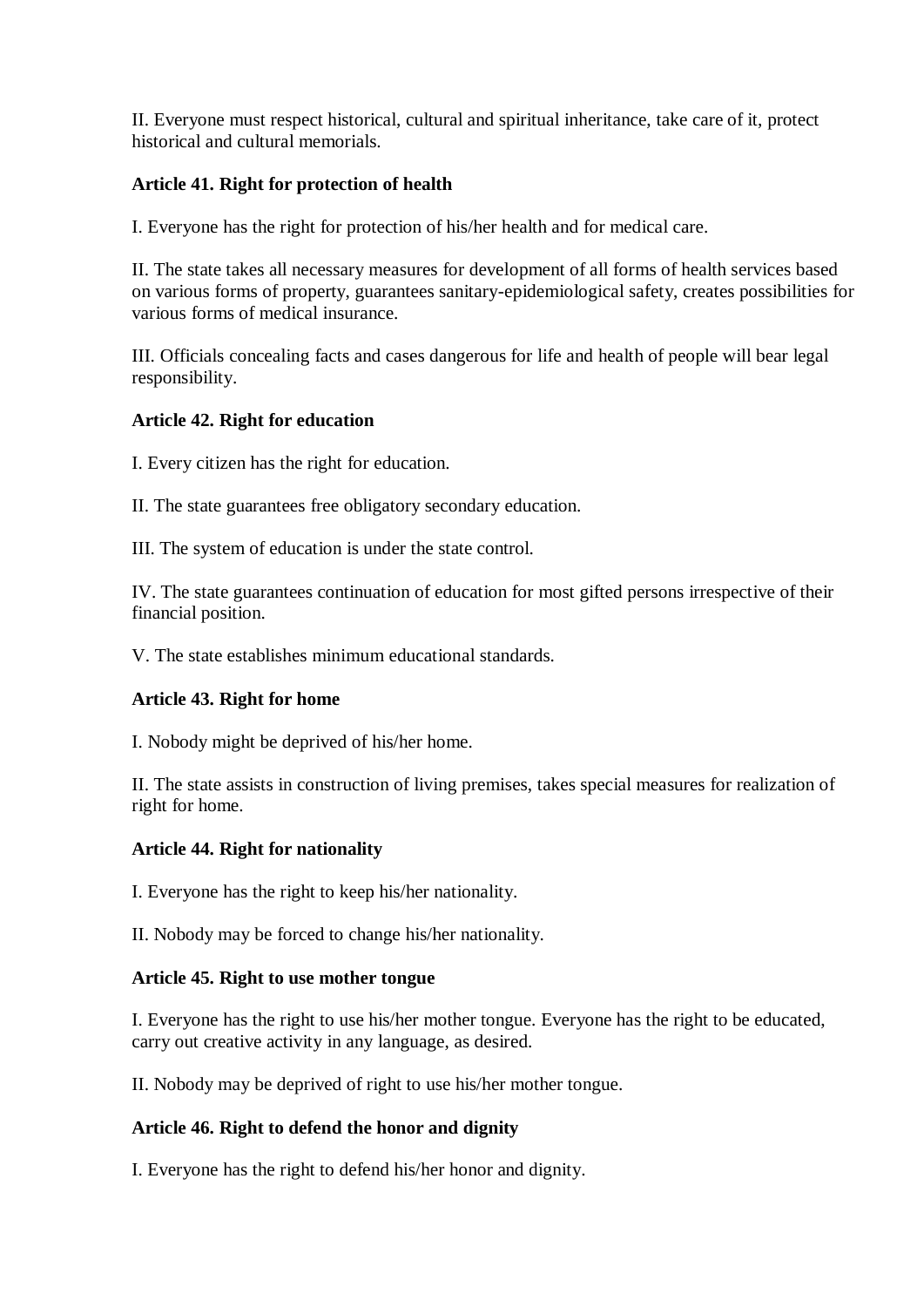II. Everyone must respect historical, cultural and spiritual inheritance, take care of it, protect historical and cultural memorials.

## **Article 41. Right for protection of health**

I. Everyone has the right for protection of his/her health and for medical care.

II. The state takes all necessary measures for development of all forms of health services based on various forms of property, guarantees sanitary-epidemiological safety, creates possibilities for various forms of medical insurance.

III. Officials concealing facts and cases dangerous for life and health of people will bear legal responsibility.

#### **Article 42. Right for education**

I. Every citizen has the right for education.

II. The state guarantees free obligatory secondary education.

III. The system of education is under the state control.

IV. The state guarantees continuation of education for most gifted persons irrespective of their financial position.

V. The state establishes minimum educational standards.

#### **Article 43. Right for home**

I. Nobody might be deprived of his/her home.

II. The state assists in construction of living premises, takes special measures for realization of right for home.

#### **Article 44. Right for nationality**

I. Everyone has the right to keep his/her nationality.

II. Nobody may be forced to change his/her nationality.

#### **Article 45. Right to use mother tongue**

I. Everyone has the right to use his/her mother tongue. Everyone has the right to be educated, carry out creative activity in any language, as desired.

II. Nobody may be deprived of right to use his/her mother tongue.

## **Article 46. Right to defend the honor and dignity**

I. Everyone has the right to defend his/her honor and dignity.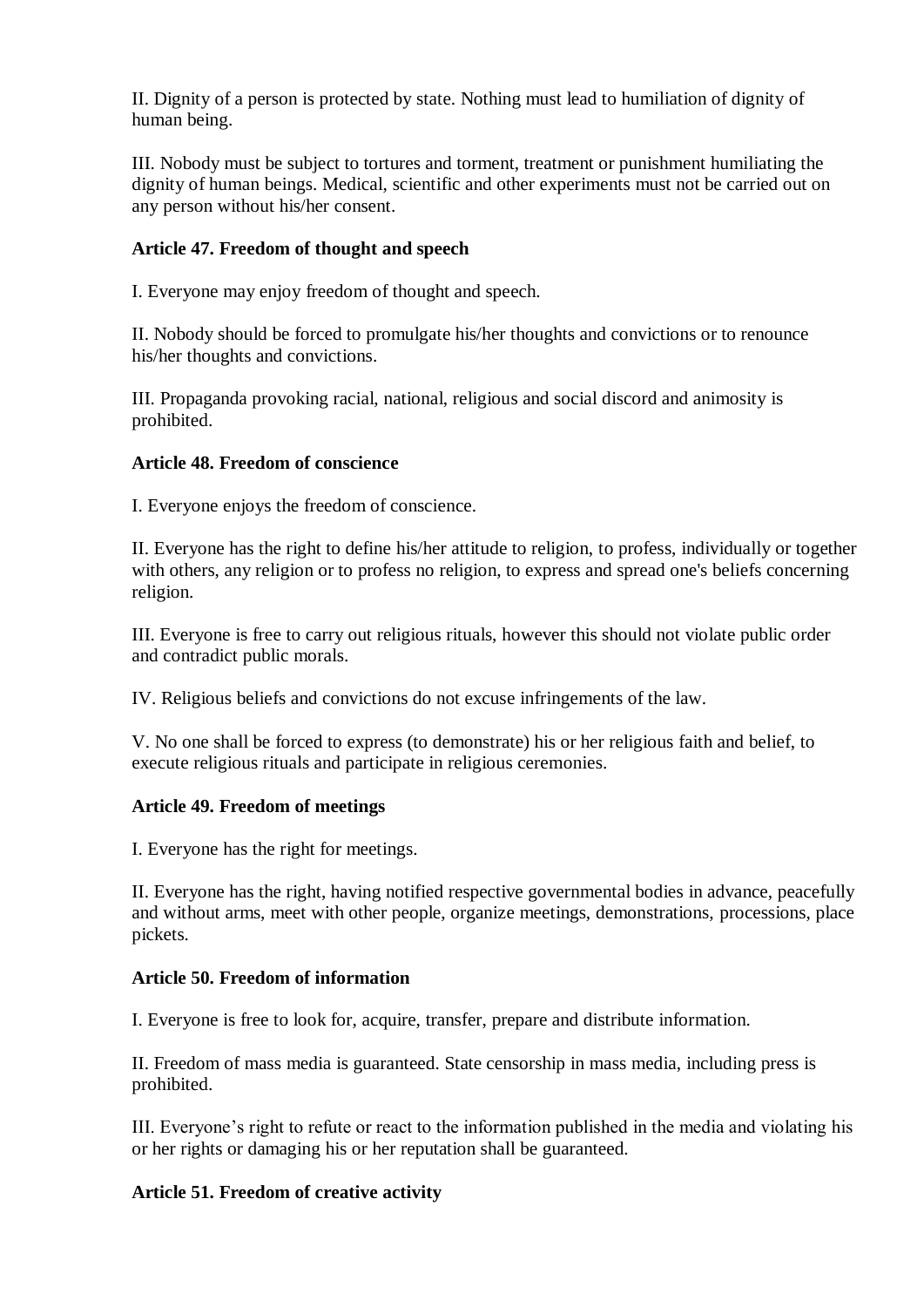II. Dignity of a person is protected by state. Nothing must lead to humiliation of dignity of human being.

III. Nobody must be subject to tortures and torment, treatment or punishment humiliating the dignity of human beings. Medical, scientific and other experiments must not be carried out on any person without his/her consent.

# **Article 47. Freedom of thought and speech**

I. Everyone may enjoy freedom of thought and speech.

II. Nobody should be forced to promulgate his/her thoughts and convictions or to renounce his/her thoughts and convictions.

III. Propaganda provoking racial, national, religious and social discord and animosity is prohibited.

# **Article 48. Freedom of conscience**

I. Everyone enjoys the freedom of conscience.

II. Everyone has the right to define his/her attitude to religion, to profess, individually or together with others, any religion or to profess no religion, to express and spread one's beliefs concerning religion.

III. Everyone is free to carry out religious rituals, however this should not violate public order and contradict public morals.

IV. Religious beliefs and convictions do not excuse infringements of the law.

V. No one shall be forced to express (to demonstrate) his or her religious faith and belief, to execute religious rituals and participate in religious ceremonies.

## **Article 49. Freedom of meetings**

I. Everyone has the right for meetings.

II. Everyone has the right, having notified respective governmental bodies in advance, peacefully and without arms, meet with other people, organize meetings, demonstrations, processions, place pickets.

## **Article 50. Freedom of information**

I. Everyone is free to look for, acquire, transfer, prepare and distribute information.

II. Freedom of mass media is guaranteed. State censorship in mass media, including press is prohibited.

III. Everyone's right to refute or react to the information published in the media and violating his or her rights or damaging his or her reputation shall be guaranteed.

## **Article 51. Freedom of creative activity**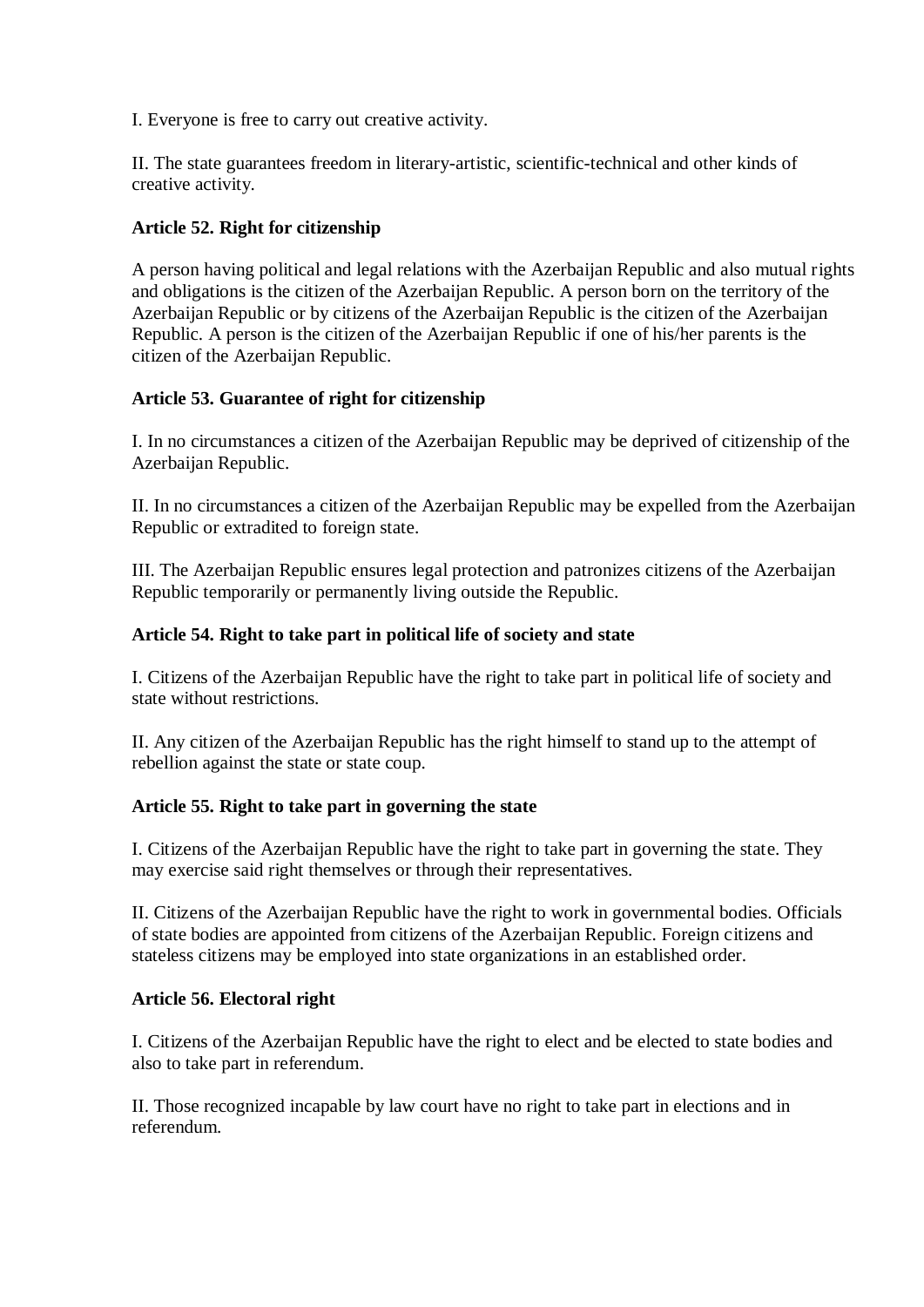I. Everyone is free to carry out creative activity.

II. The state guarantees freedom in literary-artistic, scientific-technical and other kinds of creative activity.

## **Article 52. Right for citizenship**

A person having political and legal relations with the Azerbaijan Republic and also mutual rights and obligations is the citizen of the Azerbaijan Republic. A person born on the territory of the Azerbaijan Republic or by citizens of the Azerbaijan Republic is the citizen of the Azerbaijan Republic. A person is the citizen of the Azerbaijan Republic if one of his/her parents is the citizen of the Azerbaijan Republic.

#### **Article 53. Guarantee of right for citizenship**

I. In no circumstances a citizen of the Azerbaijan Republic may be deprived of citizenship of the Azerbaijan Republic.

II. In no circumstances a citizen of the Azerbaijan Republic may be expelled from the Azerbaijan Republic or extradited to foreign state.

III. The Azerbaijan Republic ensures legal protection and patronizes citizens of the Azerbaijan Republic temporarily or permanently living outside the Republic.

## **Article 54. Right to take part in political life of society and state**

I. Citizens of the Azerbaijan Republic have the right to take part in political life of society and state without restrictions.

II. Any citizen of the Azerbaijan Republic has the right himself to stand up to the attempt of rebellion against the state or state coup.

#### **Article 55. Right to take part in governing the state**

I. Citizens of the Azerbaijan Republic have the right to take part in governing the state. They may exercise said right themselves or through their representatives.

II. Citizens of the Azerbaijan Republic have the right to work in governmental bodies. Officials of state bodies are appointed from citizens of the Azerbaijan Republic. Foreign citizens and stateless citizens may be employed into state organizations in an established order.

#### **Article 56. Electoral right**

I. Citizens of the Azerbaijan Republic have the right to elect and be elected to state bodies and also to take part in referendum.

II. Those recognized incapable by law court have no right to take part in elections and in referendum.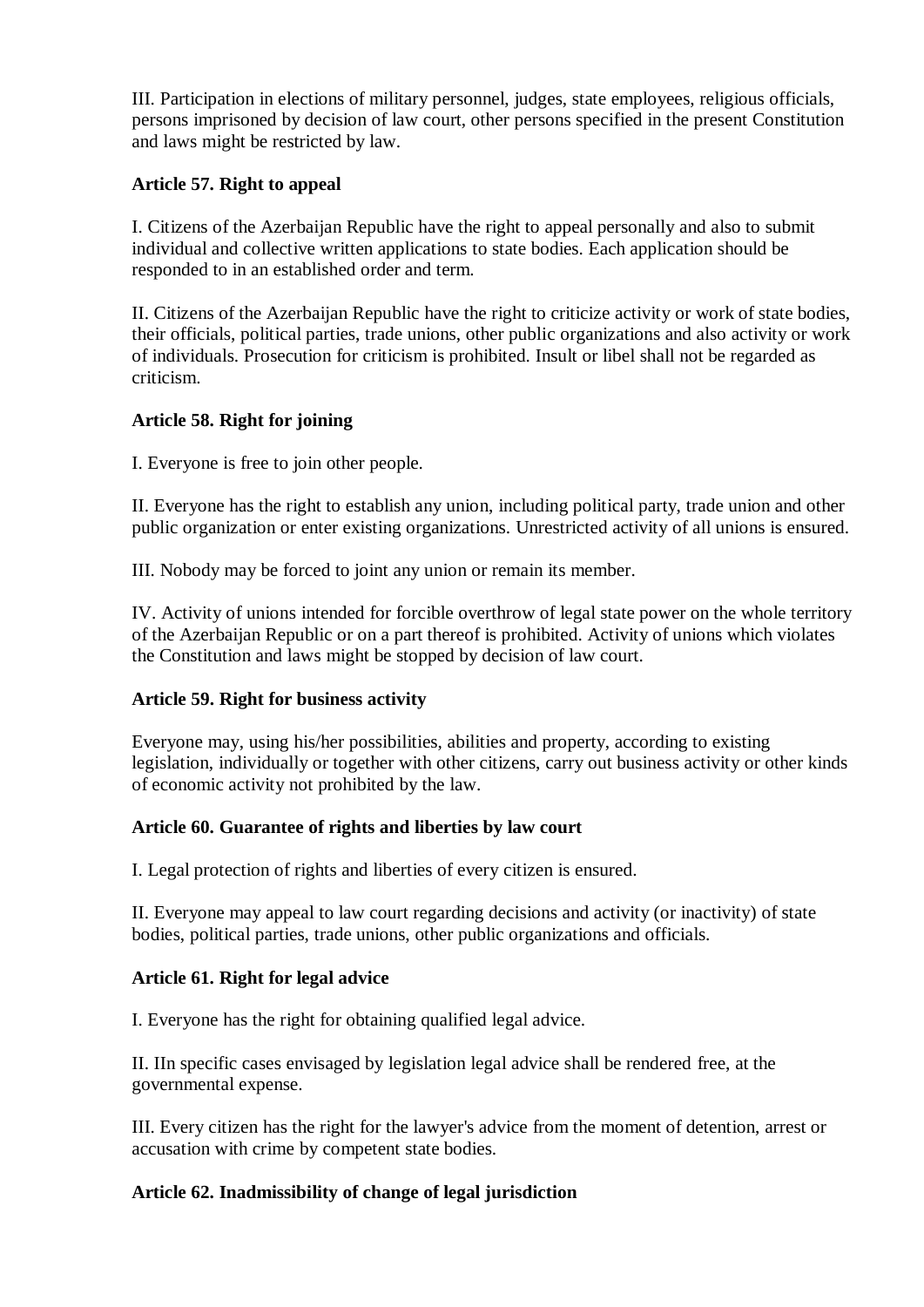III. Participation in elections of military personnel, judges, state employees, religious officials, persons imprisoned by decision of law court, other persons specified in the present Constitution and laws might be restricted by law.

#### **Article 57. Right to appeal**

I. Citizens of the Azerbaijan Republic have the right to appeal personally and also to submit individual and collective written applications to state bodies. Each application should be responded to in an established order and term.

II. Citizens of the Azerbaijan Republic have the right to criticize activity or work of state bodies, their officials, political parties, trade unions, other public organizations and also activity or work of individuals. Prosecution for criticism is prohibited. Insult or libel shall not be regarded as criticism.

## **Article 58. Right for joining**

I. Everyone is free to join other people.

II. Everyone has the right to establish any union, including political party, trade union and other public organization or enter existing organizations. Unrestricted activity of all unions is ensured.

III. Nobody may be forced to joint any union or remain its member.

IV. Activity of unions intended for forcible overthrow of legal state power on the whole territory of the Azerbaijan Republic or on a part thereof is prohibited. Activity of unions which violates the Constitution and laws might be stopped by decision of law court.

#### **Article 59. Right for business activity**

Everyone may, using his/her possibilities, abilities and property, according to existing legislation, individually or together with other citizens, carry out business activity or other kinds of economic activity not prohibited by the law.

#### **Article 60. Guarantee of rights and liberties by law court**

I. Legal protection of rights and liberties of every citizen is ensured.

II. Everyone may appeal to law court regarding decisions and activity (or inactivity) of state bodies, political parties, trade unions, other public organizations and officials.

#### **Article 61. Right for legal advice**

I. Everyone has the right for obtaining qualified legal advice.

II. IIn specific cases envisaged by legislation legal advice shall be rendered free, at the governmental expense.

III. Every citizen has the right for the lawyer's advice from the moment of detention, arrest or accusation with crime by competent state bodies.

## **Article 62. Inadmissibility of change of legal jurisdiction**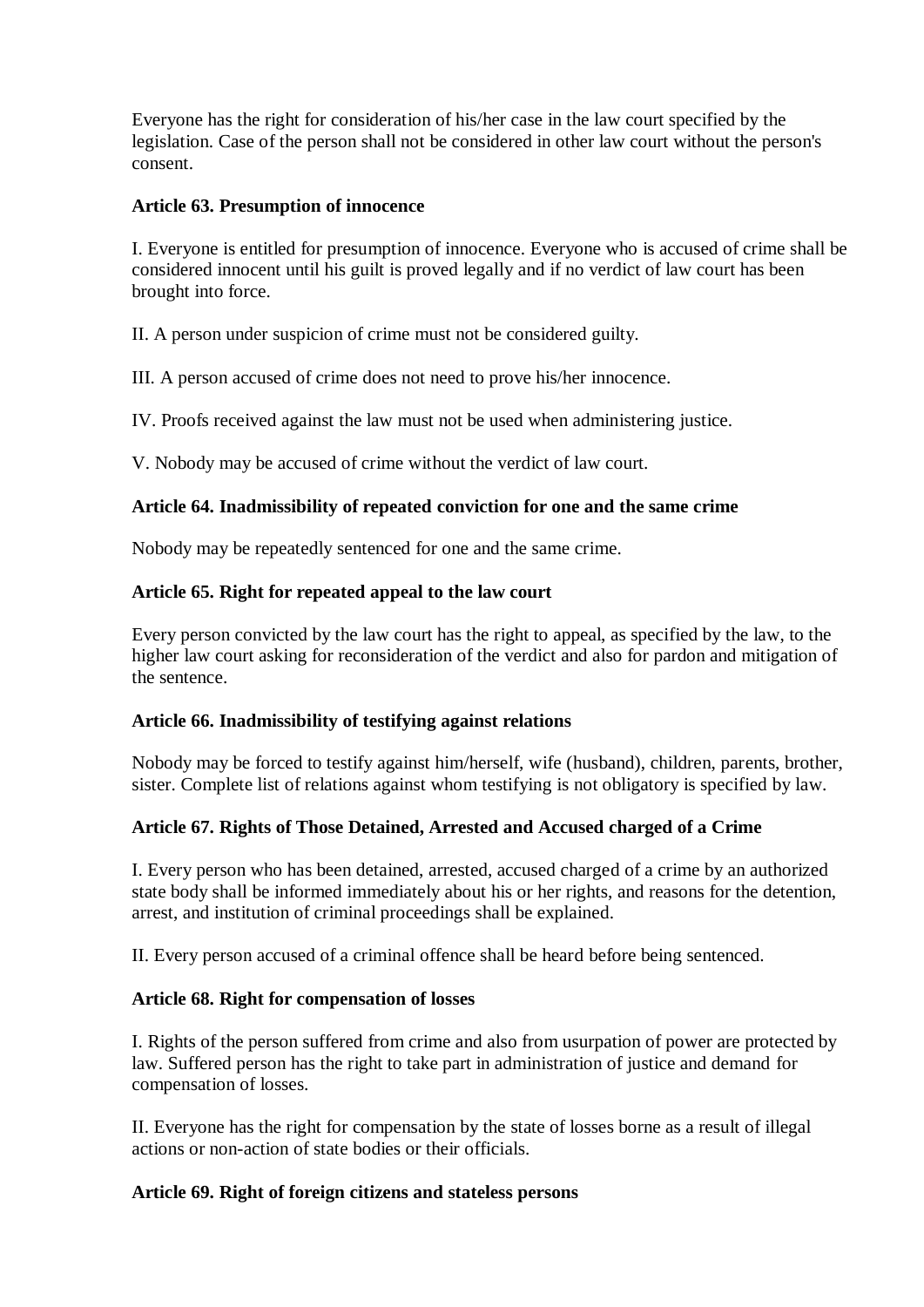Everyone has the right for consideration of his/her case in the law court specified by the legislation. Case of the person shall not be considered in other law court without the person's consent.

## **Article 63. Presumption of innocence**

I. Everyone is entitled for presumption of innocence. Everyone who is accused of crime shall be considered innocent until his guilt is proved legally and if no verdict of law court has been brought into force.

II. A person under suspicion of crime must not be considered guilty.

III. A person accused of crime does not need to prove his/her innocence.

IV. Proofs received against the law must not be used when administering justice.

V. Nobody may be accused of crime without the verdict of law court.

## **Article 64. Inadmissibility of repeated conviction for one and the same crime**

Nobody may be repeatedly sentenced for one and the same crime.

## **Article 65. Right for repeated appeal to the law court**

Every person convicted by the law court has the right to appeal, as specified by the law, to the higher law court asking for reconsideration of the verdict and also for pardon and mitigation of the sentence.

## **Article 66. Inadmissibility of testifying against relations**

Nobody may be forced to testify against him/herself, wife (husband), children, parents, brother, sister. Complete list of relations against whom testifying is not obligatory is specified by law.

## **Article 67. Rights of Those Detained, Arrested and Accused charged of a Crime**

I. Every person who has been detained, arrested, accused charged of a crime by an authorized state body shall be informed immediately about his or her rights, and reasons for the detention, arrest, and institution of criminal proceedings shall be explained.

II. Every person accused of a criminal offence shall be heard before being sentenced.

#### **Article 68. Right for compensation of losses**

I. Rights of the person suffered from crime and also from usurpation of power are protected by law. Suffered person has the right to take part in administration of justice and demand for compensation of losses.

II. Everyone has the right for compensation by the state of losses borne as a result of illegal actions or non-action of state bodies or their officials.

## **Article 69. Right of foreign citizens and stateless persons**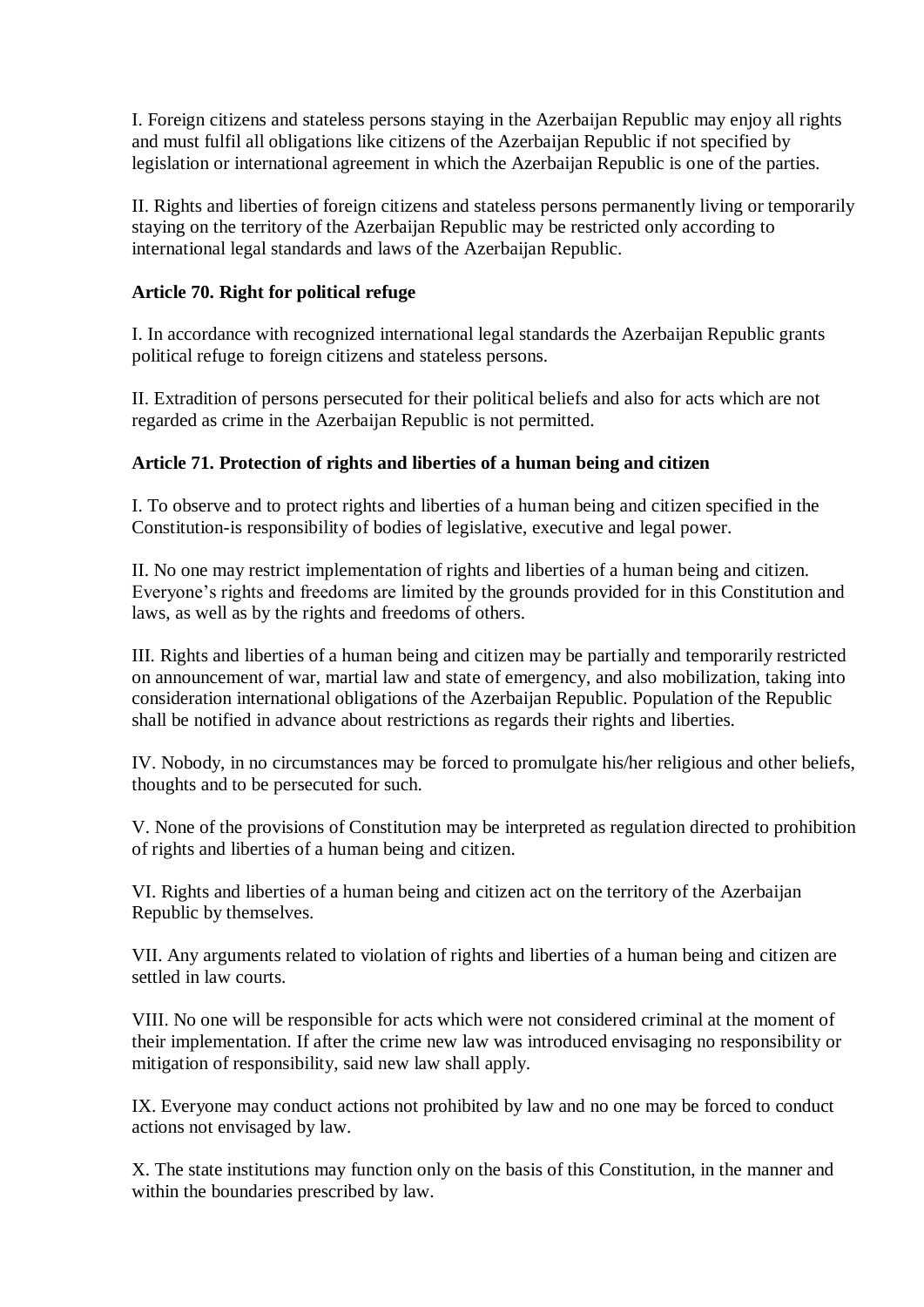I. Foreign citizens and stateless persons staying in the Azerbaijan Republic may enjoy all rights and must fulfil all obligations like citizens of the Azerbaijan Republic if not specified by legislation or international agreement in which the Azerbaijan Republic is one of the parties.

II. Rights and liberties of foreign citizens and stateless persons permanently living or temporarily staying on the territory of the Azerbaijan Republic may be restricted only according to international legal standards and laws of the Azerbaijan Republic.

## **Article 70. Right for political refuge**

I. In accordance with recognized international legal standards the Azerbaijan Republic grants political refuge to foreign citizens and stateless persons.

II. Extradition of persons persecuted for their political beliefs and also for acts which are not regarded as crime in the Azerbaijan Republic is not permitted.

# **Article 71. Protection of rights and liberties of a human being and citizen**

I. To observe and to protect rights and liberties of a human being and citizen specified in the Constitution-is responsibility of bodies of legislative, executive and legal power.

II. No one may restrict implementation of rights and liberties of a human being and citizen. Everyone's rights and freedoms are limited by the grounds provided for in this Constitution and laws, as well as by the rights and freedoms of others.

III. Rights and liberties of a human being and citizen may be partially and temporarily restricted on announcement of war, martial law and state of emergency, and also mobilization, taking into consideration international obligations of the Azerbaijan Republic. Population of the Republic shall be notified in advance about restrictions as regards their rights and liberties.

IV. Nobody, in no circumstances may be forced to promulgate his/her religious and other beliefs, thoughts and to be persecuted for such.

V. None of the provisions of Constitution may be interpreted as regulation directed to prohibition of rights and liberties of a human being and citizen.

VI. Rights and liberties of a human being and citizen act on the territory of the Azerbaijan Republic by themselves.

VII. Any arguments related to violation of rights and liberties of a human being and citizen are settled in law courts.

VIII. No one will be responsible for acts which were not considered criminal at the moment of their implementation. If after the crime new law was introduced envisaging no responsibility or mitigation of responsibility, said new law shall apply.

IX. Everyone may conduct actions not prohibited by law and no one may be forced to conduct actions not envisaged by law.

X. The state institutions may function only on the basis of this Constitution, in the manner and within the boundaries prescribed by law.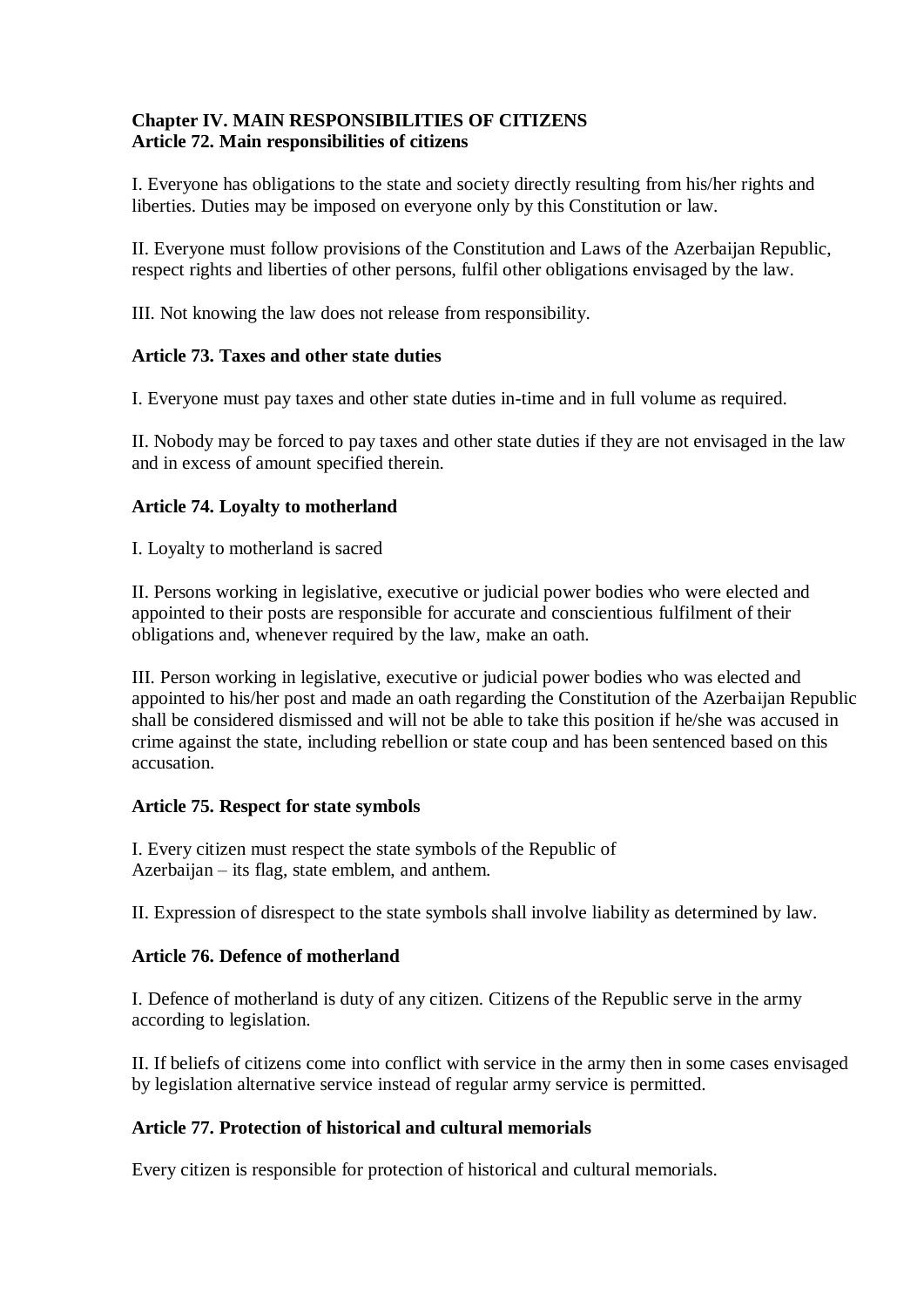## **Chapter IV. MAIN RESPONSIBILITIES OF CITIZENS Article 72. Main responsibilities of citizens**

I. Everyone has obligations to the state and society directly resulting from his/her rights and liberties. Duties may be imposed on everyone only by this Constitution or law.

II. Everyone must follow provisions of the Constitution and Laws of the Azerbaijan Republic, respect rights and liberties of other persons, fulfil other obligations envisaged by the law.

III. Not knowing the law does not release from responsibility.

## **Article 73. Taxes and other state duties**

I. Everyone must pay taxes and other state duties in-time and in full volume as required.

II. Nobody may be forced to pay taxes and other state duties if they are not envisaged in the law and in excess of amount specified therein.

#### **Article 74. Loyalty to motherland**

I. Loyalty to motherland is sacred

II. Persons working in legislative, executive or judicial power bodies who were elected and appointed to their posts are responsible for accurate and conscientious fulfilment of their obligations and, whenever required by the law, make an oath.

III. Person working in legislative, executive or judicial power bodies who was elected and appointed to his/her post and made an oath regarding the Constitution of the Azerbaijan Republic shall be considered dismissed and will not be able to take this position if he/she was accused in crime against the state, including rebellion or state coup and has been sentenced based on this accusation.

#### **Article 75. Respect for state symbols**

I. Every citizen must respect the state symbols of the Republic of Azerbaijan – its flag, state emblem, and anthem.

II. Expression of disrespect to the state symbols shall involve liability as determined by law.

#### **Article 76. Defence of motherland**

I. Defence of motherland is duty of any citizen. Citizens of the Republic serve in the army according to legislation.

II. If beliefs of citizens come into conflict with service in the army then in some cases envisaged by legislation alternative service instead of regular army service is permitted.

## **Article 77. Protection of historical and cultural memorials**

Every citizen is responsible for protection of historical and cultural memorials.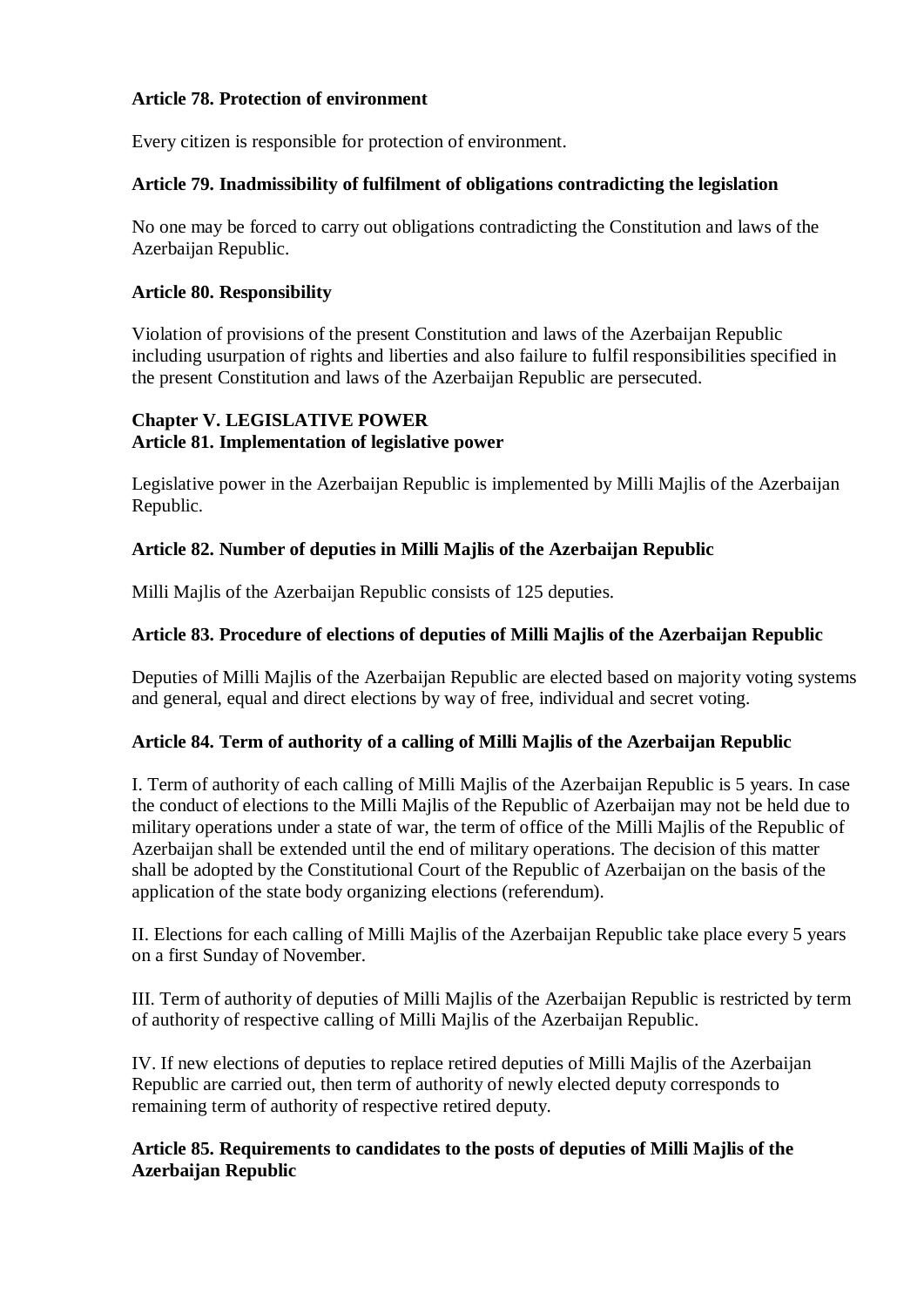## **Article 78. Protection of environment**

Every citizen is responsible for protection of environment.

#### **Article 79. Inadmissibility of fulfilment of obligations contradicting the legislation**

No one may be forced to carry out obligations contradicting the Constitution and laws of the Azerbaijan Republic.

#### **Article 80. Responsibility**

Violation of provisions of the present Constitution and laws of the Azerbaijan Republic including usurpation of rights and liberties and also failure to fulfil responsibilities specified in the present Constitution and laws of the Azerbaijan Republic are persecuted.

#### **Chapter V. LEGISLATIVE POWER Article 81. Implementation of legislative power**

Legislative power in the Azerbaijan Republic is implemented by Milli Majlis of the Azerbaijan Republic.

## **Article 82. Number of deputies in Milli Majlis of the Azerbaijan Republic**

Milli Majlis of the Azerbaijan Republic consists of 125 deputies.

## **Article 83. Procedure of elections of deputies of Milli Majlis of the Azerbaijan Republic**

Deputies of Milli Majlis of the Azerbaijan Republic are elected based on majority voting systems and general, equal and direct elections by way of free, individual and secret voting.

## **Article 84. Term of authority of a calling of Milli Majlis of the Azerbaijan Republic**

I. Term of authority of each calling of Milli Majlis of the Azerbaijan Republic is 5 years. In case the conduct of elections to the Milli Majlis of the Republic of Azerbaijan may not be held due to military operations under a state of war, the term of office of the Milli Majlis of the Republic of Azerbaijan shall be extended until the end of military operations. The decision of this matter shall be adopted by the Constitutional Court of the Republic of Azerbaijan on the basis of the application of the state body organizing elections (referendum).

II. Elections for each calling of Milli Majlis of the Azerbaijan Republic take place every 5 years on a first Sunday of November.

III. Term of authority of deputies of Milli Majlis of the Azerbaijan Republic is restricted by term of authority of respective calling of Milli Majlis of the Azerbaijan Republic.

IV. If new elections of deputies to replace retired deputies of Milli Majlis of the Azerbaijan Republic are carried out, then term of authority of newly elected deputy corresponds to remaining term of authority of respective retired deputy.

#### **Article 85. Requirements to candidates to the posts of deputies of Milli Majlis of the Azerbaijan Republic**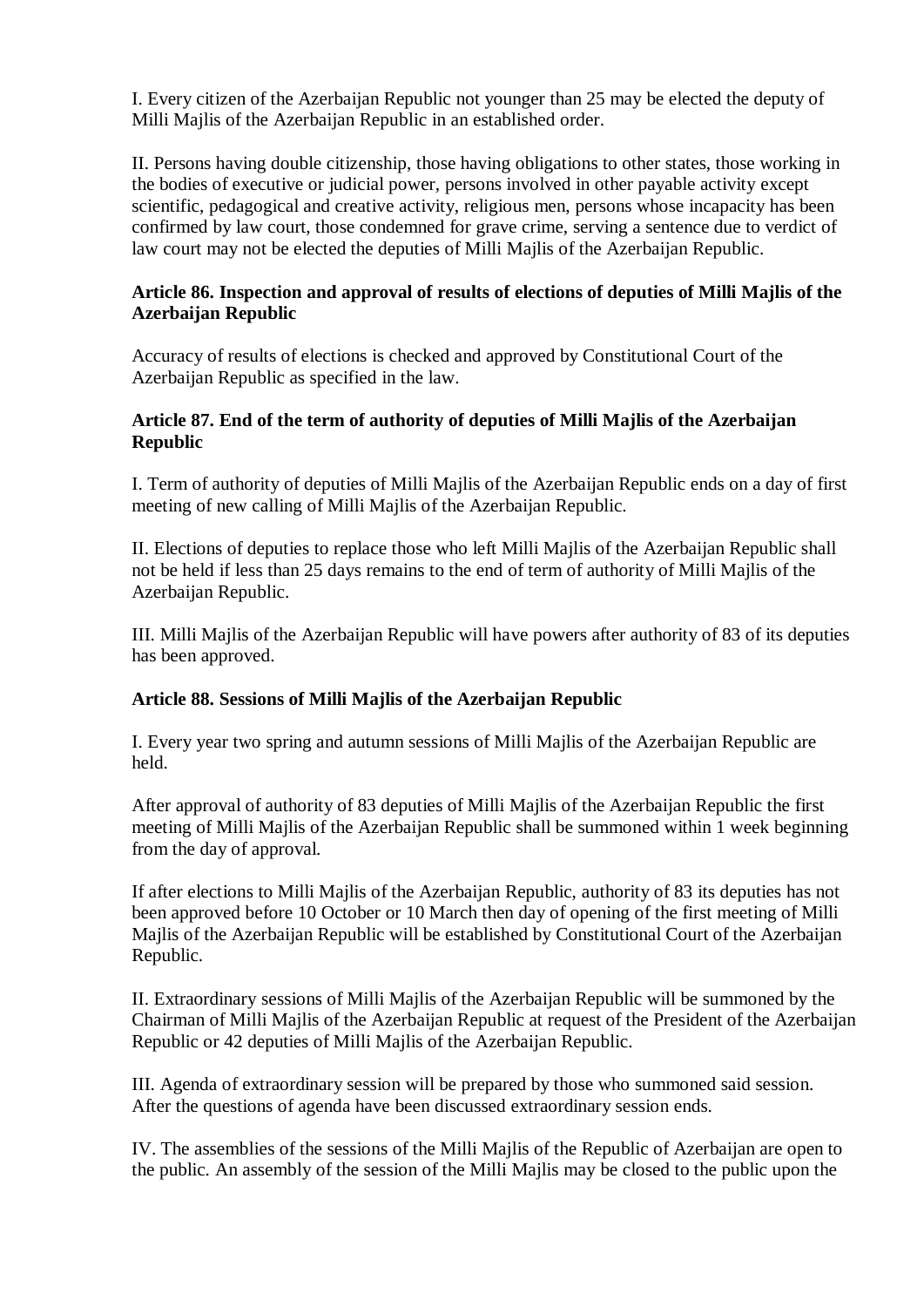I. Every citizen of the Azerbaijan Republic not younger than 25 may be elected the deputy of Milli Majlis of the Azerbaijan Republic in an established order.

II. Persons having double citizenship, those having obligations to other states, those working in the bodies of executive or judicial power, persons involved in other payable activity except scientific, pedagogical and creative activity, religious men, persons whose incapacity has been confirmed by law court, those condemned for grave crime, serving a sentence due to verdict of law court may not be elected the deputies of Milli Majlis of the Azerbaijan Republic.

## **Article 86. Inspection and approval of results of elections of deputies of Milli Majlis of the Azerbaijan Republic**

Accuracy of results of elections is checked and approved by Constitutional Court of the Azerbaijan Republic as specified in the law.

## **Article 87. End of the term of authority of deputies of Milli Majlis of the Azerbaijan Republic**

I. Term of authority of deputies of Milli Majlis of the Azerbaijan Republic ends on a day of first meeting of new calling of Milli Majlis of the Azerbaijan Republic.

II. Elections of deputies to replace those who left Milli Majlis of the Azerbaijan Republic shall not be held if less than 25 days remains to the end of term of authority of Milli Majlis of the Azerbaijan Republic.

III. Milli Majlis of the Azerbaijan Republic will have powers after authority of 83 of its deputies has been approved.

## **Article 88. Sessions of Milli Majlis of the Azerbaijan Republic**

I. Every year two spring and autumn sessions of Milli Majlis of the Azerbaijan Republic are held.

After approval of authority of 83 deputies of Milli Majlis of the Azerbaijan Republic the first meeting of Milli Majlis of the Azerbaijan Republic shall be summoned within 1 week beginning from the day of approval.

If after elections to Milli Majlis of the Azerbaijan Republic, authority of 83 its deputies has not been approved before 10 October or 10 March then day of opening of the first meeting of Milli Majlis of the Azerbaijan Republic will be established by Constitutional Court of the Azerbaijan Republic.

II. Extraordinary sessions of Milli Majlis of the Azerbaijan Republic will be summoned by the Chairman of Milli Majlis of the Azerbaijan Republic at request of the President of the Azerbaijan Republic or 42 deputies of Milli Majlis of the Azerbaijan Republic.

III. Agenda of extraordinary session will be prepared by those who summoned said session. After the questions of agenda have been discussed extraordinary session ends.

IV. The assemblies of the sessions of the Milli Majlis of the Republic of Azerbaijan are open to the public. An assembly of the session of the Milli Majlis may be closed to the public upon the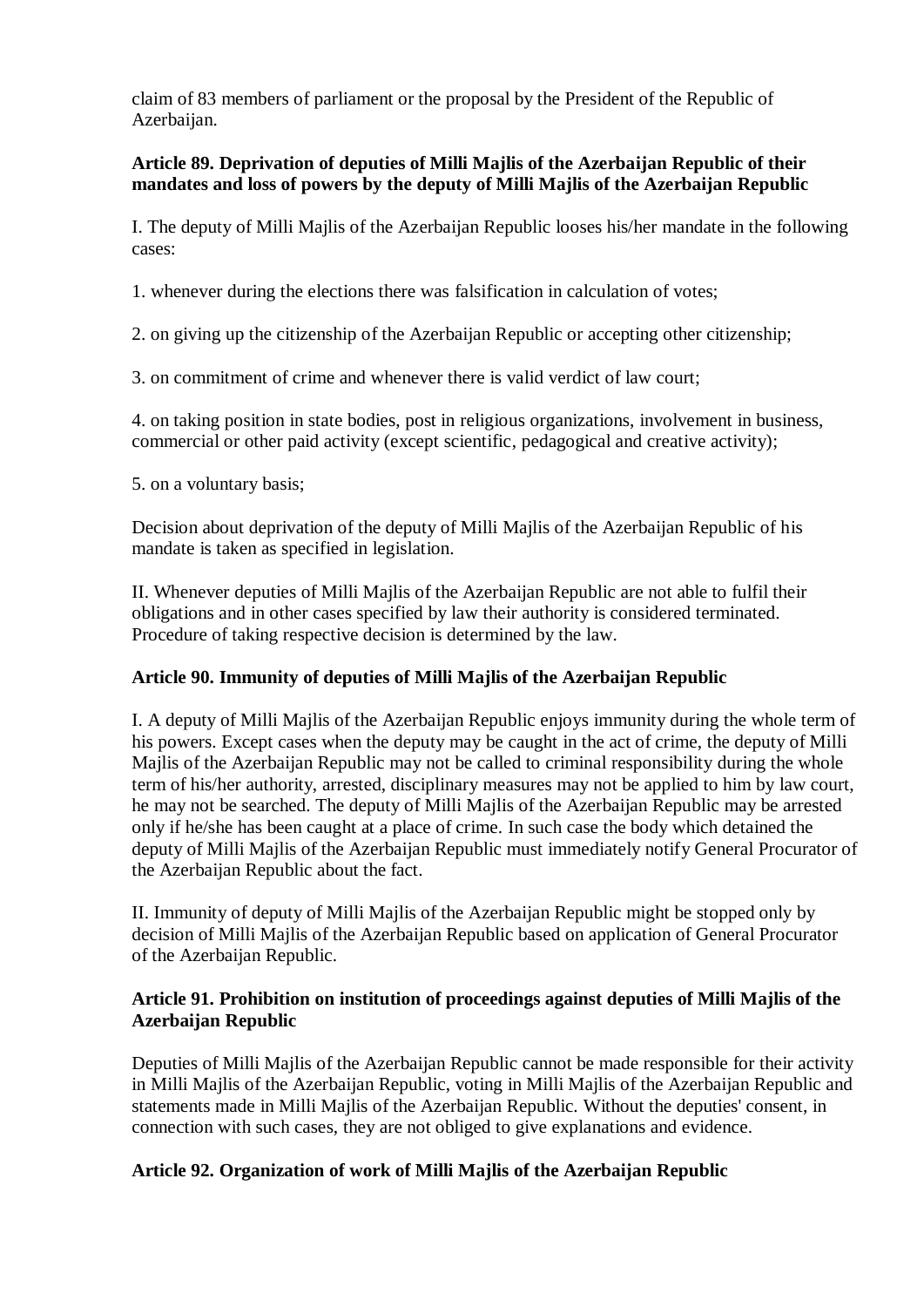claim of 83 members of parliament or the proposal by the President of the Republic of Azerbaijan.

## **Article 89. Deprivation of deputies of Milli Majlis of the Azerbaijan Republic of their mandates and loss of powers by the deputy of Milli Majlis of the Azerbaijan Republic**

I. The deputy of Milli Majlis of the Azerbaijan Republic looses his/her mandate in the following cases:

1. whenever during the elections there was falsification in calculation of votes;

2. on giving up the citizenship of the Azerbaijan Republic or accepting other citizenship;

3. on commitment of crime and whenever there is valid verdict of law court;

4. on taking position in state bodies, post in religious organizations, involvement in business, commercial or other paid activity (except scientific, pedagogical and creative activity);

5. on a voluntary basis;

Decision about deprivation of the deputy of Milli Majlis of the Azerbaijan Republic of his mandate is taken as specified in legislation.

II. Whenever deputies of Milli Majlis of the Azerbaijan Republic are not able to fulfil their obligations and in other cases specified by law their authority is considered terminated. Procedure of taking respective decision is determined by the law.

## **Article 90. Immunity of deputies of Milli Majlis of the Azerbaijan Republic**

I. A deputy of Milli Majlis of the Azerbaijan Republic enjoys immunity during the whole term of his powers. Except cases when the deputy may be caught in the act of crime, the deputy of Milli Majlis of the Azerbaijan Republic may not be called to criminal responsibility during the whole term of his/her authority, arrested, disciplinary measures may not be applied to him by law court, he may not be searched. The deputy of Milli Majlis of the Azerbaijan Republic may be arrested only if he/she has been caught at a place of crime. In such case the body which detained the deputy of Milli Majlis of the Azerbaijan Republic must immediately notify General Procurator of the Azerbaijan Republic about the fact.

II. Immunity of deputy of Milli Majlis of the Azerbaijan Republic might be stopped only by decision of Milli Majlis of the Azerbaijan Republic based on application of General Procurator of the Azerbaijan Republic.

## **Article 91. Prohibition on institution of proceedings against deputies of Milli Majlis of the Azerbaijan Republic**

Deputies of Milli Majlis of the Azerbaijan Republic cannot be made responsible for their activity in Milli Majlis of the Azerbaijan Republic, voting in Milli Majlis of the Azerbaijan Republic and statements made in Milli Majlis of the Azerbaijan Republic. Without the deputies' consent, in connection with such cases, they are not obliged to give explanations and evidence.

# **Article 92. Organization of work of Milli Majlis of the Azerbaijan Republic**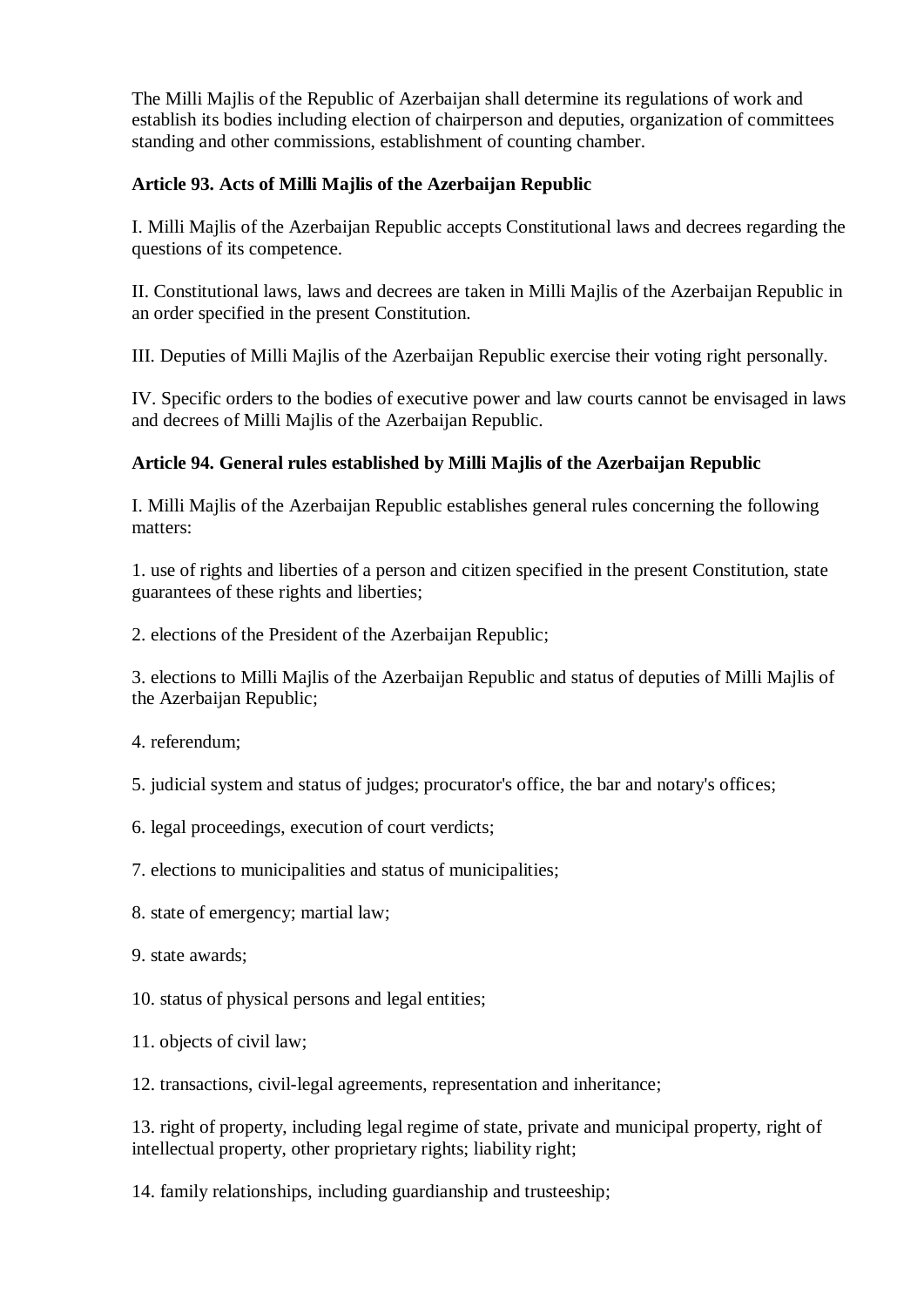The Milli Majlis of the Republic of Azerbaijan shall determine its regulations of work and establish its bodies including election of chairperson and deputies, organization of committees standing and other commissions, establishment of counting chamber.

## **Article 93. Acts of Milli Majlis of the Azerbaijan Republic**

I. Milli Majlis of the Azerbaijan Republic accepts Constitutional laws and decrees regarding the questions of its competence.

II. Constitutional laws, laws and decrees are taken in Milli Majlis of the Azerbaijan Republic in an order specified in the present Constitution.

III. Deputies of Milli Majlis of the Azerbaijan Republic exercise their voting right personally.

IV. Specific orders to the bodies of executive power and law courts cannot be envisaged in laws and decrees of Milli Majlis of the Azerbaijan Republic.

# **Article 94. General rules established by Milli Majlis of the Azerbaijan Republic**

I. Milli Majlis of the Azerbaijan Republic establishes general rules concerning the following matters:

1. use of rights and liberties of a person and citizen specified in the present Constitution, state guarantees of these rights and liberties;

2. elections of the President of the Azerbaijan Republic;

3. elections to Milli Majlis of the Azerbaijan Republic and status of deputies of Milli Majlis of the Azerbaijan Republic;

4. referendum;

5. judicial system and status of judges; procurator's office, the bar and notary's offices;

- 6. legal proceedings, execution of court verdicts;
- 7. elections to municipalities and status of municipalities;
- 8. state of emergency; martial law;
- 9. state awards;
- 10. status of physical persons and legal entities;
- 11. objects of civil law;

12. transactions, civil-legal agreements, representation and inheritance;

13. right of property, including legal regime of state, private and municipal property, right of intellectual property, other proprietary rights; liability right;

14. family relationships, including guardianship and trusteeship;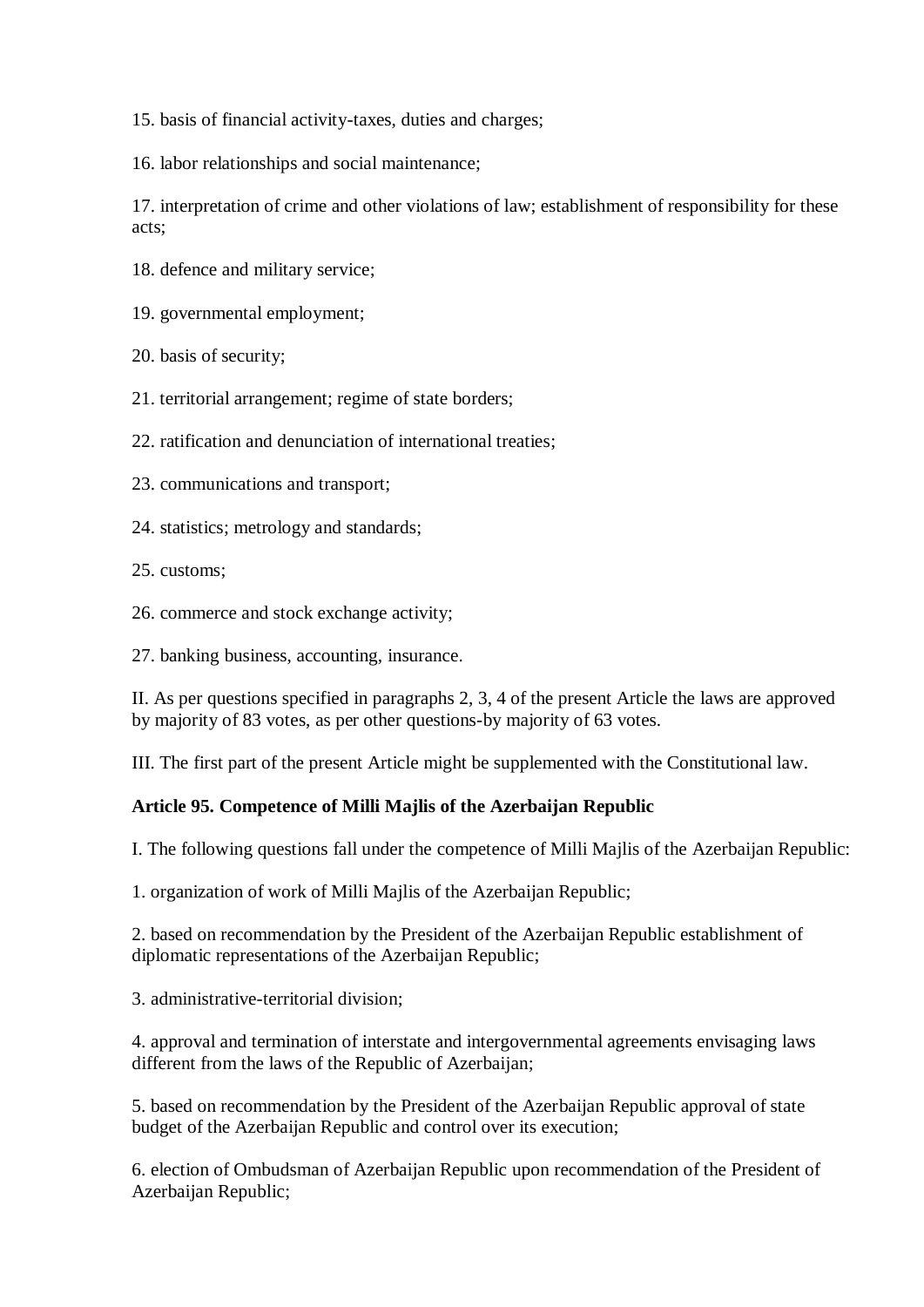15. basis of financial activity-taxes, duties and charges;

16. labor relationships and social maintenance;

17. interpretation of crime and other violations of law; establishment of responsibility for these acts;

- 18. defence and military service;
- 19. governmental employment;
- 20. basis of security;
- 21. territorial arrangement; regime of state borders;
- 22. ratification and denunciation of international treaties;
- 23. communications and transport;
- 24. statistics; metrology and standards;
- 25. customs;
- 26. commerce and stock exchange activity;
- 27. banking business, accounting, insurance.

II. As per questions specified in paragraphs 2, 3, 4 of the present Article the laws are approved by majority of 83 votes, as per other questions-by majority of 63 votes.

III. The first part of the present Article might be supplemented with the Constitutional law.

## **Article 95. Competence of Milli Majlis of the Azerbaijan Republic**

I. The following questions fall under the competence of Milli Majlis of the Azerbaijan Republic:

1. organization of work of Milli Majlis of the Azerbaijan Republic;

2. based on recommendation by the President of the Azerbaijan Republic establishment of diplomatic representations of the Azerbaijan Republic;

3. administrative-territorial division;

4. approval and termination of interstate and intergovernmental agreements envisaging laws different from the laws of the Republic of Azerbaijan;

5. based on recommendation by the President of the Azerbaijan Republic approval of state budget of the Azerbaijan Republic and control over its execution;

6. election of Ombudsman of Azerbaijan Republic upon recommendation of the President of Azerbaijan Republic;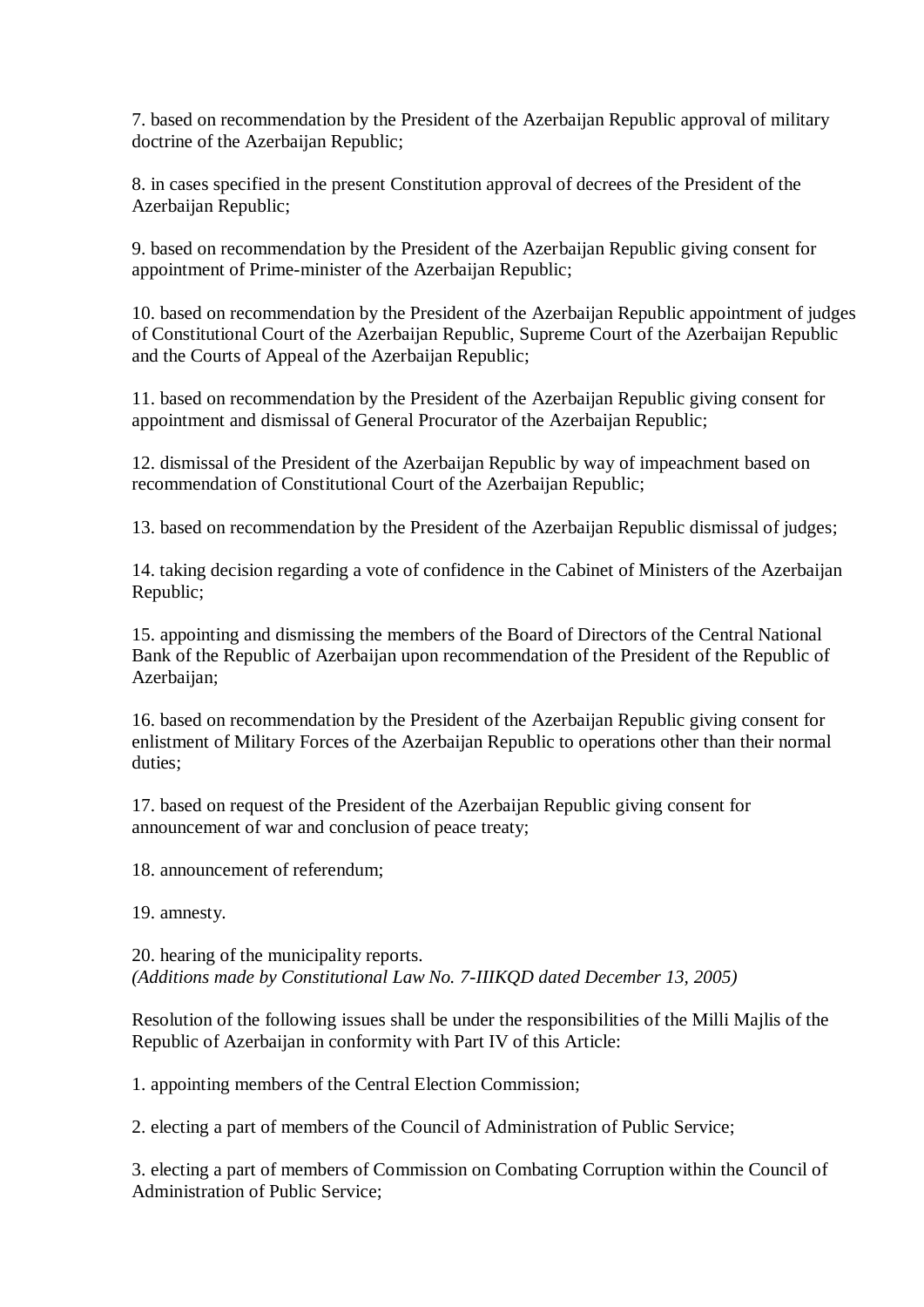7. based on recommendation by the President of the Azerbaijan Republic approval of military doctrine of the Azerbaijan Republic;

8. in cases specified in the present Constitution approval of decrees of the President of the Azerbaijan Republic;

9. based on recommendation by the President of the Azerbaijan Republic giving consent for appointment of Prime-minister of the Azerbaijan Republic;

10. based on recommendation by the President of the Azerbaijan Republic appointment of judges of Constitutional Court of the Azerbaijan Republic, Supreme Court of the Azerbaijan Republic and the Courts of Appeal of the Azerbaijan Republic;

11. based on recommendation by the President of the Azerbaijan Republic giving consent for appointment and dismissal of General Procurator of the Azerbaijan Republic;

12. dismissal of the President of the Azerbaijan Republic by way of impeachment based on recommendation of Constitutional Court of the Azerbaijan Republic:

13. based on recommendation by the President of the Azerbaijan Republic dismissal of judges;

14. taking decision regarding a vote of confidence in the Cabinet of Ministers of the Azerbaijan Republic;

15. appointing and dismissing the members of the Board of Directors of the Central National Bank of the Republic of Azerbaijan upon recommendation of the President of the Republic of Azerbaijan:

16. based on recommendation by the President of the Azerbaijan Republic giving consent for enlistment of Military Forces of the Azerbaijan Republic to operations other than their normal duties;

17. based on request of the President of the Azerbaijan Republic giving consent for announcement of war and conclusion of peace treaty;

18. announcement of referendum;

19. amnesty.

20. hearing of the municipality reports. *(Additions made by Constitutional Law No. 7-IIIKQD dated December 13, 2005)*

Resolution of the following issues shall be under the responsibilities of the Milli Majlis of the Republic of Azerbaijan in conformity with Part IV of this Article:

1. appointing members of the Central Election Commission;

2. electing a part of members of the Council of Administration of Public Service;

3. electing a part of members of Commission on Combating Corruption within the Council of Administration of Public Service;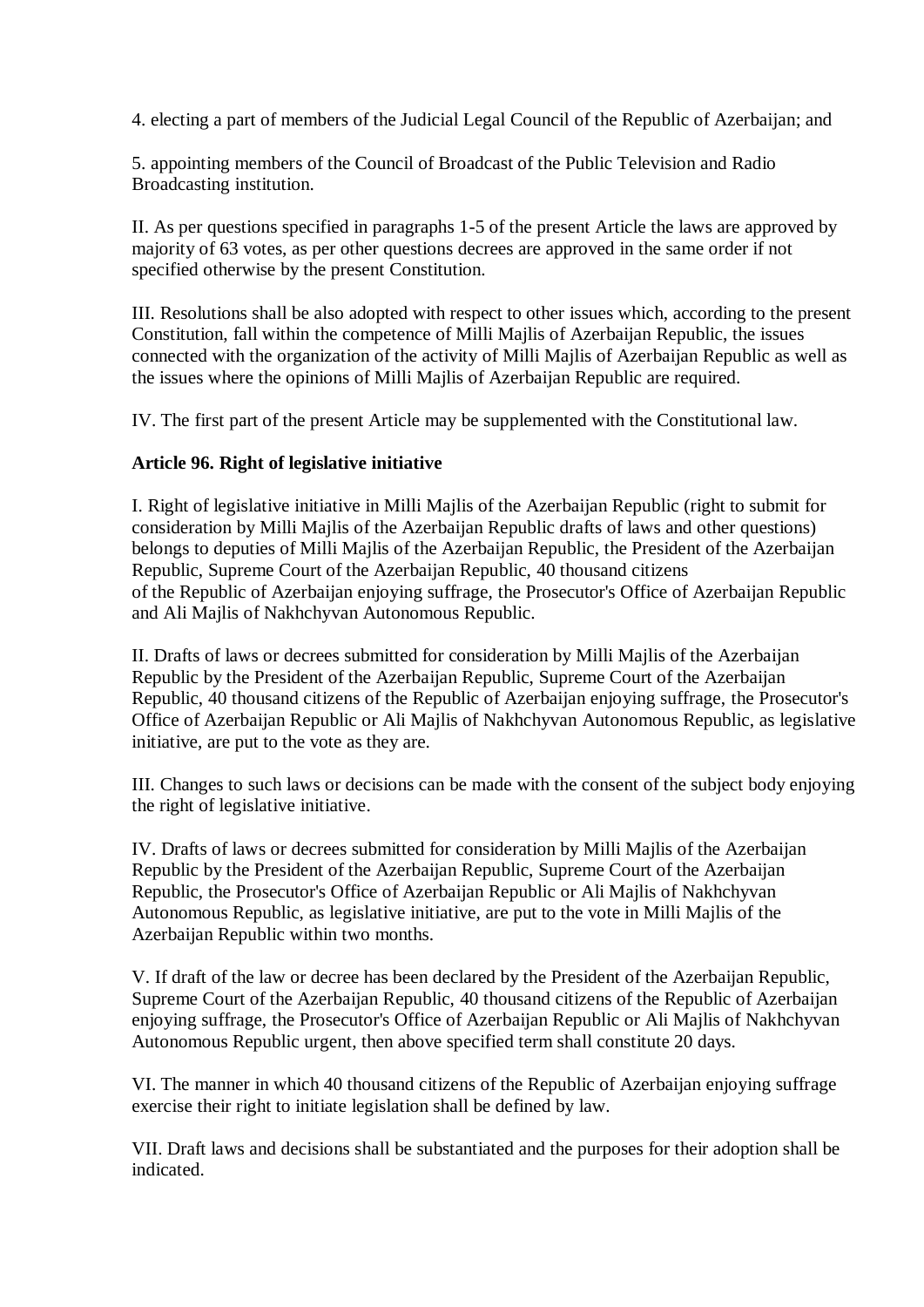4. electing a part of members of the Judicial Legal Council of the Republic of Azerbaijan; and

5. appointing members of the Council of Broadcast of the Public Television and Radio Broadcasting institution.

II. As per questions specified in paragraphs 1-5 of the present Article the laws are approved by majority of 63 votes, as per other questions decrees are approved in the same order if not specified otherwise by the present Constitution.

III. Resolutions shall be also adopted with respect to other issues which, according to the present Constitution, fall within the competence of Milli Majlis of Azerbaijan Republic, the issues connected with the organization of the activity of Milli Majlis of Azerbaijan Republic as well as the issues where the opinions of Milli Majlis of Azerbaijan Republic are required.

IV. The first part of the present Article may be supplemented with the Constitutional law.

#### **Article 96. Right of legislative initiative**

I. Right of legislative initiative in Milli Majlis of the Azerbaijan Republic (right to submit for consideration by Milli Majlis of the Azerbaijan Republic drafts of laws and other questions) belongs to deputies of Milli Majlis of the Azerbaijan Republic, the President of the Azerbaijan Republic, Supreme Court of the Azerbaijan Republic, 40 thousand citizens of the Republic of Azerbaijan enjoying suffrage, the Prosecutor's Office of Azerbaijan Republic and Ali Majlis of Nakhchyvan Autonomous Republic.

II. Drafts of laws or decrees submitted for consideration by Milli Majlis of the Azerbaijan Republic by the President of the Azerbaijan Republic, Supreme Court of the Azerbaijan Republic, 40 thousand citizens of the Republic of Azerbaijan enjoying suffrage, the Prosecutor's Office of Azerbaijan Republic or Ali Majlis of Nakhchyvan Autonomous Republic, as legislative initiative, are put to the vote as they are.

III. Changes to such laws or decisions can be made with the consent of the subject body enjoying the right of legislative initiative.

IV. Drafts of laws or decrees submitted for consideration by Milli Majlis of the Azerbaijan Republic by the President of the Azerbaijan Republic, Supreme Court of the Azerbaijan Republic, the Prosecutor's Office of Azerbaijan Republic or Ali Majlis of Nakhchyvan Autonomous Republic, as legislative initiative, are put to the vote in Milli Majlis of the Azerbaijan Republic within two months.

V. If draft of the law or decree has been declared by the President of the Azerbaijan Republic, Supreme Court of the Azerbaijan Republic, 40 thousand citizens of the Republic of Azerbaijan enjoying suffrage, the Prosecutor's Office of Azerbaijan Republic or Ali Majlis of Nakhchyvan Autonomous Republic urgent, then above specified term shall constitute 20 days.

VI. The manner in which 40 thousand citizens of the Republic of Azerbaijan enjoying suffrage exercise their right to initiate legislation shall be defined by law.

VII. Draft laws and decisions shall be substantiated and the purposes for their adoption shall be indicated.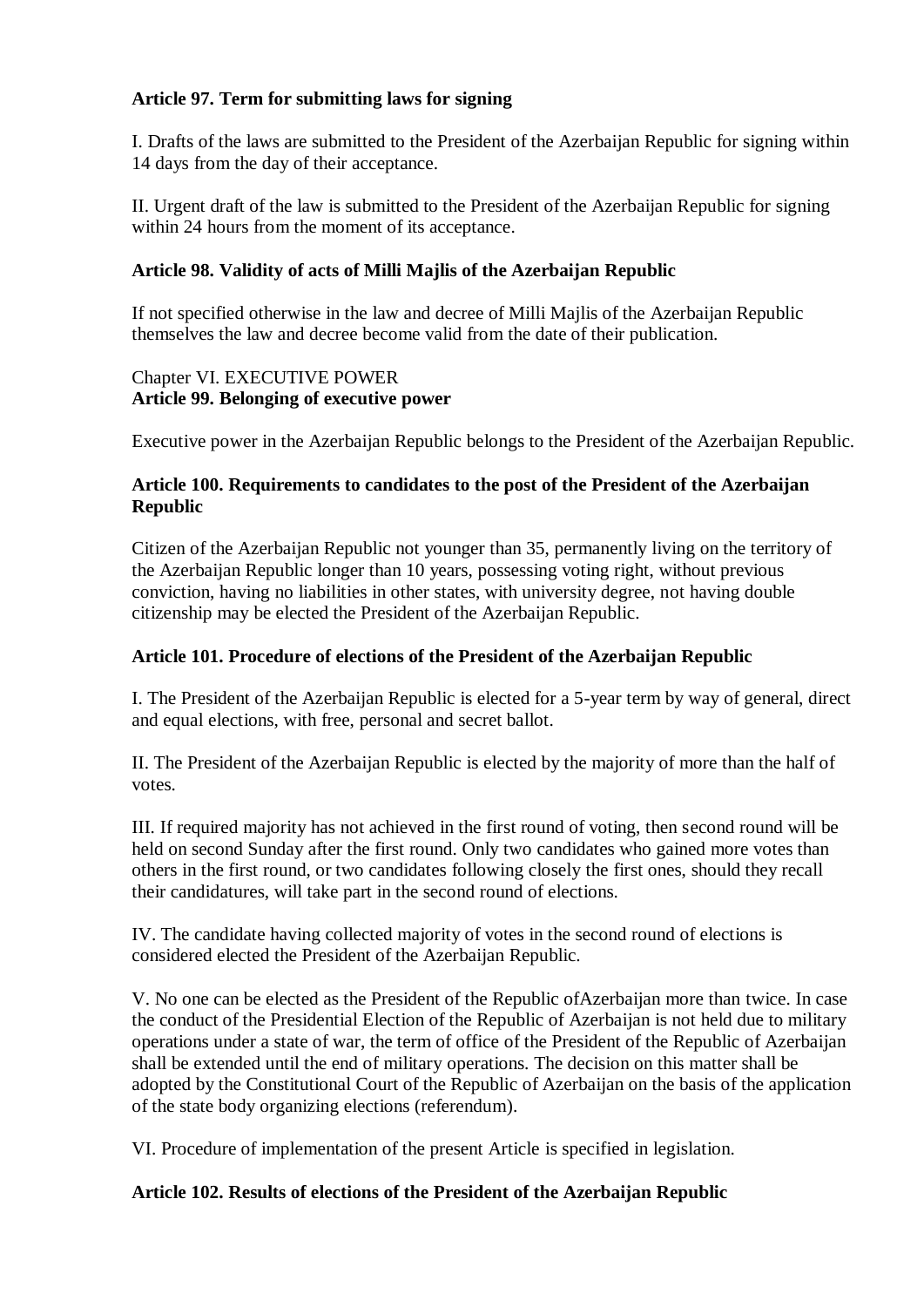# **Article 97. Term for submitting laws for signing**

I. Drafts of the laws are submitted to the President of the Azerbaijan Republic for signing within 14 days from the day of their acceptance.

II. Urgent draft of the law is submitted to the President of the Azerbaijan Republic for signing within 24 hours from the moment of its acceptance.

# **Article 98. Validity of acts of Milli Majlis of the Azerbaijan Republic**

If not specified otherwise in the law and decree of Milli Majlis of the Azerbaijan Republic themselves the law and decree become valid from the date of their publication.

#### Chapter VI. EXECUTIVE POWER **Article 99. Belonging of executive power**

Executive power in the Azerbaijan Republic belongs to the President of the Azerbaijan Republic.

## **Article 100. Requirements to candidates to the post of the President of the Azerbaijan Republic**

Citizen of the Azerbaijan Republic not younger than 35, permanently living on the territory of the Azerbaijan Republic longer than 10 years, possessing voting right, without previous conviction, having no liabilities in other states, with university degree, not having double citizenship may be elected the President of the Azerbaijan Republic.

## **Article 101. Procedure of elections of the President of the Azerbaijan Republic**

I. The President of the Azerbaijan Republic is elected for a 5-year term by way of general, direct and equal elections, with free, personal and secret ballot.

II. The President of the Azerbaijan Republic is elected by the majority of more than the half of votes.

III. If required majority has not achieved in the first round of voting, then second round will be held on second Sunday after the first round. Only two candidates who gained more votes than others in the first round, or two candidates following closely the first ones, should they recall their candidatures, will take part in the second round of elections.

IV. The candidate having collected majority of votes in the second round of elections is considered elected the President of the Azerbaijan Republic.

V. No one can be elected as the President of the Republic ofAzerbaijan more than twice. In case the conduct of the Presidential Election of the Republic of Azerbaijan is not held due to military operations under a state of war, the term of office of the President of the Republic of Azerbaijan shall be extended until the end of military operations. The decision on this matter shall be adopted by the Constitutional Court of the Republic of Azerbaijan on the basis of the application of the state body organizing elections (referendum).

VI. Procedure of implementation of the present Article is specified in legislation.

## **Article 102. Results of elections of the President of the Azerbaijan Republic**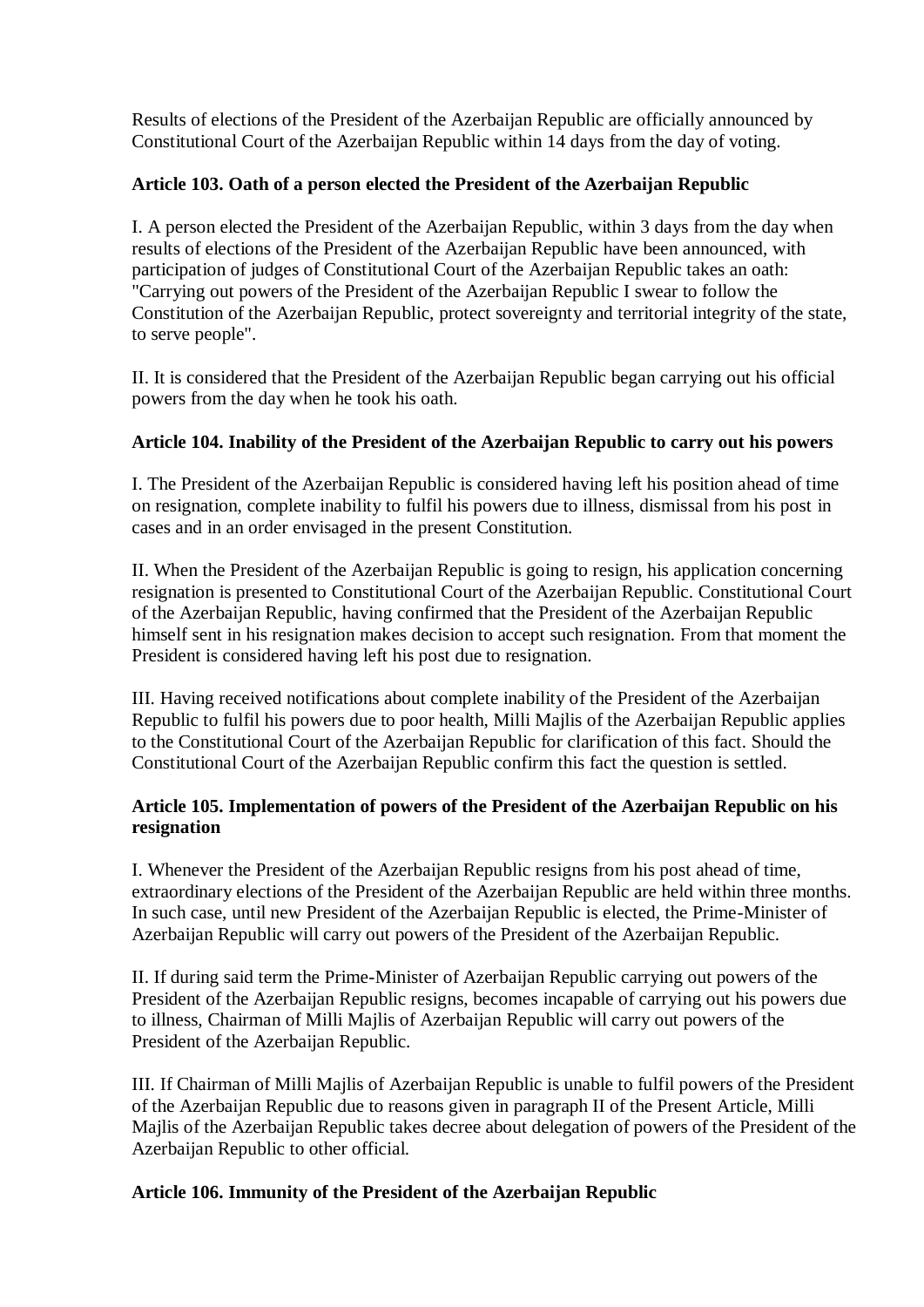Results of elections of the President of the Azerbaijan Republic are officially announced by Constitutional Court of the Azerbaijan Republic within 14 days from the day of voting.

# **Article 103. Oath of a person elected the President of the Azerbaijan Republic**

I. A person elected the President of the Azerbaijan Republic, within 3 days from the day when results of elections of the President of the Azerbaijan Republic have been announced, with participation of judges of Constitutional Court of the Azerbaijan Republic takes an oath: "Carrying out powers of the President of the Azerbaijan Republic I swear to follow the Constitution of the Azerbaijan Republic, protect sovereignty and territorial integrity of the state, to serve people".

II. It is considered that the President of the Azerbaijan Republic began carrying out his official powers from the day when he took his oath.

# **Article 104. Inability of the President of the Azerbaijan Republic to carry out his powers**

I. The President of the Azerbaijan Republic is considered having left his position ahead of time on resignation, complete inability to fulfil his powers due to illness, dismissal from his post in cases and in an order envisaged in the present Constitution.

II. When the President of the Azerbaijan Republic is going to resign, his application concerning resignation is presented to Constitutional Court of the Azerbaijan Republic. Constitutional Court of the Azerbaijan Republic, having confirmed that the President of the Azerbaijan Republic himself sent in his resignation makes decision to accept such resignation. From that moment the President is considered having left his post due to resignation.

III. Having received notifications about complete inability of the President of the Azerbaijan Republic to fulfil his powers due to poor health, Milli Majlis of the Azerbaijan Republic applies to the Constitutional Court of the Azerbaijan Republic for clarification of this fact. Should the Constitutional Court of the Azerbaijan Republic confirm this fact the question is settled.

## **Article 105. Implementation of powers of the President of the Azerbaijan Republic on his resignation**

I. Whenever the President of the Azerbaijan Republic resigns from his post ahead of time, extraordinary elections of the President of the Azerbaijan Republic are held within three months. In such case, until new President of the Azerbaijan Republic is elected, the Prime-Minister of Azerbaijan Republic will carry out powers of the President of the Azerbaijan Republic.

II. If during said term the Prime-Minister of Azerbaijan Republic carrying out powers of the President of the Azerbaijan Republic resigns, becomes incapable of carrying out his powers due to illness, Chairman of Milli Majlis of Azerbaijan Republic will carry out powers of the President of the Azerbaijan Republic.

III. If Chairman of Milli Majlis of Azerbaijan Republic is unable to fulfil powers of the President of the Azerbaijan Republic due to reasons given in paragraph II of the Present Article, Milli Majlis of the Azerbaijan Republic takes decree about delegation of powers of the President of the Azerbaijan Republic to other official.

## **Article 106. Immunity of the President of the Azerbaijan Republic**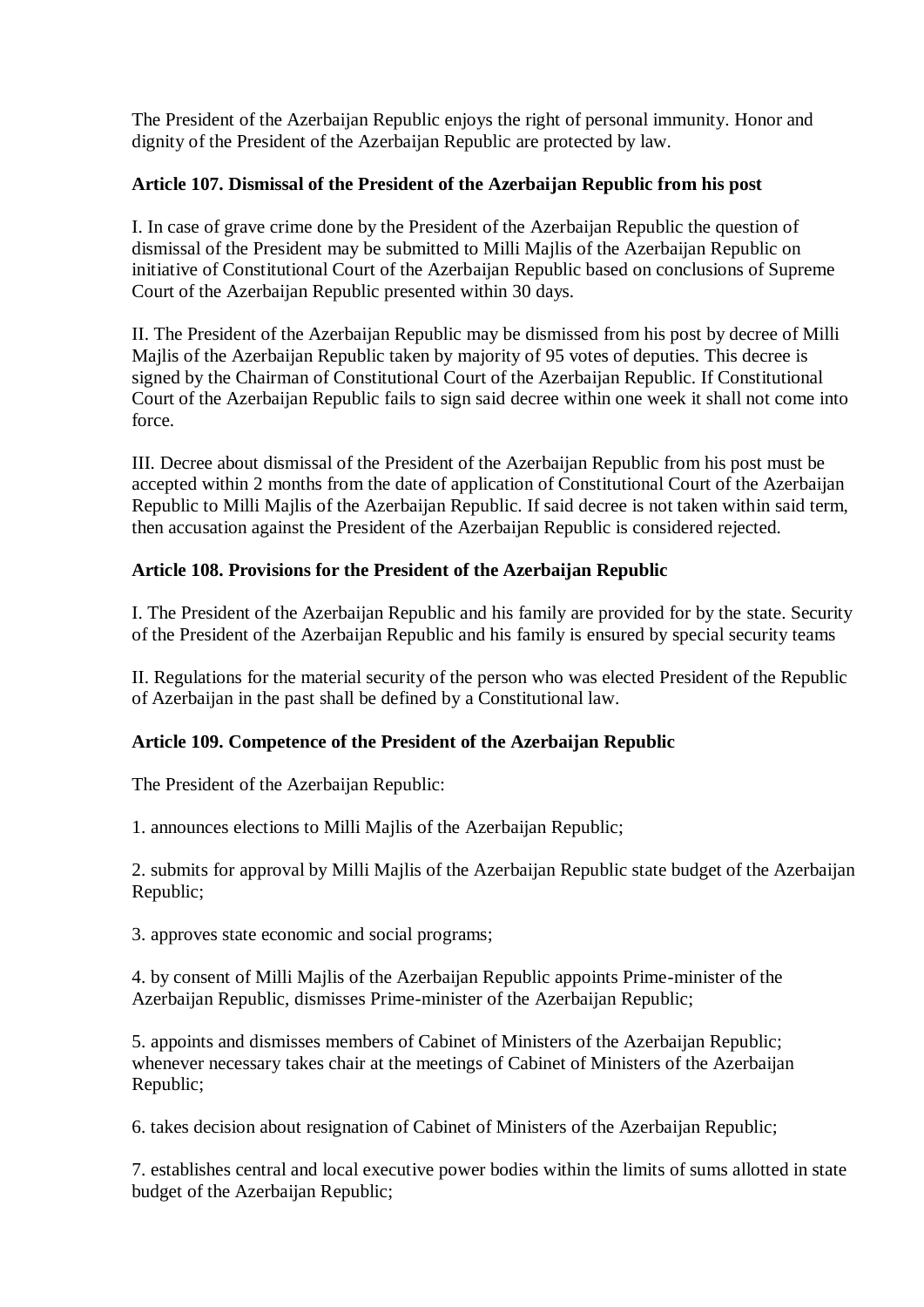The President of the Azerbaijan Republic enjoys the right of personal immunity. Honor and dignity of the President of the Azerbaijan Republic are protected by law.

## **Article 107. Dismissal of the President of the Azerbaijan Republic from his post**

I. In case of grave crime done by the President of the Azerbaijan Republic the question of dismissal of the President may be submitted to Milli Majlis of the Azerbaijan Republic on initiative of Constitutional Court of the Azerbaijan Republic based on conclusions of Supreme Court of the Azerbaijan Republic presented within 30 days.

II. The President of the Azerbaijan Republic may be dismissed from his post by decree of Milli Majlis of the Azerbaijan Republic taken by majority of 95 votes of deputies. This decree is signed by the Chairman of Constitutional Court of the Azerbaijan Republic. If Constitutional Court of the Azerbaijan Republic fails to sign said decree within one week it shall not come into force.

III. Decree about dismissal of the President of the Azerbaijan Republic from his post must be accepted within 2 months from the date of application of Constitutional Court of the Azerbaijan Republic to Milli Majlis of the Azerbaijan Republic. If said decree is not taken within said term, then accusation against the President of the Azerbaijan Republic is considered rejected.

# **Article 108. Provisions for the President of the Azerbaijan Republic**

I. The President of the Azerbaijan Republic and his family are provided for by the state. Security of the President of the Azerbaijan Republic and his family is ensured by special security teams

II. Regulations for the material security of the person who was elected President of the Republic of Azerbaijan in the past shall be defined by a Constitutional law.

# **Article 109. Competence of the President of the Azerbaijan Republic**

The President of the Azerbaijan Republic:

1. announces elections to Milli Majlis of the Azerbaijan Republic;

2. submits for approval by Milli Majlis of the Azerbaijan Republic state budget of the Azerbaijan Republic;

3. approves state economic and social programs;

4. by consent of Milli Majlis of the Azerbaijan Republic appoints Prime-minister of the Azerbaijan Republic, dismisses Prime-minister of the Azerbaijan Republic;

5. appoints and dismisses members of Cabinet of Ministers of the Azerbaijan Republic; whenever necessary takes chair at the meetings of Cabinet of Ministers of the Azerbaijan Republic;

6. takes decision about resignation of Cabinet of Ministers of the Azerbaijan Republic;

7. establishes central and local executive power bodies within the limits of sums allotted in state budget of the Azerbaijan Republic;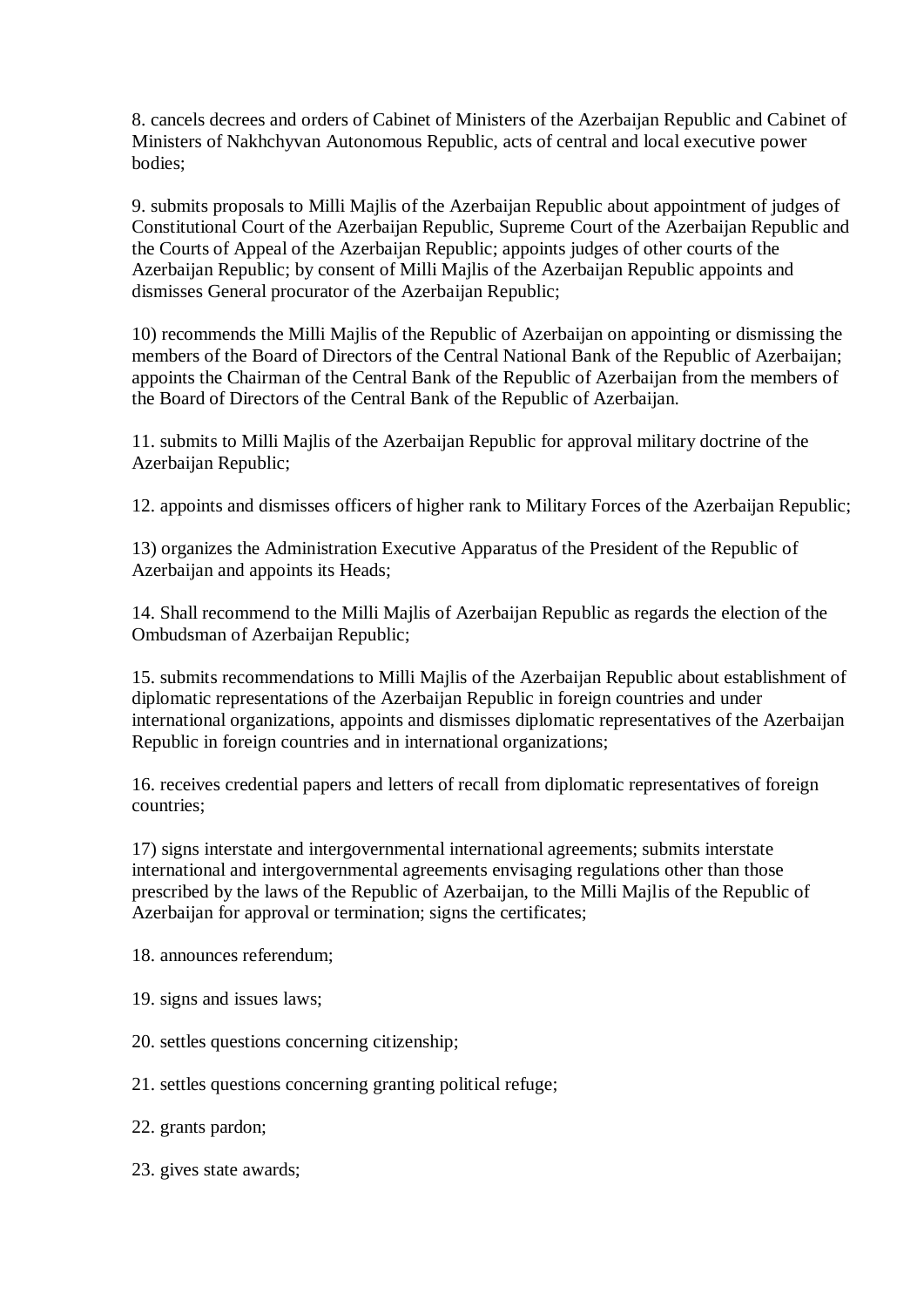8. cancels decrees and orders of Cabinet of Ministers of the Azerbaijan Republic and Cabinet of Ministers of Nakhchyvan Autonomous Republic, acts of central and local executive power bodies;

9. submits proposals to Milli Majlis of the Azerbaijan Republic about appointment of judges of Constitutional Court of the Azerbaijan Republic, Supreme Court of the Azerbaijan Republic and the Courts of Appeal of the Azerbaijan Republic; appoints judges of other courts of the Azerbaijan Republic; by consent of Milli Majlis of the Azerbaijan Republic appoints and dismisses General procurator of the Azerbaijan Republic;

10) recommends the Milli Majlis of the Republic of Azerbaijan on appointing or dismissing the members of the Board of Directors of the Central National Bank of the Republic of Azerbaijan; appoints the Chairman of the Central Bank of the Republic of Azerbaijan from the members of the Board of Directors of the Central Bank of the Republic of Azerbaijan.

11. submits to Milli Majlis of the Azerbaijan Republic for approval military doctrine of the Azerbaijan Republic;

12. appoints and dismisses officers of higher rank to Military Forces of the Azerbaijan Republic;

13) organizes the Administration Executive Apparatus of the President of the Republic of Azerbaijan and appoints its Heads;

14. Shall recommend to the Milli Majlis of Azerbaijan Republic as regards the election of the Ombudsman of Azerbaijan Republic;

15. submits recommendations to Milli Majlis of the Azerbaijan Republic about establishment of diplomatic representations of the Azerbaijan Republic in foreign countries and under international organizations, appoints and dismisses diplomatic representatives of the Azerbaijan Republic in foreign countries and in international organizations;

16. receives credential papers and letters of recall from diplomatic representatives of foreign countries;

17) signs interstate and intergovernmental international agreements; submits interstate international and intergovernmental agreements envisaging regulations other than those prescribed by the laws of the Republic of Azerbaijan, to the Milli Majlis of the Republic of Azerbaijan for approval or termination; signs the certificates;

18. announces referendum;

- 19. signs and issues laws;
- 20. settles questions concerning citizenship;
- 21. settles questions concerning granting political refuge;
- 22. grants pardon;
- 23. gives state awards;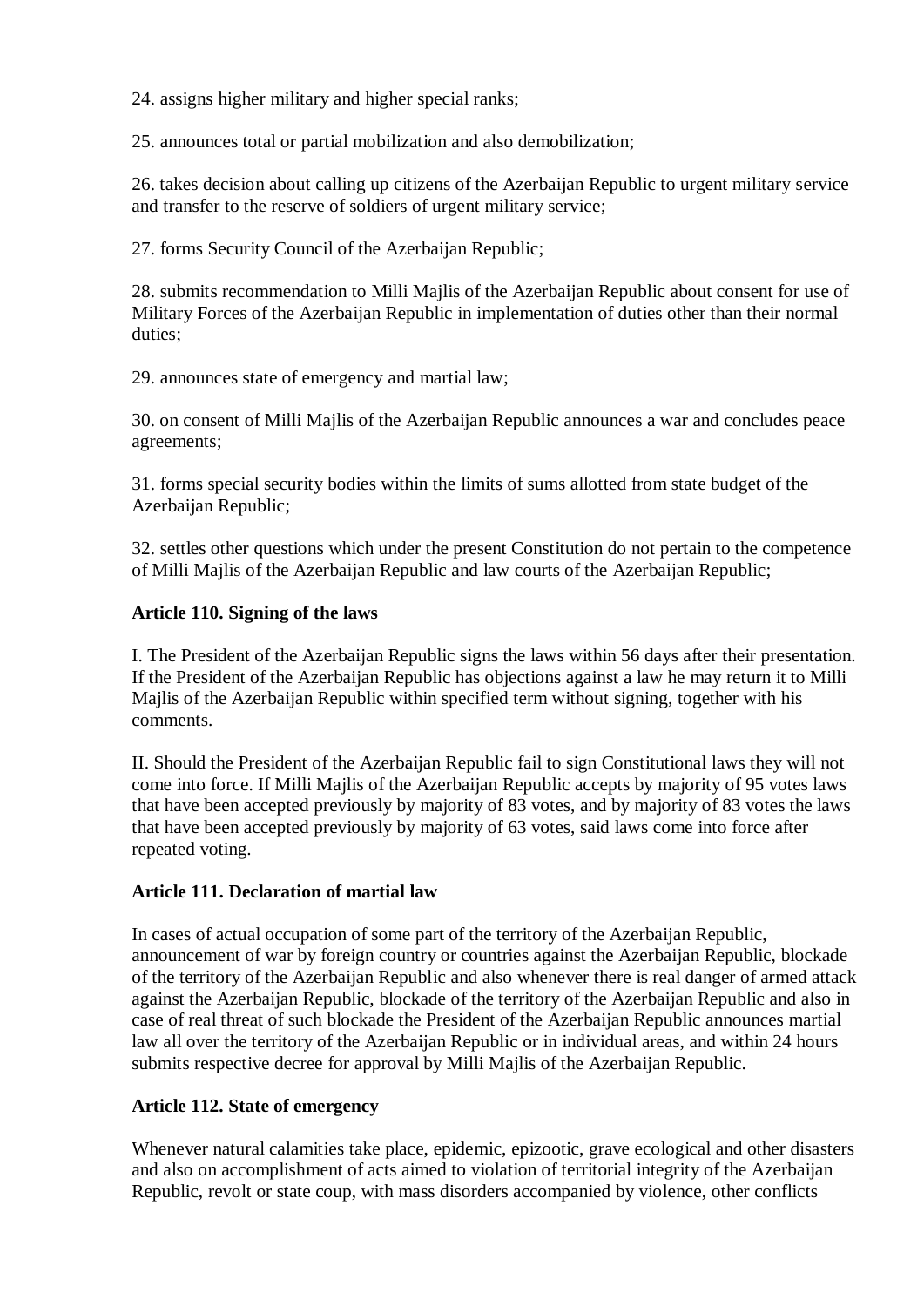24. assigns higher military and higher special ranks;

25. announces total or partial mobilization and also demobilization;

26. takes decision about calling up citizens of the Azerbaijan Republic to urgent military service and transfer to the reserve of soldiers of urgent military service;

27. forms Security Council of the Azerbaijan Republic;

28. submits recommendation to Milli Majlis of the Azerbaijan Republic about consent for use of Military Forces of the Azerbaijan Republic in implementation of duties other than their normal duties;

29. announces state of emergency and martial law;

30. on consent of Milli Majlis of the Azerbaijan Republic announces a war and concludes peace agreements;

31. forms special security bodies within the limits of sums allotted from state budget of the Azerbaijan Republic;

32. settles other questions which under the present Constitution do not pertain to the competence of Milli Majlis of the Azerbaijan Republic and law courts of the Azerbaijan Republic;

## **Article 110. Signing of the laws**

I. The President of the Azerbaijan Republic signs the laws within 56 days after their presentation. If the President of the Azerbaijan Republic has objections against a law he may return it to Milli Majlis of the Azerbaijan Republic within specified term without signing, together with his comments.

II. Should the President of the Azerbaijan Republic fail to sign Constitutional laws they will not come into force. If Milli Majlis of the Azerbaijan Republic accepts by majority of 95 votes laws that have been accepted previously by majority of 83 votes, and by majority of 83 votes the laws that have been accepted previously by majority of 63 votes, said laws come into force after repeated voting.

## **Article 111. Declaration of martial law**

In cases of actual occupation of some part of the territory of the Azerbaijan Republic, announcement of war by foreign country or countries against the Azerbaijan Republic, blockade of the territory of the Azerbaijan Republic and also whenever there is real danger of armed attack against the Azerbaijan Republic, blockade of the territory of the Azerbaijan Republic and also in case of real threat of such blockade the President of the Azerbaijan Republic announces martial law all over the territory of the Azerbaijan Republic or in individual areas, and within 24 hours submits respective decree for approval by Milli Majlis of the Azerbaijan Republic.

## **Article 112. State of emergency**

Whenever natural calamities take place, epidemic, epizootic, grave ecological and other disasters and also on accomplishment of acts aimed to violation of territorial integrity of the Azerbaijan Republic, revolt or state coup, with mass disorders accompanied by violence, other conflicts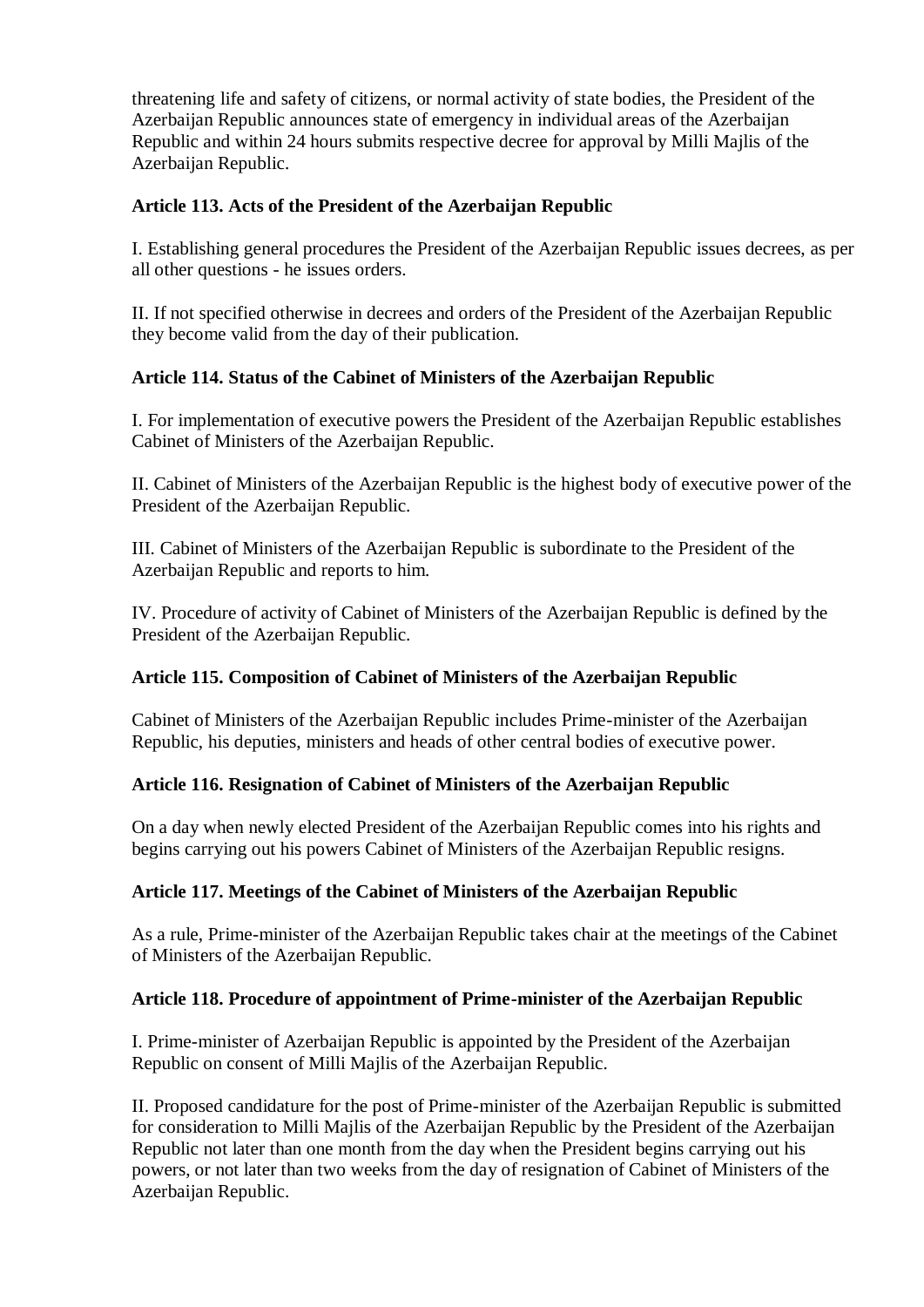threatening life and safety of citizens, or normal activity of state bodies, the President of the Azerbaijan Republic announces state of emergency in individual areas of the Azerbaijan Republic and within 24 hours submits respective decree for approval by Milli Majlis of the Azerbaijan Republic.

# **Article 113. Acts of the President of the Azerbaijan Republic**

I. Establishing general procedures the President of the Azerbaijan Republic issues decrees, as per all other questions - he issues orders.

II. If not specified otherwise in decrees and orders of the President of the Azerbaijan Republic they become valid from the day of their publication.

# **Article 114. Status of the Cabinet of Ministers of the Azerbaijan Republic**

I. For implementation of executive powers the President of the Azerbaijan Republic establishes Cabinet of Ministers of the Azerbaijan Republic.

II. Cabinet of Ministers of the Azerbaijan Republic is the highest body of executive power of the President of the Azerbaijan Republic.

III. Cabinet of Ministers of the Azerbaijan Republic is subordinate to the President of the Azerbaijan Republic and reports to him.

IV. Procedure of activity of Cabinet of Ministers of the Azerbaijan Republic is defined by the President of the Azerbaijan Republic.

## **Article 115. Composition of Cabinet of Ministers of the Azerbaijan Republic**

Cabinet of Ministers of the Azerbaijan Republic includes Prime-minister of the Azerbaijan Republic, his deputies, ministers and heads of other central bodies of executive power.

# **Article 116. Resignation of Cabinet of Ministers of the Azerbaijan Republic**

On a day when newly elected President of the Azerbaijan Republic comes into his rights and begins carrying out his powers Cabinet of Ministers of the Azerbaijan Republic resigns.

## **Article 117. Meetings of the Cabinet of Ministers of the Azerbaijan Republic**

As a rule, Prime-minister of the Azerbaijan Republic takes chair at the meetings of the Cabinet of Ministers of the Azerbaijan Republic.

## **Article 118. Procedure of appointment of Prime-minister of the Azerbaijan Republic**

I. Prime-minister of Azerbaijan Republic is appointed by the President of the Azerbaijan Republic on consent of Milli Majlis of the Azerbaijan Republic.

II. Proposed candidature for the post of Prime-minister of the Azerbaijan Republic is submitted for consideration to Milli Majlis of the Azerbaijan Republic by the President of the Azerbaijan Republic not later than one month from the day when the President begins carrying out his powers, or not later than two weeks from the day of resignation of Cabinet of Ministers of the Azerbaijan Republic.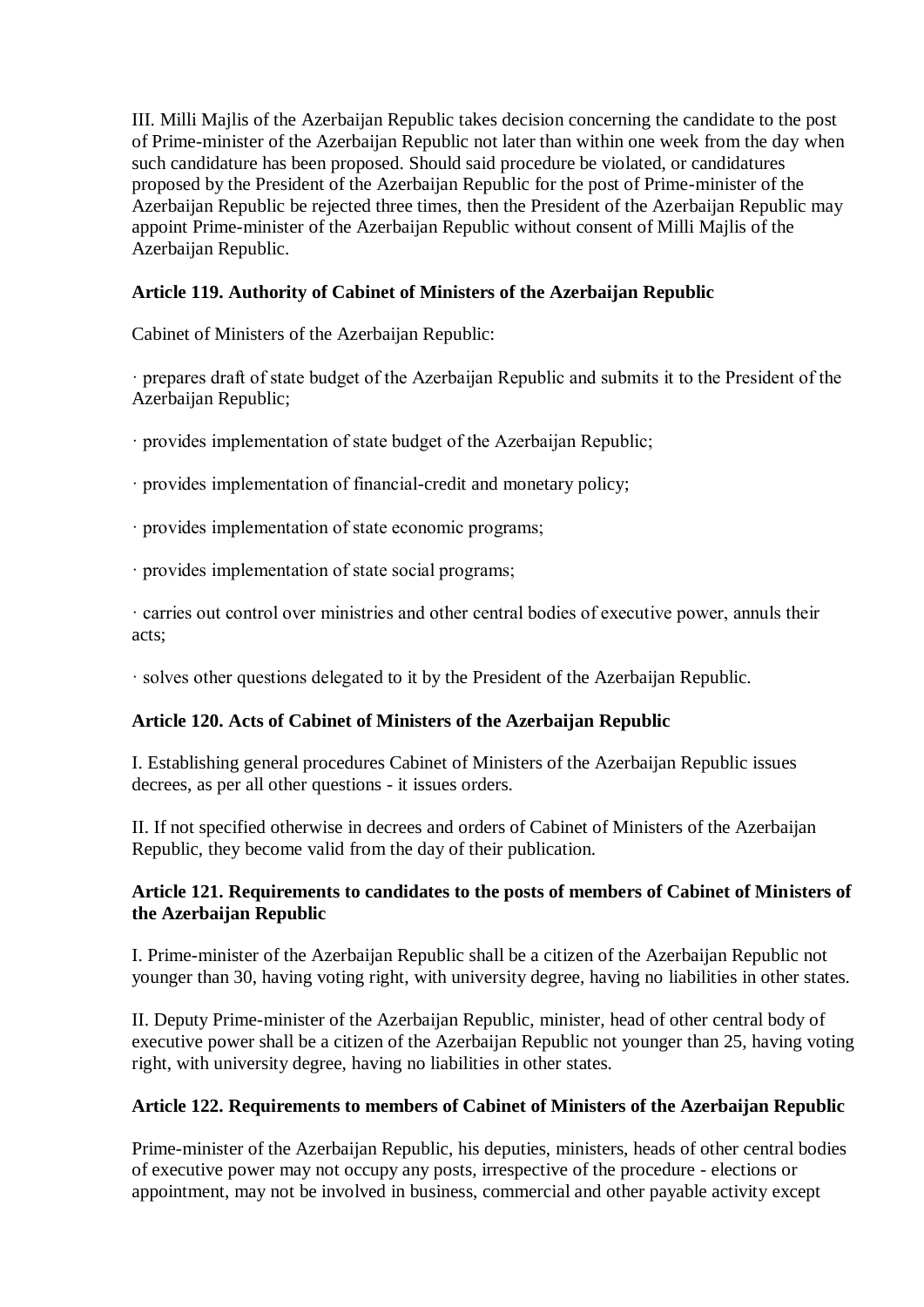III. Milli Majlis of the Azerbaijan Republic takes decision concerning the candidate to the post of Prime-minister of the Azerbaijan Republic not later than within one week from the day when such candidature has been proposed. Should said procedure be violated, or candidatures proposed by the President of the Azerbaijan Republic for the post of Prime-minister of the Azerbaijan Republic be rejected three times, then the President of the Azerbaijan Republic may appoint Prime-minister of the Azerbaijan Republic without consent of Milli Majlis of the Azerbaijan Republic.

# **Article 119. Authority of Cabinet of Ministers of the Azerbaijan Republic**

Cabinet of Ministers of the Azerbaijan Republic:

· prepares draft of state budget of the Azerbaijan Republic and submits it to the President of the Azerbaijan Republic;

· provides implementation of state budget of the Azerbaijan Republic;

· provides implementation of financial-credit and monetary policy;

· provides implementation of state economic programs;

· provides implementation of state social programs;

· carries out control over ministries and other central bodies of executive power, annuls their acts;

· solves other questions delegated to it by the President of the Azerbaijan Republic.

## **Article 120. Acts of Cabinet of Ministers of the Azerbaijan Republic**

I. Establishing general procedures Cabinet of Ministers of the Azerbaijan Republic issues decrees, as per all other questions - it issues orders.

II. If not specified otherwise in decrees and orders of Cabinet of Ministers of the Azerbaijan Republic, they become valid from the day of their publication.

#### **Article 121. Requirements to candidates to the posts of members of Cabinet of Ministers of the Azerbaijan Republic**

I. Prime-minister of the Azerbaijan Republic shall be a citizen of the Azerbaijan Republic not younger than 30, having voting right, with university degree, having no liabilities in other states.

II. Deputy Prime-minister of the Azerbaijan Republic, minister, head of other central body of executive power shall be a citizen of the Azerbaijan Republic not younger than 25, having voting right, with university degree, having no liabilities in other states.

## **Article 122. Requirements to members of Cabinet of Ministers of the Azerbaijan Republic**

Prime-minister of the Azerbaijan Republic, his deputies, ministers, heads of other central bodies of executive power may not occupy any posts, irrespective of the procedure - elections or appointment, may not be involved in business, commercial and other payable activity except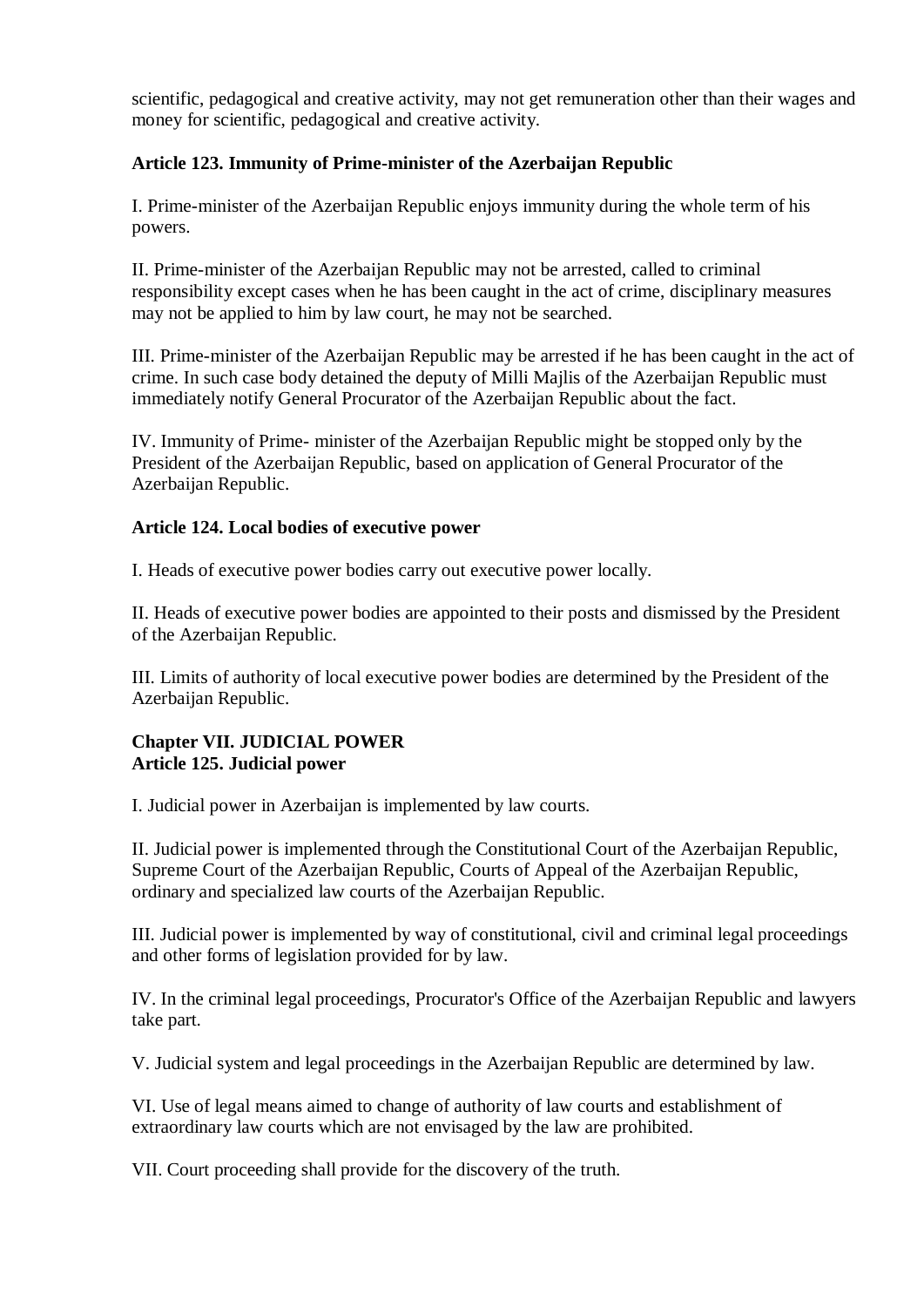scientific, pedagogical and creative activity, may not get remuneration other than their wages and money for scientific, pedagogical and creative activity.

# **Article 123. Immunity of Prime-minister of the Azerbaijan Republic**

I. Prime-minister of the Azerbaijan Republic enjoys immunity during the whole term of his powers.

II. Prime-minister of the Azerbaijan Republic may not be arrested, called to criminal responsibility except cases when he has been caught in the act of crime, disciplinary measures may not be applied to him by law court, he may not be searched.

III. Prime-minister of the Azerbaijan Republic may be arrested if he has been caught in the act of crime. In such case body detained the deputy of Milli Majlis of the Azerbaijan Republic must immediately notify General Procurator of the Azerbaijan Republic about the fact.

IV. Immunity of Prime- minister of the Azerbaijan Republic might be stopped only by the President of the Azerbaijan Republic, based on application of General Procurator of the Azerbaijan Republic.

#### **Article 124. Local bodies of executive power**

I. Heads of executive power bodies carry out executive power locally.

II. Heads of executive power bodies are appointed to their posts and dismissed by the President of the Azerbaijan Republic.

III. Limits of authority of local executive power bodies are determined by the President of the Azerbaijan Republic.

#### **Chapter VII. JUDICIAL POWER Article 125. Judicial power**

I. Judicial power in Azerbaijan is implemented by law courts.

II. Judicial power is implemented through the Constitutional Court of the Azerbaijan Republic, Supreme Court of the Azerbaijan Republic, Courts of Appeal of the Azerbaijan Republic, ordinary and specialized law courts of the Azerbaijan Republic.

III. Judicial power is implemented by way of constitutional, civil and criminal legal proceedings and other forms of legislation provided for by law.

IV. In the criminal legal proceedings, Procurator's Office of the Azerbaijan Republic and lawyers take part.

V. Judicial system and legal proceedings in the Azerbaijan Republic are determined by law.

VI. Use of legal means aimed to change of authority of law courts and establishment of extraordinary law courts which are not envisaged by the law are prohibited.

VII. Court proceeding shall provide for the discovery of the truth.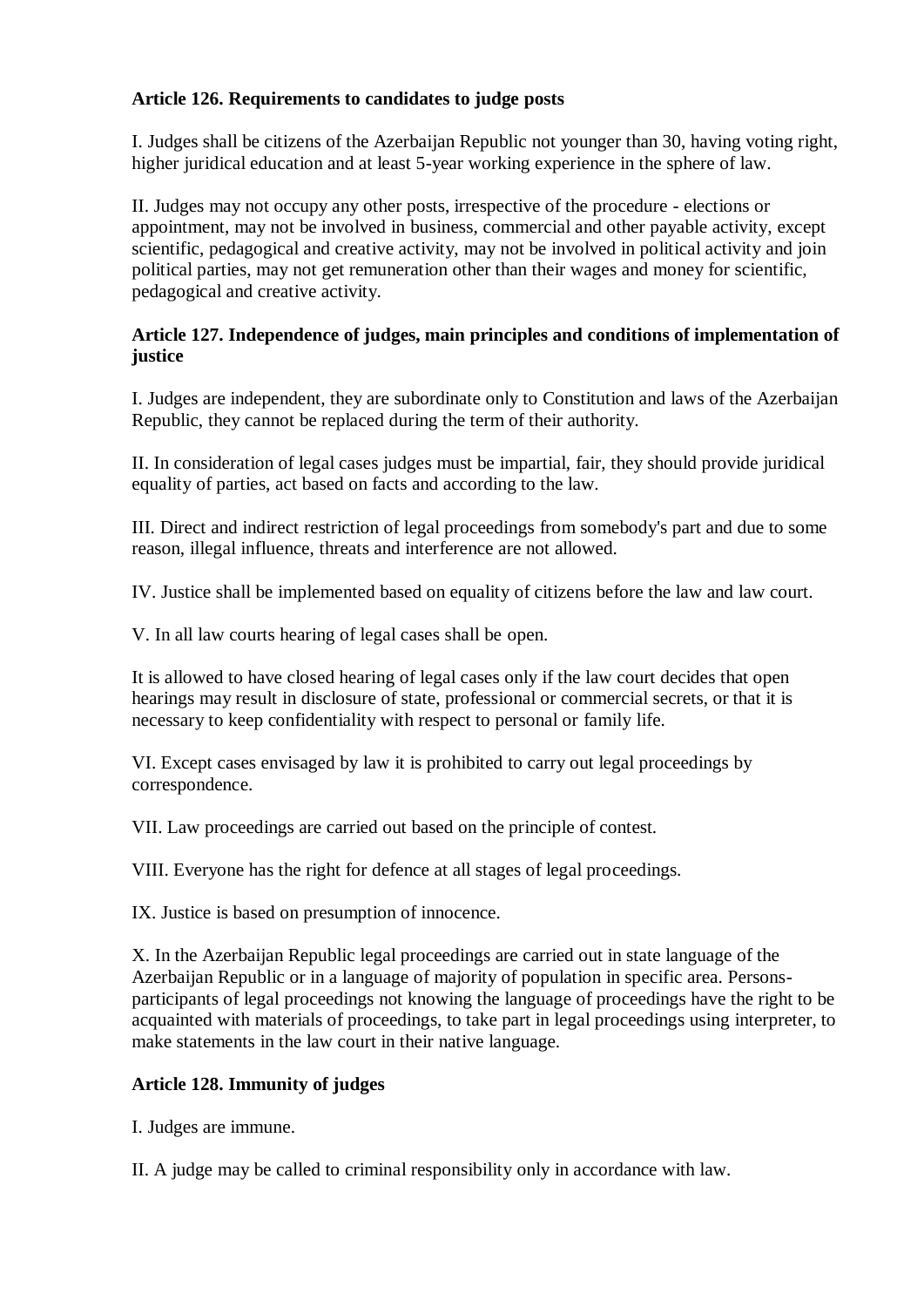# **Article 126. Requirements to candidates to judge posts**

I. Judges shall be citizens of the Azerbaijan Republic not younger than 30, having voting right, higher juridical education and at least 5-year working experience in the sphere of law.

II. Judges may not occupy any other posts, irrespective of the procedure - elections or appointment, may not be involved in business, commercial and other payable activity, except scientific, pedagogical and creative activity, may not be involved in political activity and join political parties, may not get remuneration other than their wages and money for scientific, pedagogical and creative activity.

## **Article 127. Independence of judges, main principles and conditions of implementation of justice**

I. Judges are independent, they are subordinate only to Constitution and laws of the Azerbaijan Republic, they cannot be replaced during the term of their authority.

II. In consideration of legal cases judges must be impartial, fair, they should provide juridical equality of parties, act based on facts and according to the law.

III. Direct and indirect restriction of legal proceedings from somebody's part and due to some reason, illegal influence, threats and interference are not allowed.

IV. Justice shall be implemented based on equality of citizens before the law and law court.

V. In all law courts hearing of legal cases shall be open.

It is allowed to have closed hearing of legal cases only if the law court decides that open hearings may result in disclosure of state, professional or commercial secrets, or that it is necessary to keep confidentiality with respect to personal or family life.

VI. Except cases envisaged by law it is prohibited to carry out legal proceedings by correspondence.

VII. Law proceedings are carried out based on the principle of contest.

VIII. Everyone has the right for defence at all stages of legal proceedings.

IX. Justice is based on presumption of innocence.

X. In the Azerbaijan Republic legal proceedings are carried out in state language of the Azerbaijan Republic or in a language of majority of population in specific area. Personsparticipants of legal proceedings not knowing the language of proceedings have the right to be acquainted with materials of proceedings, to take part in legal proceedings using interpreter, to make statements in the law court in their native language.

## **Article 128. Immunity of judges**

I. Judges are immune.

II. A judge may be called to criminal responsibility only in accordance with law.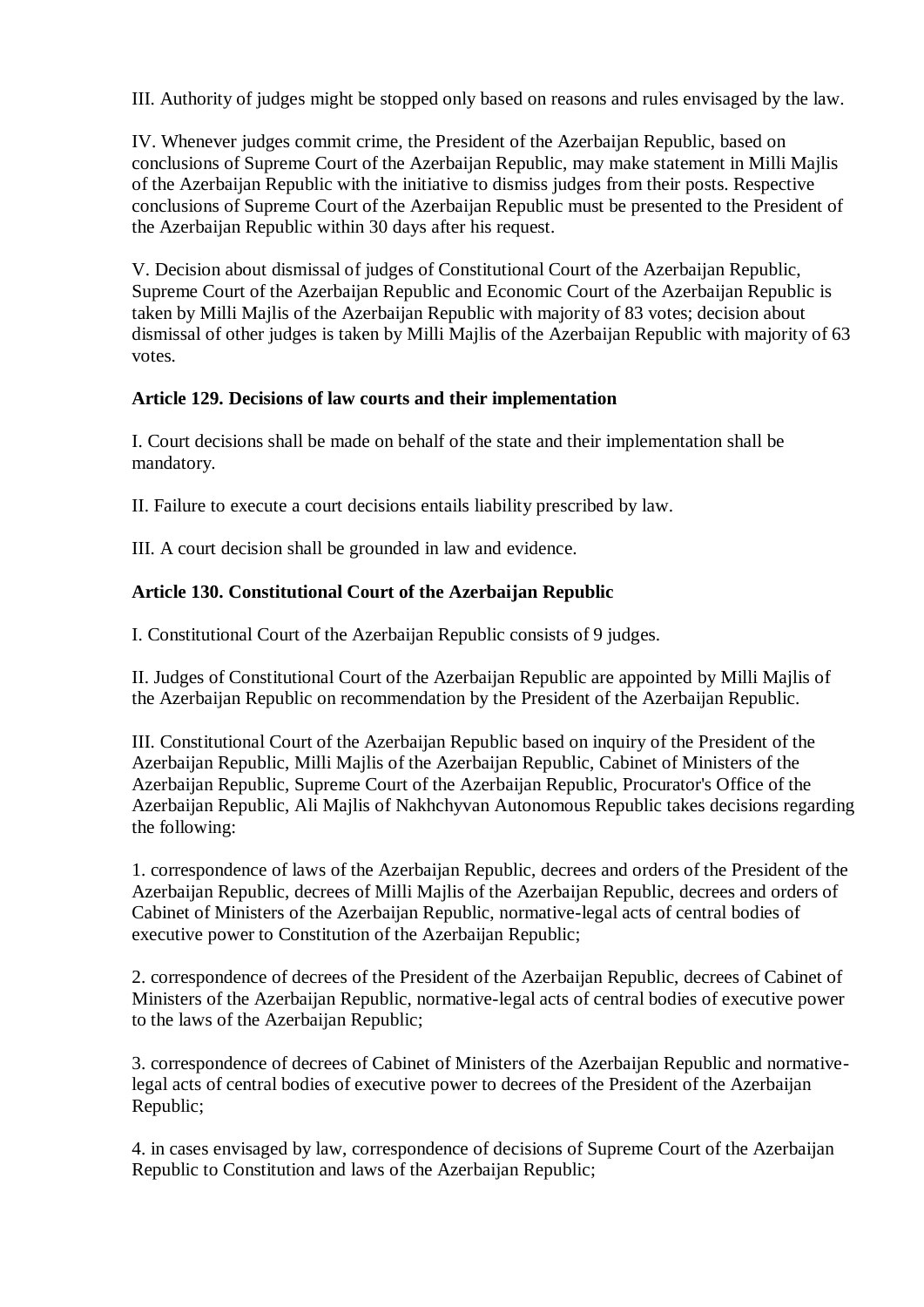III. Authority of judges might be stopped only based on reasons and rules envisaged by the law.

IV. Whenever judges commit crime, the President of the Azerbaijan Republic, based on conclusions of Supreme Court of the Azerbaijan Republic, may make statement in Milli Majlis of the Azerbaijan Republic with the initiative to dismiss judges from their posts. Respective conclusions of Supreme Court of the Azerbaijan Republic must be presented to the President of the Azerbaijan Republic within 30 days after his request.

V. Decision about dismissal of judges of Constitutional Court of the Azerbaijan Republic, Supreme Court of the Azerbaijan Republic and Economic Court of the Azerbaijan Republic is taken by Milli Majlis of the Azerbaijan Republic with majority of 83 votes; decision about dismissal of other judges is taken by Milli Majlis of the Azerbaijan Republic with majority of 63 votes.

## **Article 129. Decisions of law courts and their implementation**

I. Court decisions shall be made on behalf of the state and their implementation shall be mandatory.

II. Failure to execute a court decisions entails liability prescribed by law.

III. A court decision shall be grounded in law and evidence.

# **Article 130. Constitutional Court of the Azerbaijan Republic**

I. Constitutional Court of the Azerbaijan Republic consists of 9 judges.

II. Judges of Constitutional Court of the Azerbaijan Republic are appointed by Milli Majlis of the Azerbaijan Republic on recommendation by the President of the Azerbaijan Republic.

III. Constitutional Court of the Azerbaijan Republic based on inquiry of the President of the Azerbaijan Republic, Milli Majlis of the Azerbaijan Republic, Cabinet of Ministers of the Azerbaijan Republic, Supreme Court of the Azerbaijan Republic, Procurator's Office of the Azerbaijan Republic, Ali Majlis of Nakhchyvan Autonomous Republic takes decisions regarding the following:

1. correspondence of laws of the Azerbaijan Republic, decrees and orders of the President of the Azerbaijan Republic, decrees of Milli Majlis of the Azerbaijan Republic, decrees and orders of Cabinet of Ministers of the Azerbaijan Republic, normative-legal acts of central bodies of executive power to Constitution of the Azerbaijan Republic;

2. correspondence of decrees of the President of the Azerbaijan Republic, decrees of Cabinet of Ministers of the Azerbaijan Republic, normative-legal acts of central bodies of executive power to the laws of the Azerbaijan Republic;

3. correspondence of decrees of Cabinet of Ministers of the Azerbaijan Republic and normativelegal acts of central bodies of executive power to decrees of the President of the Azerbaijan Republic;

4. in cases envisaged by law, correspondence of decisions of Supreme Court of the Azerbaijan Republic to Constitution and laws of the Azerbaijan Republic;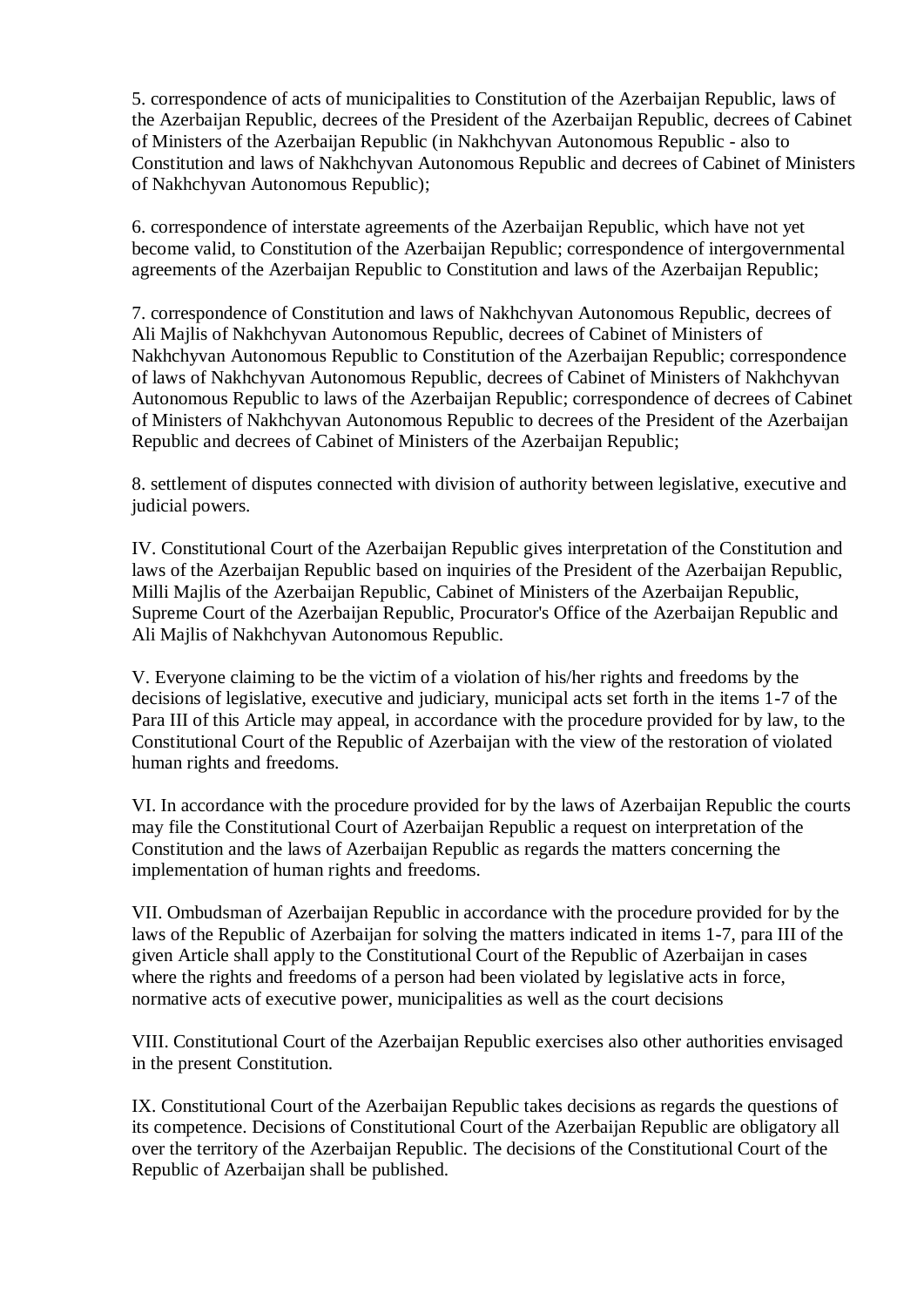5. correspondence of acts of municipalities to Constitution of the Azerbaijan Republic, laws of the Azerbaijan Republic, decrees of the President of the Azerbaijan Republic, decrees of Cabinet of Ministers of the Azerbaijan Republic (in Nakhchyvan Autonomous Republic - also to Constitution and laws of Nakhchyvan Autonomous Republic and decrees of Cabinet of Ministers of Nakhchyvan Autonomous Republic);

6. correspondence of interstate agreements of the Azerbaijan Republic, which have not yet become valid, to Constitution of the Azerbaijan Republic; correspondence of intergovernmental agreements of the Azerbaijan Republic to Constitution and laws of the Azerbaijan Republic;

7. correspondence of Constitution and laws of Nakhchyvan Autonomous Republic, decrees of Ali Majlis of Nakhchyvan Autonomous Republic, decrees of Cabinet of Ministers of Nakhchyvan Autonomous Republic to Constitution of the Azerbaijan Republic; correspondence of laws of Nakhchyvan Autonomous Republic, decrees of Cabinet of Ministers of Nakhchyvan Autonomous Republic to laws of the Azerbaijan Republic; correspondence of decrees of Cabinet of Ministers of Nakhchyvan Autonomous Republic to decrees of the President of the Azerbaijan Republic and decrees of Cabinet of Ministers of the Azerbaijan Republic;

8. settlement of disputes connected with division of authority between legislative, executive and judicial powers.

IV. Constitutional Court of the Azerbaijan Republic gives interpretation of the Constitution and laws of the Azerbaijan Republic based on inquiries of the President of the Azerbaijan Republic, Milli Majlis of the Azerbaijan Republic, Cabinet of Ministers of the Azerbaijan Republic, Supreme Court of the Azerbaijan Republic, Procurator's Office of the Azerbaijan Republic and Ali Majlis of Nakhchyvan Autonomous Republic.

V. Everyone claiming to be the victim of a violation of his/her rights and freedoms by the decisions of legislative, executive and judiciary, municipal acts set forth in the items 1-7 of the Para III of this Article may appeal, in accordance with the procedure provided for by law, to the Constitutional Court of the Republic of Azerbaijan with the view of the restoration of violated human rights and freedoms.

VI. In accordance with the procedure provided for by the laws of Azerbaijan Republic the courts may file the Constitutional Court of Azerbaijan Republic a request on interpretation of the Constitution and the laws of Azerbaijan Republic as regards the matters concerning the implementation of human rights and freedoms.

VII. Ombudsman of Azerbaijan Republic in accordance with the procedure provided for by the laws of the Republic of Azerbaijan for solving the matters indicated in items 1-7, para III of the given Article shall apply to the Constitutional Court of the Republic of Azerbaijan in cases where the rights and freedoms of a person had been violated by legislative acts in force, normative acts of executive power, municipalities as well as the court decisions

VIII. Constitutional Court of the Azerbaijan Republic exercises also other authorities envisaged in the present Constitution.

IX. Constitutional Court of the Azerbaijan Republic takes decisions as regards the questions of its competence. Decisions of Constitutional Court of the Azerbaijan Republic are obligatory all over the territory of the Azerbaijan Republic. The decisions of the Constitutional Court of the Republic of Azerbaijan shall be published.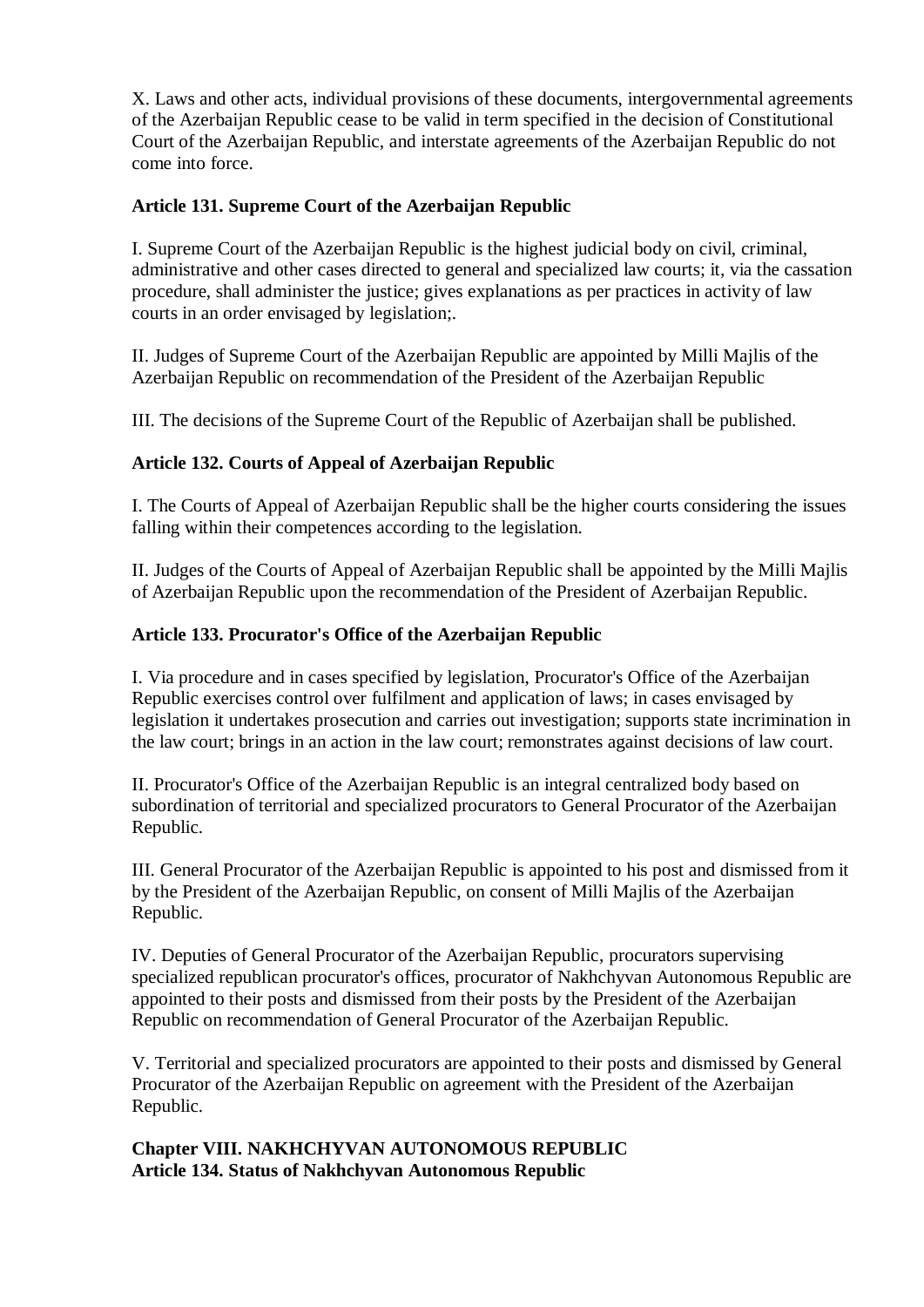X. Laws and other acts, individual provisions of these documents, intergovernmental agreements of the Azerbaijan Republic cease to be valid in term specified in the decision of Constitutional Court of the Azerbaijan Republic, and interstate agreements of the Azerbaijan Republic do not come into force.

## **Article 131. Supreme Court of the Azerbaijan Republic**

I. Supreme Court of the Azerbaijan Republic is the highest judicial body on civil, criminal, administrative and other cases directed to general and specialized law courts; it, via the cassation procedure, shall administer the justice; gives explanations as per practices in activity of law courts in an order envisaged by legislation;.

II. Judges of Supreme Court of the Azerbaijan Republic are appointed by Milli Majlis of the Azerbaijan Republic on recommendation of the President of the Azerbaijan Republic

III. The decisions of the Supreme Court of the Republic of Azerbaijan shall be published.

# **Article 132. Courts of Appeal of Azerbaijan Republic**

I. The Courts of Appeal of Azerbaijan Republic shall be the higher courts considering the issues falling within their competences according to the legislation.

II. Judges of the Courts of Appeal of Azerbaijan Republic shall be appointed by the Milli Majlis of Azerbaijan Republic upon the recommendation of the President of Azerbaijan Republic.

# **Article 133. Procurator's Office of the Azerbaijan Republic**

I. Via procedure and in cases specified by legislation, Procurator's Office of the Azerbaijan Republic exercises control over fulfilment and application of laws; in cases envisaged by legislation it undertakes prosecution and carries out investigation; supports state incrimination in the law court; brings in an action in the law court; remonstrates against decisions of law court.

II. Procurator's Office of the Azerbaijan Republic is an integral centralized body based on subordination of territorial and specialized procurators to General Procurator of the Azerbaijan Republic.

III. General Procurator of the Azerbaijan Republic is appointed to his post and dismissed from it by the President of the Azerbaijan Republic, on consent of Milli Majlis of the Azerbaijan Republic.

IV. Deputies of General Procurator of the Azerbaijan Republic, procurators supervising specialized republican procurator's offices, procurator of Nakhchyvan Autonomous Republic are appointed to their posts and dismissed from their posts by the President of the Azerbaijan Republic on recommendation of General Procurator of the Azerbaijan Republic.

V. Territorial and specialized procurators are appointed to their posts and dismissed by General Procurator of the Azerbaijan Republic on agreement with the President of the Azerbaijan Republic.

#### **Chapter VIII. NAKHCHYVAN AUTONOMOUS REPUBLIC Article 134. Status of Nakhchyvan Autonomous Republic**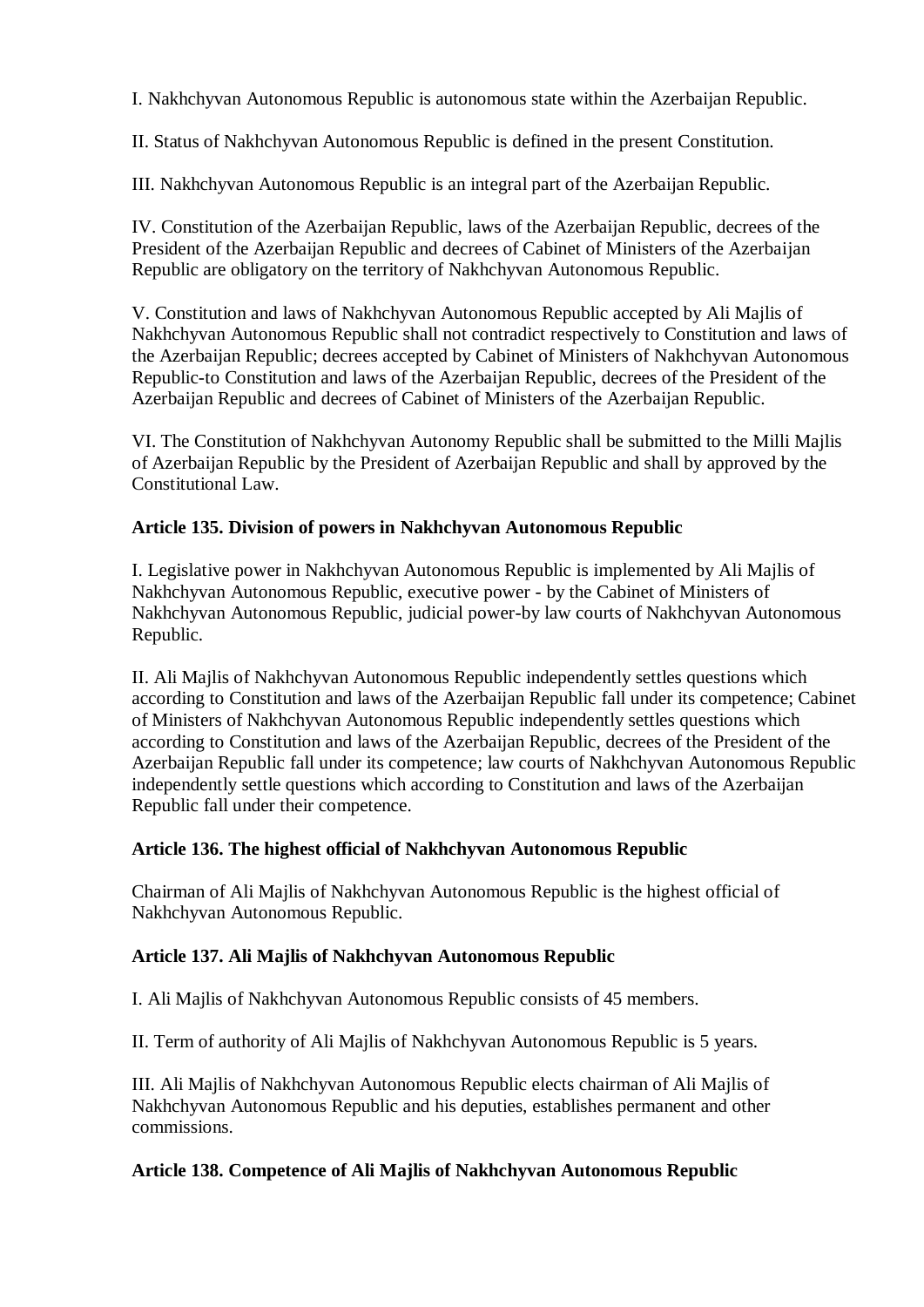I. Nakhchyvan Autonomous Republic is autonomous state within the Azerbaijan Republic.

II. Status of Nakhchyvan Autonomous Republic is defined in the present Constitution.

III. Nakhchyvan Autonomous Republic is an integral part of the Azerbaijan Republic.

IV. Constitution of the Azerbaijan Republic, laws of the Azerbaijan Republic, decrees of the President of the Azerbaijan Republic and decrees of Cabinet of Ministers of the Azerbaijan Republic are obligatory on the territory of Nakhchyvan Autonomous Republic.

V. Constitution and laws of Nakhchyvan Autonomous Republic accepted by Ali Majlis of Nakhchyvan Autonomous Republic shall not contradict respectively to Constitution and laws of the Azerbaijan Republic; decrees accepted by Cabinet of Ministers of Nakhchyvan Autonomous Republic-to Constitution and laws of the Azerbaijan Republic, decrees of the President of the Azerbaijan Republic and decrees of Cabinet of Ministers of the Azerbaijan Republic.

VI. The Constitution of Nakhchyvan Autonomy Republic shall be submitted to the Milli Majlis of Azerbaijan Republic by the President of Azerbaijan Republic and shall by approved by the Constitutional Law.

## **Article 135. Division of powers in Nakhchyvan Autonomous Republic**

I. Legislative power in Nakhchyvan Autonomous Republic is implemented by Ali Majlis of Nakhchyvan Autonomous Republic, executive power - by the Cabinet of Ministers of Nakhchyvan Autonomous Republic, judicial power-by law courts of Nakhchyvan Autonomous Republic.

II. Ali Majlis of Nakhchyvan Autonomous Republic independently settles questions which according to Constitution and laws of the Azerbaijan Republic fall under its competence; Cabinet of Ministers of Nakhchyvan Autonomous Republic independently settles questions which according to Constitution and laws of the Azerbaijan Republic, decrees of the President of the Azerbaijan Republic fall under its competence; law courts of Nakhchyvan Autonomous Republic independently settle questions which according to Constitution and laws of the Azerbaijan Republic fall under their competence.

## **Article 136. The highest official of Nakhchyvan Autonomous Republic**

Chairman of Ali Majlis of Nakhchyvan Autonomous Republic is the highest official of Nakhchyvan Autonomous Republic.

## **Article 137. Ali Majlis of Nakhchyvan Autonomous Republic**

I. Ali Majlis of Nakhchyvan Autonomous Republic consists of 45 members.

II. Term of authority of Ali Majlis of Nakhchyvan Autonomous Republic is 5 years.

III. Ali Majlis of Nakhchyvan Autonomous Republic elects chairman of Ali Majlis of Nakhchyvan Autonomous Republic and his deputies, establishes permanent and other commissions.

## **Article 138. Competence of Ali Majlis of Nakhchyvan Autonomous Republic**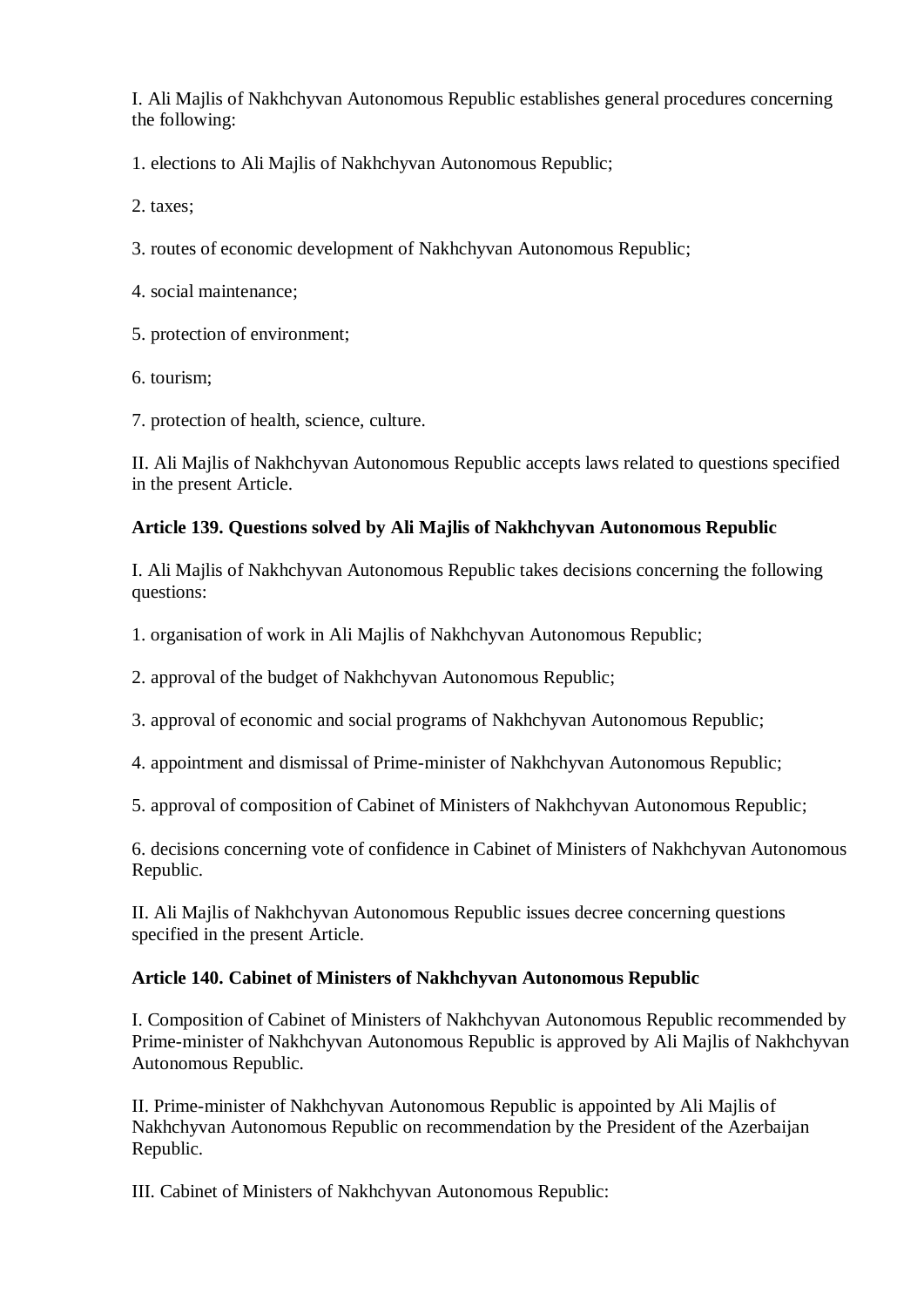I. Ali Majlis of Nakhchyvan Autonomous Republic establishes general procedures concerning the following:

1. elections to Ali Majlis of Nakhchyvan Autonomous Republic;

2. taxes;

3. routes of economic development of Nakhchyvan Autonomous Republic;

4. social maintenance;

5. protection of environment;

6. tourism;

7. protection of health, science, culture.

II. Ali Majlis of Nakhchyvan Autonomous Republic accepts laws related to questions specified in the present Article.

# **Article 139. Questions solved by Ali Majlis of Nakhchyvan Autonomous Republic**

I. Ali Majlis of Nakhchyvan Autonomous Republic takes decisions concerning the following questions:

1. organisation of work in Ali Majlis of Nakhchyvan Autonomous Republic;

2. approval of the budget of Nakhchyvan Autonomous Republic;

3. approval of economic and social programs of Nakhchyvan Autonomous Republic;

4. appointment and dismissal of Prime-minister of Nakhchyvan Autonomous Republic;

5. approval of composition of Cabinet of Ministers of Nakhchyvan Autonomous Republic;

6. decisions concerning vote of confidence in Cabinet of Ministers of Nakhchyvan Autonomous Republic.

II. Ali Majlis of Nakhchyvan Autonomous Republic issues decree concerning questions specified in the present Article.

## **Article 140. Cabinet of Ministers of Nakhchyvan Autonomous Republic**

I. Composition of Cabinet of Ministers of Nakhchyvan Autonomous Republic recommended by Prime-minister of Nakhchyvan Autonomous Republic is approved by Ali Majlis of Nakhchyvan Autonomous Republic.

II. Prime-minister of Nakhchyvan Autonomous Republic is appointed by Ali Majlis of Nakhchyvan Autonomous Republic on recommendation by the President of the Azerbaijan Republic.

III. Cabinet of Ministers of Nakhchyvan Autonomous Republic: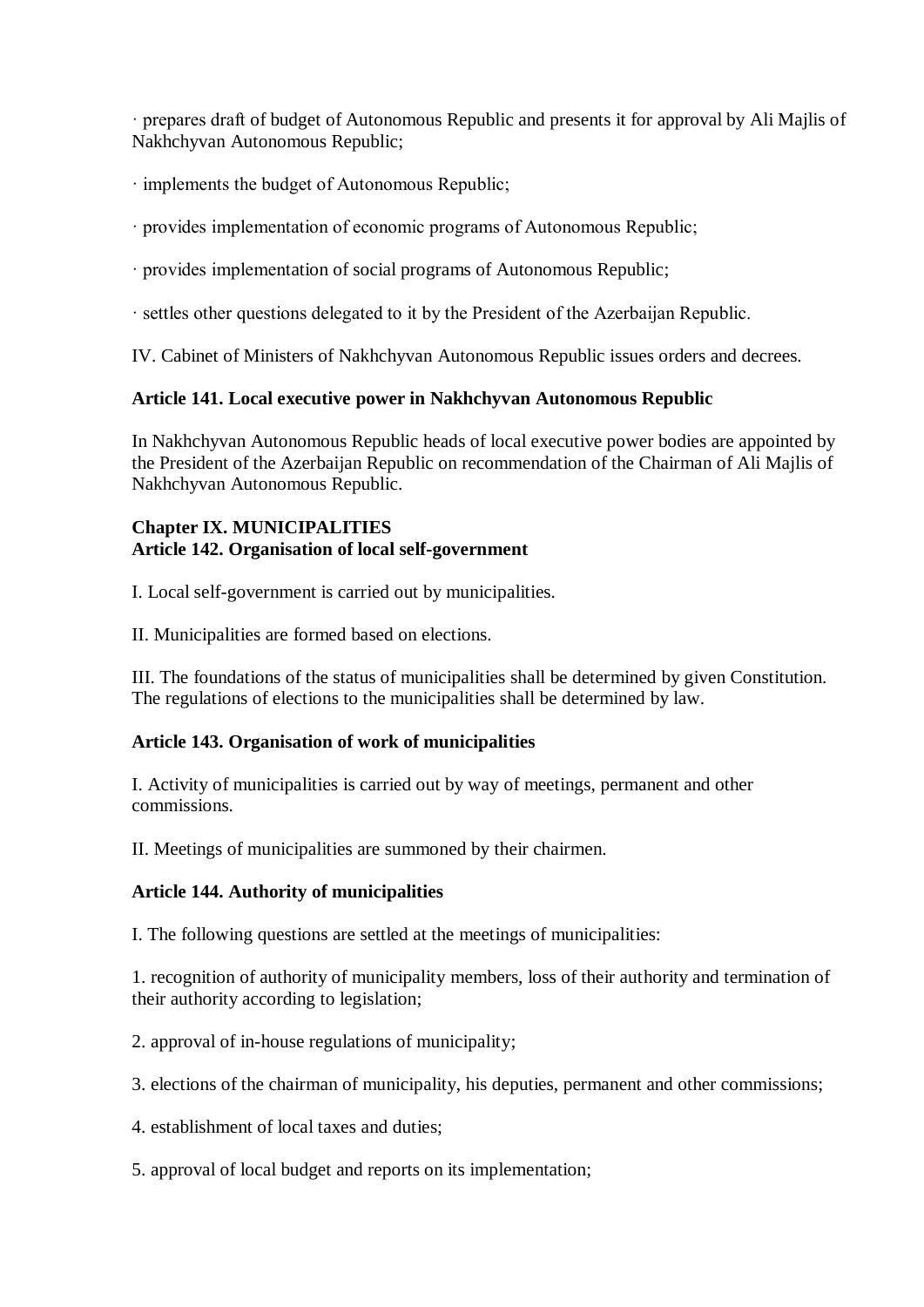· prepares draft of budget of Autonomous Republic and presents it for approval by Ali Majlis of Nakhchyvan Autonomous Republic;

· implements the budget of Autonomous Republic;

· provides implementation of economic programs of Autonomous Republic;

· provides implementation of social programs of Autonomous Republic;

· settles other questions delegated to it by the President of the Azerbaijan Republic.

IV. Cabinet of Ministers of Nakhchyvan Autonomous Republic issues orders and decrees.

#### **Article 141. Local executive power in Nakhchyvan Autonomous Republic**

In Nakhchyvan Autonomous Republic heads of local executive power bodies are appointed by the President of the Azerbaijan Republic on recommendation of the Chairman of Ali Majlis of Nakhchyvan Autonomous Republic.

#### **Chapter IX. MUNICIPALITIES Article 142. Organisation of local self-government**

I. Local self-government is carried out by municipalities.

II. Municipalities are formed based on elections.

III. The foundations of the status of municipalities shall be determined by given Constitution. The regulations of elections to the municipalities shall be determined by law.

## **Article 143. Organisation of work of municipalities**

I. Activity of municipalities is carried out by way of meetings, permanent and other commissions.

II. Meetings of municipalities are summoned by their chairmen.

## **Article 144. Authority of municipalities**

I. The following questions are settled at the meetings of municipalities:

1. recognition of authority of municipality members, loss of their authority and termination of their authority according to legislation;

2. approval of in-house regulations of municipality;

3. elections of the chairman of municipality, his deputies, permanent and other commissions;

4. establishment of local taxes and duties;

5. approval of local budget and reports on its implementation;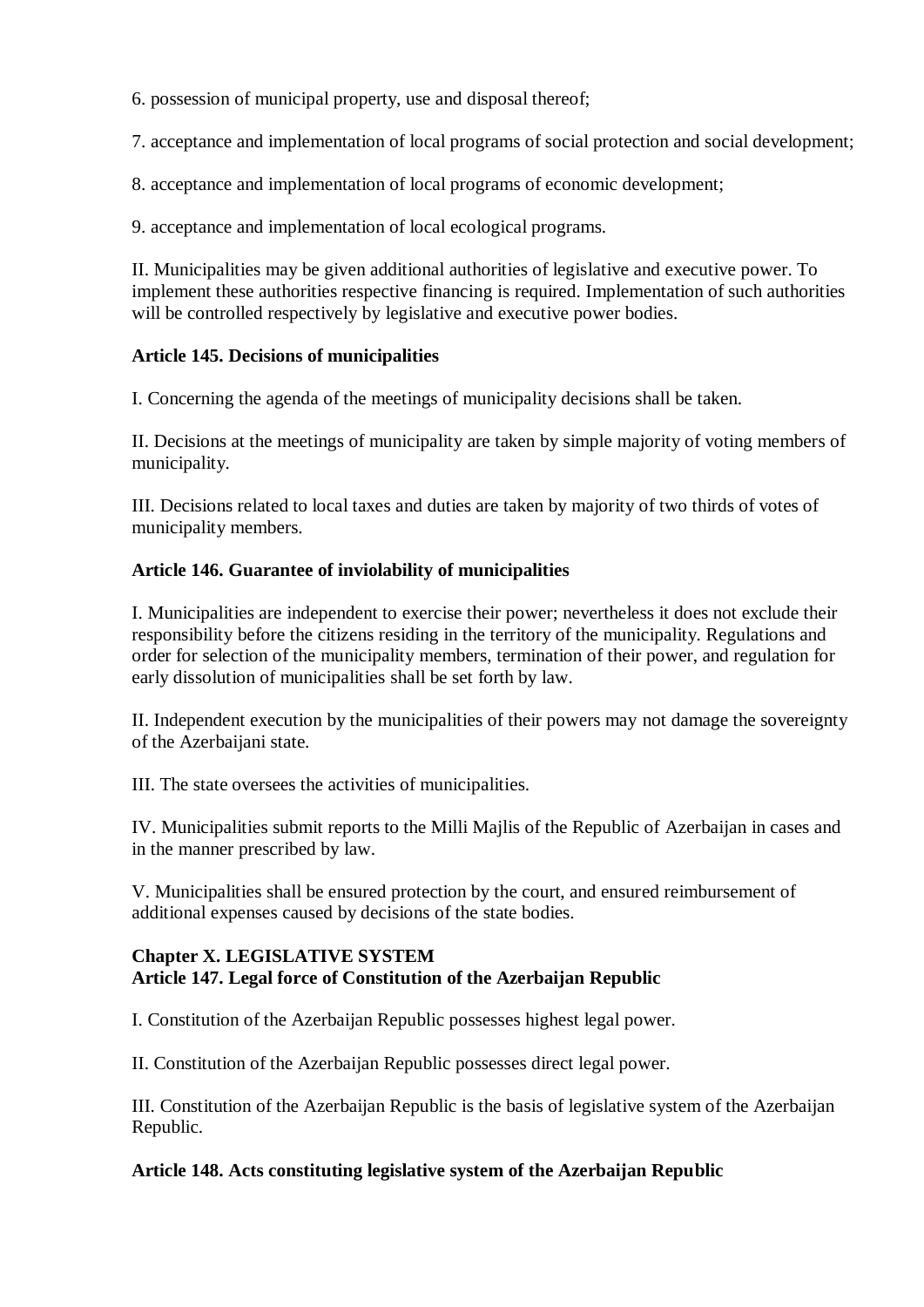6. possession of municipal property, use and disposal thereof;

7. acceptance and implementation of local programs of social protection and social development;

8. acceptance and implementation of local programs of economic development;

9. acceptance and implementation of local ecological programs.

II. Municipalities may be given additional authorities of legislative and executive power. To implement these authorities respective financing is required. Implementation of such authorities will be controlled respectively by legislative and executive power bodies.

# **Article 145. Decisions of municipalities**

I. Concerning the agenda of the meetings of municipality decisions shall be taken.

II. Decisions at the meetings of municipality are taken by simple majority of voting members of municipality.

III. Decisions related to local taxes and duties are taken by majority of two thirds of votes of municipality members.

# **Article 146. Guarantee of inviolability of municipalities**

I. Municipalities are independent to exercise their power; nevertheless it does not exclude their responsibility before the citizens residing in the territory of the municipality. Regulations and order for selection of the municipality members, termination of their power, and regulation for early dissolution of municipalities shall be set forth by law.

II. Independent execution by the municipalities of their powers may not damage the sovereignty of the Azerbaijani state.

III. The state oversees the activities of municipalities.

IV. Municipalities submit reports to the Milli Majlis of the Republic of Azerbaijan in cases and in the manner prescribed by law.

V. Municipalities shall be ensured protection by the court, and ensured reimbursement of additional expenses caused by decisions of the state bodies.

#### **Chapter X. LEGISLATIVE SYSTEM Article 147. Legal force of Constitution of the Azerbaijan Republic**

I. Constitution of the Azerbaijan Republic possesses highest legal power.

II. Constitution of the Azerbaijan Republic possesses direct legal power.

III. Constitution of the Azerbaijan Republic is the basis of legislative system of the Azerbaijan Republic.

## **Article 148. Acts constituting legislative system of the Azerbaijan Republic**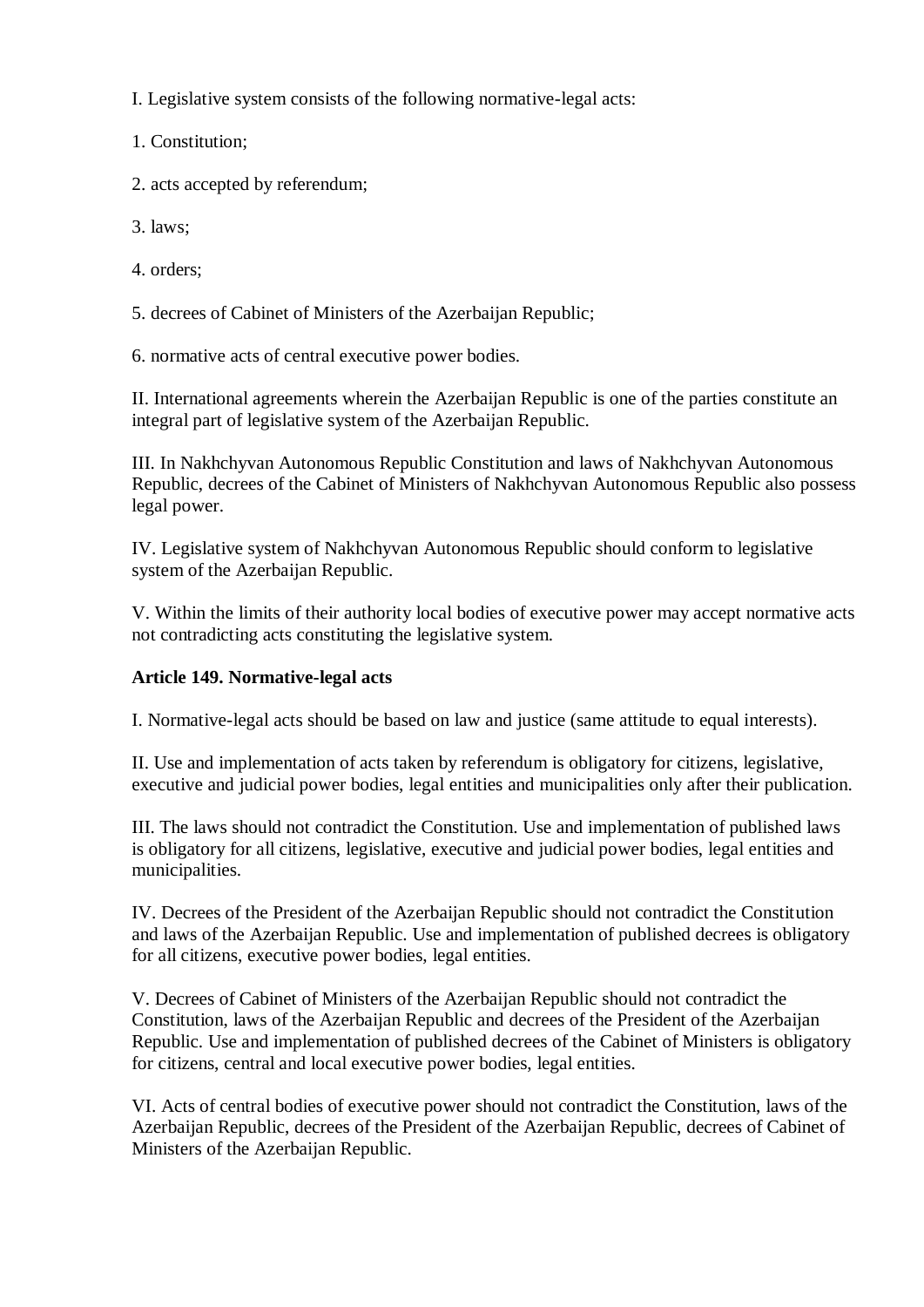I. Legislative system consists of the following normative-legal acts:

1. Constitution;

2. acts accepted by referendum;

3. laws;

4. orders;

5. decrees of Cabinet of Ministers of the Azerbaijan Republic;

6. normative acts of central executive power bodies.

II. International agreements wherein the Azerbaijan Republic is one of the parties constitute an integral part of legislative system of the Azerbaijan Republic.

III. In Nakhchyvan Autonomous Republic Constitution and laws of Nakhchyvan Autonomous Republic, decrees of the Cabinet of Ministers of Nakhchyvan Autonomous Republic also possess legal power.

IV. Legislative system of Nakhchyvan Autonomous Republic should conform to legislative system of the Azerbaijan Republic.

V. Within the limits of their authority local bodies of executive power may accept normative acts not contradicting acts constituting the legislative system.

## **Article 149. Normative-legal acts**

I. Normative-legal acts should be based on law and justice (same attitude to equal interests).

II. Use and implementation of acts taken by referendum is obligatory for citizens, legislative, executive and judicial power bodies, legal entities and municipalities only after their publication.

III. The laws should not contradict the Constitution. Use and implementation of published laws is obligatory for all citizens, legislative, executive and judicial power bodies, legal entities and municipalities.

IV. Decrees of the President of the Azerbaijan Republic should not contradict the Constitution and laws of the Azerbaijan Republic. Use and implementation of published decrees is obligatory for all citizens, executive power bodies, legal entities.

V. Decrees of Cabinet of Ministers of the Azerbaijan Republic should not contradict the Constitution, laws of the Azerbaijan Republic and decrees of the President of the Azerbaijan Republic. Use and implementation of published decrees of the Cabinet of Ministers is obligatory for citizens, central and local executive power bodies, legal entities.

VI. Acts of central bodies of executive power should not contradict the Constitution, laws of the Azerbaijan Republic, decrees of the President of the Azerbaijan Republic, decrees of Cabinet of Ministers of the Azerbaijan Republic.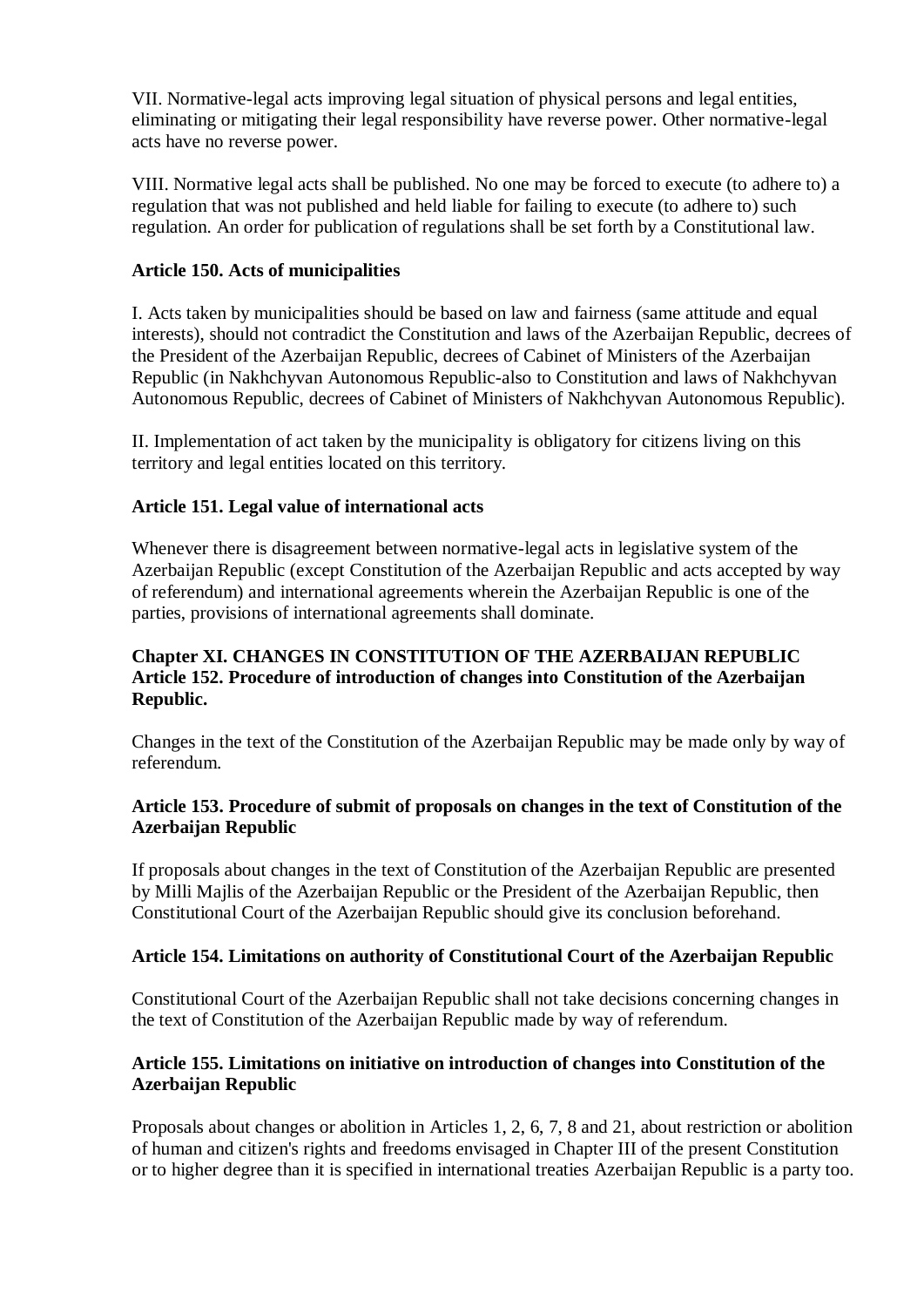VII. Normative-legal acts improving legal situation of physical persons and legal entities, eliminating or mitigating their legal responsibility have reverse power. Other normative-legal acts have no reverse power.

VIII. Normative legal acts shall be published. No one may be forced to execute (to adhere to) a regulation that was not published and held liable for failing to execute (to adhere to) such regulation. An order for publication of regulations shall be set forth by a Constitutional law.

## **Article 150. Acts of municipalities**

I. Acts taken by municipalities should be based on law and fairness (same attitude and equal interests), should not contradict the Constitution and laws of the Azerbaijan Republic, decrees of the President of the Azerbaijan Republic, decrees of Cabinet of Ministers of the Azerbaijan Republic (in Nakhchyvan Autonomous Republic-also to Constitution and laws of Nakhchyvan Autonomous Republic, decrees of Cabinet of Ministers of Nakhchyvan Autonomous Republic).

II. Implementation of act taken by the municipality is obligatory for citizens living on this territory and legal entities located on this territory.

## **Article 151. Legal value of international acts**

Whenever there is disagreement between normative-legal acts in legislative system of the Azerbaijan Republic (except Constitution of the Azerbaijan Republic and acts accepted by way of referendum) and international agreements wherein the Azerbaijan Republic is one of the parties, provisions of international agreements shall dominate.

## **Chapter XI. CHANGES IN CONSTITUTION OF THE AZERBAIJAN REPUBLIC Article 152. Procedure of introduction of changes into Constitution of the Azerbaijan Republic.**

Changes in the text of the Constitution of the Azerbaijan Republic may be made only by way of referendum.

## **Article 153. Procedure of submit of proposals on changes in the text of Constitution of the Azerbaijan Republic**

If proposals about changes in the text of Constitution of the Azerbaijan Republic are presented by Milli Majlis of the Azerbaijan Republic or the President of the Azerbaijan Republic, then Constitutional Court of the Azerbaijan Republic should give its conclusion beforehand.

## **Article 154. Limitations on authority of Constitutional Court of the Azerbaijan Republic**

Constitutional Court of the Azerbaijan Republic shall not take decisions concerning changes in the text of Constitution of the Azerbaijan Republic made by way of referendum.

## **Article 155. Limitations on initiative on introduction of changes into Constitution of the Azerbaijan Republic**

Proposals about changes or abolition in Articles 1, 2, 6, 7, 8 and 21, about restriction or abolition of human and citizen's rights and freedoms envisaged in Chapter III of the present Constitution or to higher degree than it is specified in international treaties Azerbaijan Republic is a party too.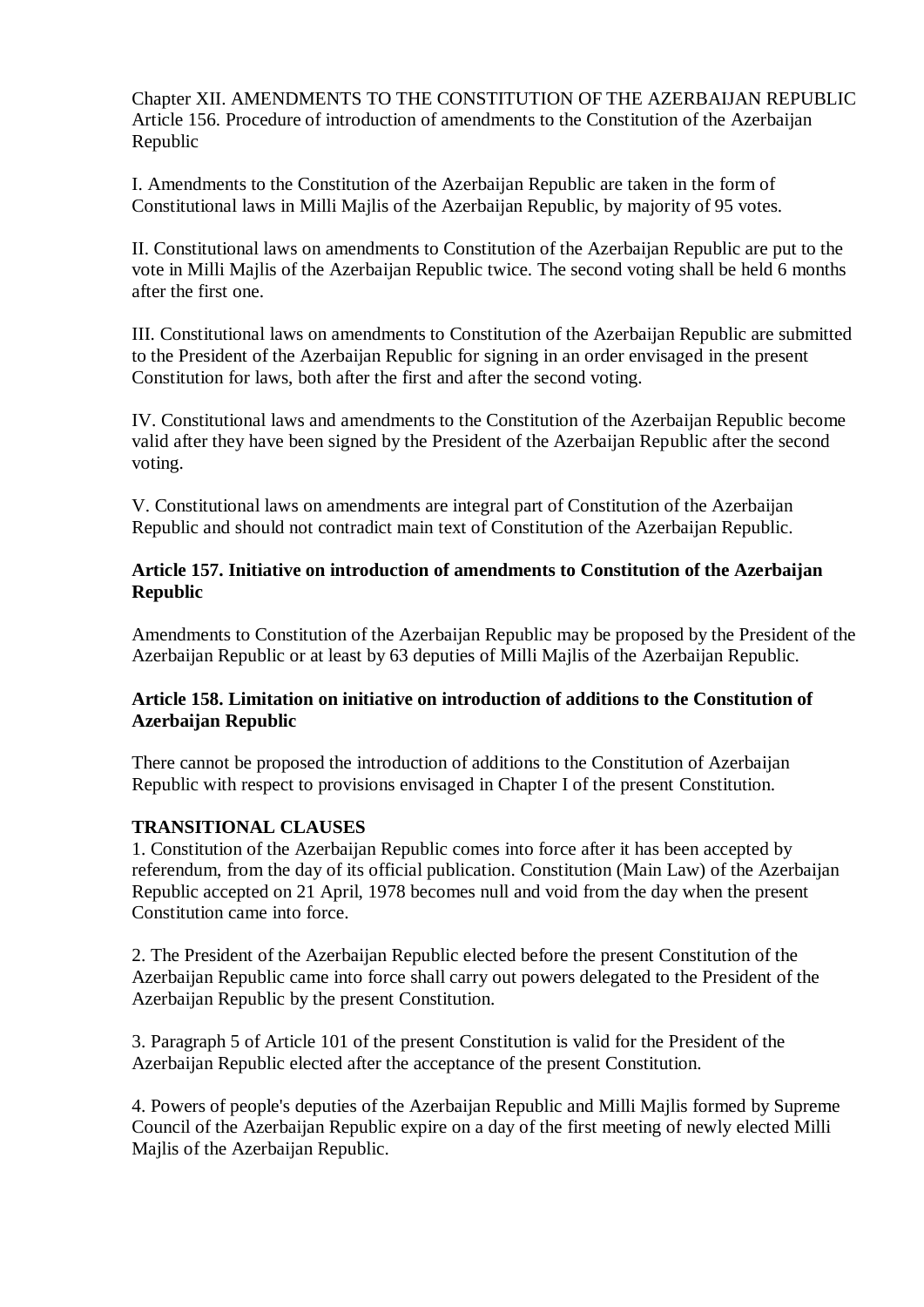Chapter XII. AMENDMENTS TO THE CONSTITUTION OF THE AZERBAIJAN REPUBLIC Article 156. Procedure of introduction of amendments to the Constitution of the Azerbaijan Republic

I. Amendments to the Constitution of the Azerbaijan Republic are taken in the form of Constitutional laws in Milli Majlis of the Azerbaijan Republic, by majority of 95 votes.

II. Constitutional laws on amendments to Constitution of the Azerbaijan Republic are put to the vote in Milli Majlis of the Azerbaijan Republic twice. The second voting shall be held 6 months after the first one.

III. Constitutional laws on amendments to Constitution of the Azerbaijan Republic are submitted to the President of the Azerbaijan Republic for signing in an order envisaged in the present Constitution for laws, both after the first and after the second voting.

IV. Constitutional laws and amendments to the Constitution of the Azerbaijan Republic become valid after they have been signed by the President of the Azerbaijan Republic after the second voting.

V. Constitutional laws on amendments are integral part of Constitution of the Azerbaijan Republic and should not contradict main text of Constitution of the Azerbaijan Republic.

## **Article 157. Initiative on introduction of amendments to Constitution of the Azerbaijan Republic**

Amendments to Constitution of the Azerbaijan Republic may be proposed by the President of the Azerbaijan Republic or at least by 63 deputies of Milli Majlis of the Azerbaijan Republic.

## **Article 158. Limitation on initiative on introduction of additions to the Constitution of Azerbaijan Republic**

There cannot be proposed the introduction of additions to the Constitution of Azerbaijan Republic with respect to provisions envisaged in Chapter I of the present Constitution.

## **TRANSITIONAL CLAUSES**

1. Constitution of the Azerbaijan Republic comes into force after it has been accepted by referendum, from the day of its official publication. Constitution (Main Law) of the Azerbaijan Republic accepted on 21 April, 1978 becomes null and void from the day when the present Constitution came into force.

2. The President of the Azerbaijan Republic elected before the present Constitution of the Azerbaijan Republic came into force shall carry out powers delegated to the President of the Azerbaijan Republic by the present Constitution.

3. Paragraph 5 of Article 101 of the present Constitution is valid for the President of the Azerbaijan Republic elected after the acceptance of the present Constitution.

4. Powers of people's deputies of the Azerbaijan Republic and Milli Majlis formed by Supreme Council of the Azerbaijan Republic expire on a day of the first meeting of newly elected Milli Mailis of the Azerbaijan Republic.